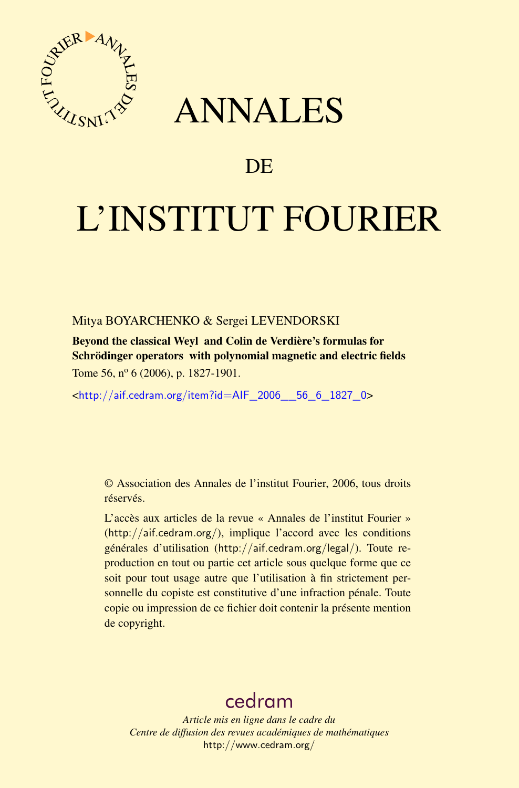

# ANNALES

# **DE**

# L'INSTITUT FOURIER

# Mitya BOYARCHENKO & Sergei LEVENDORSKI

Beyond the classical Weyl and Colin de Verdière's formulas for Schrödinger operators with polynomial magnetic and electric fields Tome 56,  $n^{\circ}$  6 (2006), p. 1827-1901.

<[http://aif.cedram.org/item?id=AIF\\_2006\\_\\_56\\_6\\_1827\\_0](http://aif.cedram.org/item?id=AIF_2006__56_6_1827_0)>

© Association des Annales de l'institut Fourier, 2006, tous droits réservés.

L'accès aux articles de la revue « Annales de l'institut Fourier » (<http://aif.cedram.org/>), implique l'accord avec les conditions générales d'utilisation (<http://aif.cedram.org/legal/>). Toute reproduction en tout ou partie cet article sous quelque forme que ce soit pour tout usage autre que l'utilisation à fin strictement personnelle du copiste est constitutive d'une infraction pénale. Toute copie ou impression de ce fichier doit contenir la présente mention de copyright.

# [cedram](http://www.cedram.org/)

*Article mis en ligne dans le cadre du Centre de diffusion des revues académiques de mathématiques* <http://www.cedram.org/>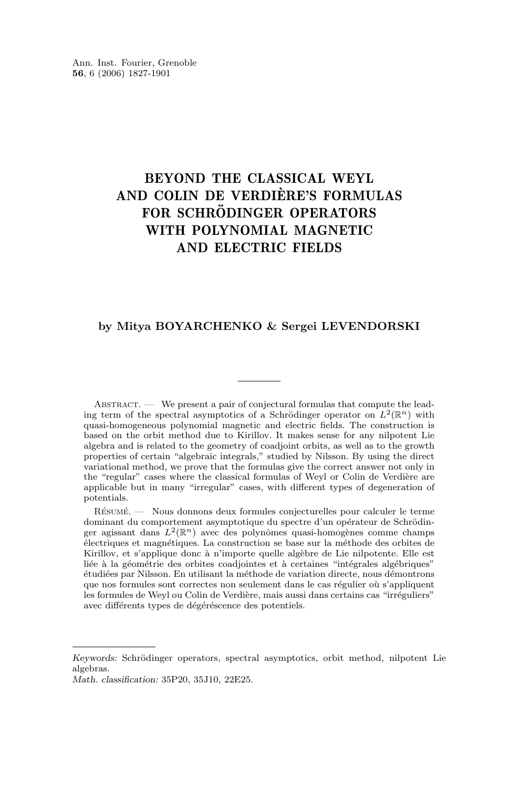Ann. Inst. Fourier, Grenoble **56**, 6 (2006) 1827-1901

# BEYOND THE CLASSICAL WEYL AND COLIN DE VERDIÈRE'S FORMULAS FOR SCHRÖDINGER OPERATORS WITH POLYNOMIAL MAGNETIC AND ELECTRIC FIELDS

#### **by Mitya BOYARCHENKO & Sergei LEVENDORSKI**

ABSTRACT. — We present a pair of conjectural formulas that compute the leading term of the spectral asymptotics of a Schrödinger operator on  $L^2(\mathbb{R}^n)$  with quasi-homogeneous polynomial magnetic and electric fields. The construction is based on the orbit method due to Kirillov. It makes sense for any nilpotent Lie algebra and is related to the geometry of coadjoint orbits, as well as to the growth properties of certain "algebraic integrals," studied by Nilsson. By using the direct variational method, we prove that the formulas give the correct answer not only in the "regular" cases where the classical formulas of Weyl or Colin de Verdière are applicable but in many "irregular" cases, with different types of degeneration of potentials.

Résumé. — Nous donnons deux formules conjecturelles pour calculer le terme dominant du comportement asymptotique du spectre d'un opérateur de Schrödinger agissant dans  $L^2(\mathbb{R}^n)$  avec des polynômes quasi-homogènes comme champs électriques et magnétiques. La construction se base sur la méthode des orbites de Kirillov, et s'applique donc à n'importe quelle algèbre de Lie nilpotente. Elle est liée à la géométrie des orbites coadjointes et à certaines "intégrales algébriques" étudiées par Nilsson. En utilisant la méthode de variation directe, nous démontrons que nos formules sont correctes non seulement dans le cas régulier où s'appliquent les formules de Weyl ou Colin de Verdière, mais aussi dans certains cas "irréguliers" avec différents types de dégéréscence des potentiels.

*Keywords:* Schrödinger operators, spectral asymptotics, orbit method, nilpotent Lie algebras.

*Math. classification:* 35P20, 35J10, 22E25.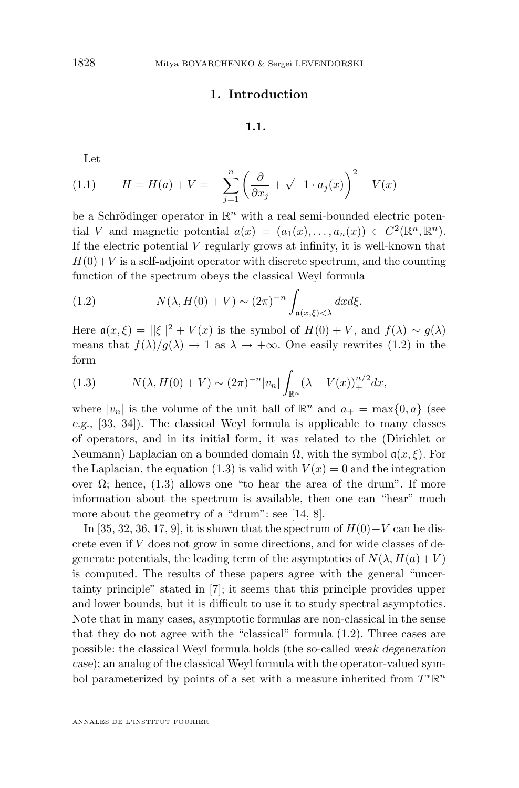## **1. Introduction**

### **1.1.**

<span id="page-2-0"></span>Let

(1.1) 
$$
H = H(a) + V = -\sum_{j=1}^{n} \left( \frac{\partial}{\partial x_j} + \sqrt{-1} \cdot a_j(x) \right)^2 + V(x)
$$

be a Schrödinger operator in  $\mathbb{R}^n$  with a real semi-bounded electric potential V and magnetic potential  $a(x) = (a_1(x), \ldots, a_n(x)) \in C^2(\mathbb{R}^n, \mathbb{R}^n)$ . If the electric potential  $V$  regularly grows at infinity, it is well-known that  $H(0)+V$  is a self-adjoint operator with discrete spectrum, and the counting function of the spectrum obeys the classical Weyl formula

(1.2) 
$$
N(\lambda, H(0) + V) \sim (2\pi)^{-n} \int_{\mathfrak{a}(x,\xi) < \lambda} dx d\xi.
$$

Here  $a(x,\xi) = ||\xi||^2 + V(x)$  is the symbol of  $H(0) + V$ , and  $f(\lambda) \sim g(\lambda)$ means that  $f(\lambda)/g(\lambda) \to 1$  as  $\lambda \to +\infty$ . One easily rewrites (1.2) in the form

(1.3) 
$$
N(\lambda, H(0) + V) \sim (2\pi)^{-n} |v_n| \int_{\mathbb{R}^n} (\lambda - V(x))_+^{n/2} dx,
$$

where  $|v_n|$  is the volume of the unit ball of  $\mathbb{R}^n$  and  $a_+ = \max\{0, a\}$  (see *e.g.,* [\[33,](#page-74-0) [34\]](#page-74-0)). The classical Weyl formula is applicable to many classes of operators, and in its initial form, it was related to the (Dirichlet or Neumann) Laplacian on a bounded domain  $\Omega$ , with the symbol  $a(x, \xi)$ . For the Laplacian, the equation (1.3) is valid with  $V(x) = 0$  and the integration over  $Ω$ ; hence,  $(1.3)$  allows one "to hear the area of the drum". If more information about the spectrum is available, then one can "hear" much more about the geometry of a "drum": see [\[14,](#page-73-0) [8\]](#page-73-0).

In [\[35,](#page-74-0) [32,](#page-74-0) [36,](#page-74-0) [17,](#page-74-0) [9\]](#page-73-0), it is shown that the spectrum of  $H(0)+V$  can be discrete even if V does not grow in some directions, and for wide classes of degenerate potentials, the leading term of the asymptotics of  $N(\lambda, H(a) + V)$ is computed. The results of these papers agree with the general "uncertainty principle" stated in [\[7\]](#page-73-0); it seems that this principle provides upper and lower bounds, but it is difficult to use it to study spectral asymptotics. Note that in many cases, asymptotic formulas are non-classical in the sense that they do not agree with the "classical" formula (1.2). Three cases are possible: the classical Weyl formula holds (the so-called *weak degeneration case*); an analog of the classical Weyl formula with the operator-valued symbol parameterized by points of a set with a measure inherited from  $T^*\mathbb{R}^n$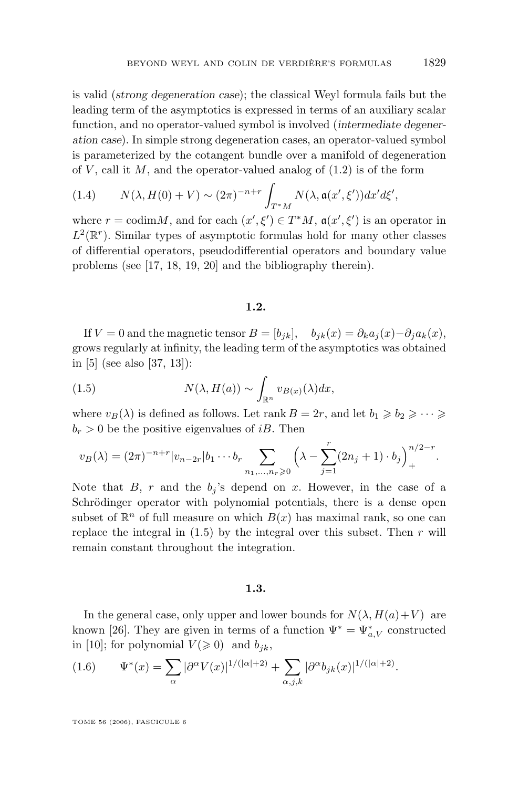<span id="page-3-0"></span>is valid (*strong degeneration case*); the classical Weyl formula fails but the leading term of the asymptotics is expressed in terms of an auxiliary scalar function, and no operator-valued symbol is involved (*intermediate degeneration case*). In simple strong degeneration cases, an operator-valued symbol is parameterized by the cotangent bundle over a manifold of degeneration of  $V$ , call it  $M$ , and the operator-valued analog of  $(1.2)$  is of the form

(1.4) 
$$
N(\lambda, H(0) + V) \sim (2\pi)^{-n+r} \int_{T^*M} N(\lambda, \mathfrak{a}(x', \xi')) dx' d\xi',
$$

where  $r = \text{codim}M$ , and for each  $(x', \xi') \in T^*M$ ,  $\mathfrak{a}(x', \xi')$  is an operator in  $L^2(\mathbb{R}^r)$ . Similar types of asymptotic formulas hold for many other classes of differential operators, pseudodifferential operators and boundary value problems (see [\[17,](#page-74-0) [18,](#page-74-0) [19,](#page-74-0) [20\]](#page-74-0) and the bibliography therein).

#### **1.2.**

If  $V = 0$  and the magnetic tensor  $B = [b_{jk}], \quad b_{jk}(x) = \partial_k a_j(x) - \partial_j a_k(x)$ , grows regularly at infinity, the leading term of the asymptotics was obtained in [\[5\]](#page-73-0) (see also [\[37,](#page-74-0) [13\]](#page-73-0)):

(1.5) 
$$
N(\lambda, H(a)) \sim \int_{\mathbb{R}^n} v_{B(x)}(\lambda) dx,
$$

where  $v_B(\lambda)$  is defined as follows. Let rank  $B = 2r$ , and let  $b_1 \geq b_2 \geq \cdots \geq b_n$  $b_r > 0$  be the positive eigenvalues of *iB*. Then

$$
v_B(\lambda) = (2\pi)^{-n+r} |v_{n-2r}| b_1 \cdots b_r \sum_{n_1, \ldots, n_r \geq 0} \left( \lambda - \sum_{j=1}^r (2n_j + 1) \cdot b_j \right)_+^{n/2-r}.
$$

Note that B, r and the  $b_j$ 's depend on x. However, in the case of a Schrödinger operator with polynomial potentials, there is a dense open subset of  $\mathbb{R}^n$  of full measure on which  $B(x)$  has maximal rank, so one can replace the integral in  $(1.5)$  by the integral over this subset. Then r will remain constant throughout the integration.

#### **1.3.**

In the general case, only upper and lower bounds for  $N(\lambda, H(a)+V)$  are known [\[26\]](#page-74-0). They are given in terms of a function  $\Psi^* = \Psi^*_{a,V}$  constructed in [\[10\]](#page-73-0); for polynomial  $V(\geq 0)$  and  $b_{jk}$ ,

(1.6) 
$$
\Psi^*(x) = \sum_{\alpha} |\partial^{\alpha} V(x)|^{1/(|\alpha|+2)} + \sum_{\alpha,j,k} |\partial^{\alpha} b_{jk}(x)|^{1/(|\alpha|+2)}.
$$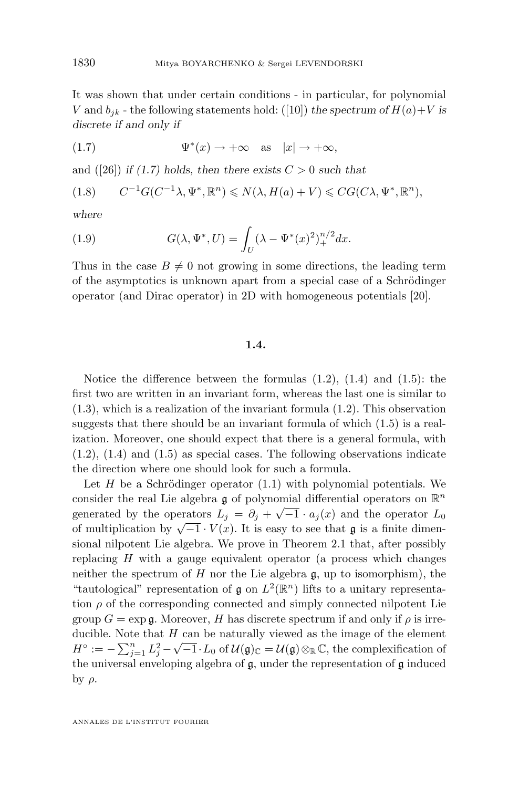<span id="page-4-0"></span>It was shown that under certain conditions - in particular, for polynomial V and  $b_{jk}$  - the following statements hold: ([\[10\]](#page-73-0)) *the spectrum of*  $H(a)+V$  *is discrete if and only if*

(1.7) 
$$
\Psi^*(x) \to +\infty \quad \text{as} \quad |x| \to +\infty,
$$

and  $([26])$  $([26])$  $([26])$  *if (1.7) holds, then there exists*  $C > 0$  *such that* 

$$
(1.8) \qquad C^{-1}G(C^{-1}\lambda, \Psi^*, \mathbb{R}^n) \leq N(\lambda, H(a) + V) \leqslant CG(C\lambda, \Psi^*, \mathbb{R}^n),
$$

*where*

(1.9) 
$$
G(\lambda, \Psi^*, U) = \int_U (\lambda - \Psi^*(x)^2)_+^{n/2} dx.
$$

Thus in the case  $B \neq 0$  not growing in some directions, the leading term of the asymptotics is unknown apart from a special case of a Schrödinger operator (and Dirac operator) in 2D with homogeneous potentials [\[20\]](#page-74-0).

## **1.4.**

Notice the difference between the formulas  $(1.2)$ ,  $(1.4)$  and  $(1.5)$ : the first two are written in an invariant form, whereas the last one is similar to [\(1.3\)](#page-2-0), which is a realization of the invariant formula [\(1.2\)](#page-2-0). This observation suggests that there should be an invariant formula of which [\(1.5\)](#page-3-0) is a realization. Moreover, one should expect that there is a general formula, with  $(1.2)$ ,  $(1.4)$  and  $(1.5)$  as special cases. The following observations indicate the direction where one should look for such a formula.

Let  $H$  be a Schrödinger operator  $(1.1)$  with polynomial potentials. We consider the real Lie algebra  $\mathfrak g$  of polynomial differential operators on  $\mathbb R^n$ generated by the operators  $L_j = \partial_j + \sqrt{-1} \cdot a_j(x)$  and the operator  $L_0$ behinder by the operators  $L_j = U_j + \sqrt{-1} \cdot u_j(x)$  and the operator  $L_0$ <br>of multiplication by  $\sqrt{-1} \cdot V(x)$ . It is easy to see that **g** is a finite dimensional nilpotent Lie algebra. We prove in Theorem [2.1](#page-14-0) that, after possibly replacing H with a gauge equivalent operator (a process which changes neither the spectrum of  $H$  nor the Lie algebra  $\mathfrak{g}$ , up to isomorphism), the "tautological" representation of  $\mathfrak g$  on  $L^2(\mathbb R^n)$  lifts to a unitary representation  $\rho$  of the corresponding connected and simply connected nilpotent Lie group  $G = \exp \mathfrak{g}$ . Moreover, H has discrete spectrum if and only if  $\rho$  is irreducible. Note that  $H$  can be naturally viewed as the image of the element duction. Note that H can be hatter any viewed as the image of the element  $H^{\circ} := -\sum_{j=1}^{n} L_j^2 - \sqrt{-1} \cdot L_0$  of  $\mathcal{U}(\mathfrak{g})_{\mathbb{C}} = \mathcal{U}(\mathfrak{g}) \otimes_{\mathbb{R}} \mathbb{C}$ , the complexification of the universal enveloping algebra of g, under the representation of g induced by  $ρ$ .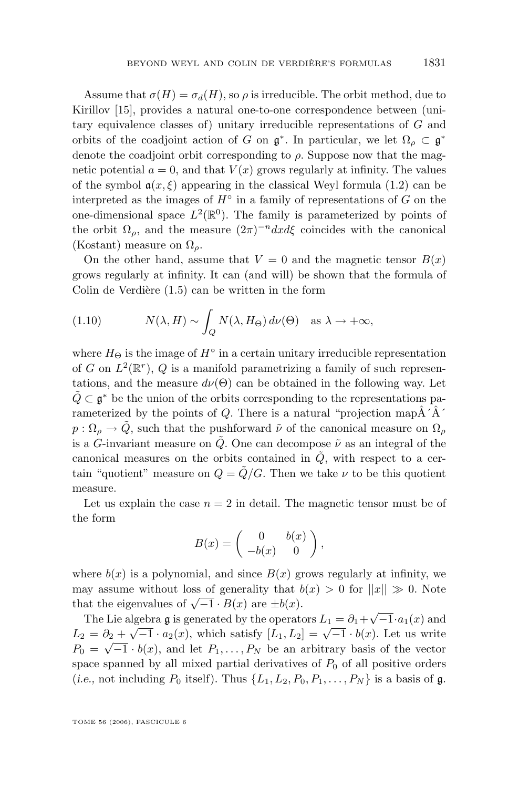<span id="page-5-0"></span>Assume that  $\sigma(H) = \sigma_d(H)$ , so  $\rho$  is irreducible. The orbit method, due to Kirillov [\[15\]](#page-73-0), provides a natural one-to-one correspondence between (unitary equivalence classes of) unitary irreducible representations of G and orbits of the coadjoint action of G on  $\mathfrak{g}^*$ . In particular, we let  $\Omega_\rho \subset \mathfrak{g}^*$ denote the coadjoint orbit corresponding to  $\rho$ . Suppose now that the magnetic potential  $a = 0$ , and that  $V(x)$  grows regularly at infinity. The values of the symbol  $a(x, \xi)$  appearing in the classical Weyl formula [\(1.2\)](#page-2-0) can be interpreted as the images of  $H^{\circ}$  in a family of representations of G on the one-dimensional space  $L^2(\mathbb{R}^0)$ . The family is parameterized by points of the orbit  $\Omega_{\rho}$ , and the measure  $(2\pi)^{-n}dx d\xi$  coincides with the canonical (Kostant) measure on  $\Omega_{\rho}$ .

On the other hand, assume that  $V = 0$  and the magnetic tensor  $B(x)$ grows regularly at infinity. It can (and will) be shown that the formula of Colin de Verdière [\(1.5\)](#page-3-0) can be written in the form

(1.10) 
$$
N(\lambda, H) \sim \int_{Q} N(\lambda, H_{\Theta}) d\nu(\Theta) \text{ as } \lambda \to +\infty,
$$

where  $H_{\Theta}$  is the image of  $H^{\circ}$  in a certain unitary irreducible representation of G on  $L^2(\mathbb{R}^r)$ , Q is a manifold parametrizing a family of such representations, and the measure  $d\nu(\Theta)$  can be obtained in the following way. Let  $\tilde{Q} \subset \mathfrak{g}^*$  be the union of the orbits corresponding to the representations parameterized by the points of Q. There is a natural "projection map $\hat{A}^{\prime}\hat{A}^{\prime}$  $p:\Omega_{\rho}\to Q$ , such that the pushforward  $\tilde{\nu}$  of the canonical measure on  $\Omega_{\rho}$ is a G-invariant measure on  $\ddot{Q}$ . One can decompose  $\ddot{\nu}$  as an integral of the canonical measures on the orbits contained in  $\tilde{Q}$ , with respect to a certain "quotient" measure on  $Q = \tilde{Q}/G$ . Then we take  $\nu$  to be this quotient measure.

Let us explain the case  $n = 2$  in detail. The magnetic tensor must be of the form

$$
B(x) = \begin{pmatrix} 0 & b(x) \\ -b(x) & 0 \end{pmatrix},
$$

where  $b(x)$  is a polynomial, and since  $B(x)$  grows regularly at infinity, we may assume without loss of generality that  $b(x) > 0$  for  $||x|| \gg 0$ . Note that the eigenvalues of  $\sqrt{-1} \cdot B(x)$  are  $\pm b(x)$ .

The Lie algebra g is generated by the operators  $L_1 = \partial_1 + \sqrt{-1} \cdot a_1(x)$  and The Lie algebra y is generated by the operators  $L_1 = o_1 + \sqrt{-1} \cdot a_1(x)$  and<br>  $L_2 = \partial_2 + \sqrt{-1} \cdot a_2(x)$ , which satisfy  $[L_1, L_2] = \sqrt{-1} \cdot b(x)$ . Let us write  $P_0 = \sqrt{-1} \cdot b(x)$ , and let  $P_1, \ldots, P_N$  be an arbitrary basis of the vector space spanned by all mixed partial derivatives of  $P_0$  of all positive orders (*i.e.*, not including  $P_0$  itself). Thus  $\{L_1, L_2, P_0, P_1, \ldots, P_N\}$  is a basis of **g**.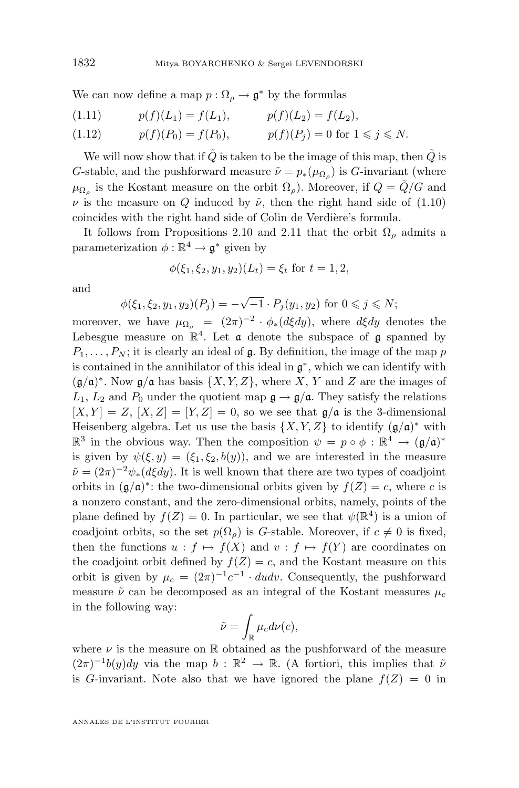We can now define a map  $p: \Omega_{\rho} \to \mathfrak{g}^*$  by the formulas

(1.11) 
$$
p(f)(L_1) = f(L_1), \qquad p(f)(L_2) = f(L_2),
$$

$$
(1.12) \t p(f)(P_0) = f(P_0), \t p(f)(P_j) = 0 \text{ for } 1 \leq j \leq N.
$$

We will now show that if  $\tilde{Q}$  is taken to be the image of this map, then  $\tilde{Q}$  is G-stable, and the pushforward measure  $\tilde{\nu} = p_*(\mu_{\Omega_\rho})$  is G-invariant (where  $\mu_{\Omega_{\rho}}$  is the Kostant measure on the orbit  $\Omega_{\rho}$ ). Moreover, if  $Q = \tilde{Q}/G$  and  $\nu$  is the measure on Q induced by  $\tilde{\nu}$ , then the right hand side of [\(1.10\)](#page-5-0) coincides with the right hand side of Colin de Verdière's formula.

It follows from Propositions [2.10](#page-21-0) and [2.11](#page-21-0) that the orbit  $\Omega_{\rho}$  admits a parameterization  $\phi : \mathbb{R}^4 \to \mathfrak{g}^*$  given by

$$
\phi(\xi_1, \xi_2, y_1, y_2)(L_t) = \xi_t \text{ for } t = 1, 2,
$$

and

$$
\phi(\xi_1, \xi_2, y_1, y_2)(P_j) = -\sqrt{-1} \cdot P_j(y_1, y_2)
$$
 for  $0 \le j \le N$ ;

moreover, we have  $\mu_{\Omega_{\rho}} = (2\pi)^{-2} \cdot \phi_*(d\xi dy)$ , where  $d\xi dy$  denotes the Lebesgue measure on  $\mathbb{R}^4$ . Let **a** denote the subspace of **g** spanned by  $P_1, \ldots, P_N$ ; it is clearly an ideal of  $\mathfrak g$ . By definition, the image of the map p is contained in the annihilator of this ideal in  $\mathfrak{g}^*$ , which we can identify with  $(\mathfrak{g}/\mathfrak{a})^*$ . Now  $\mathfrak{g}/\mathfrak{a}$  has basis  $\{X, Y, Z\}$ , where X, Y and Z are the images of  $L_1, L_2$  and  $P_0$  under the quotient map  $\mathfrak{g} \to \mathfrak{g}/\mathfrak{a}$ . They satisfy the relations  $[X, Y] = Z$ ,  $[X, Z] = [Y, Z] = 0$ , so we see that  $\mathfrak{g}/\mathfrak{a}$  is the 3-dimensional Heisenberg algebra. Let us use the basis  $\{X, Y, Z\}$  to identify  $(\mathfrak{g}/\mathfrak{a})^*$  with  $\mathbb{R}^3$  in the obvious way. Then the composition  $\psi = p \circ \phi : \mathbb{R}^4 \to (\mathfrak{g}/\mathfrak{a})^*$ is given by  $\psi(\xi, y) = (\xi_1, \xi_2, b(y))$ , and we are interested in the measure  $\tilde{\nu} = (2\pi)^{-2} \psi_*(d\xi dy)$ . It is well known that there are two types of coadjoint orbits in  $(\mathfrak{g}/\mathfrak{a})^*$ : the two-dimensional orbits given by  $f(Z) = c$ , where c is a nonzero constant, and the zero-dimensional orbits, namely, points of the plane defined by  $f(Z) = 0$ . In particular, we see that  $\psi(\mathbb{R}^4)$  is a union of coadjoint orbits, so the set  $p(\Omega_0)$  is G-stable. Moreover, if  $c \neq 0$  is fixed, then the functions  $u : f \mapsto f(X)$  and  $v : f \mapsto f(Y)$  are coordinates on the coadjoint orbit defined by  $f(Z) = c$ , and the Kostant measure on this orbit is given by  $\mu_c = (2\pi)^{-1}c^{-1} \cdot dudv$ . Consequently, the pushforward measure  $\tilde{\nu}$  can be decomposed as an integral of the Kostant measures  $\mu_c$ in the following way:

$$
\tilde{\nu} = \int_{\mathbb{R}} \mu_c d\nu(c),
$$

where  $\nu$  is the measure on  $\mathbb R$  obtained as the pushforward of the measure  $(2\pi)^{-1}b(y)dy$  via the map  $b : \mathbb{R}^2 \to \mathbb{R}$ . (A fortiori, this implies that  $\tilde{\nu}$ is G-invariant. Note also that we have ignored the plane  $f(Z) = 0$  in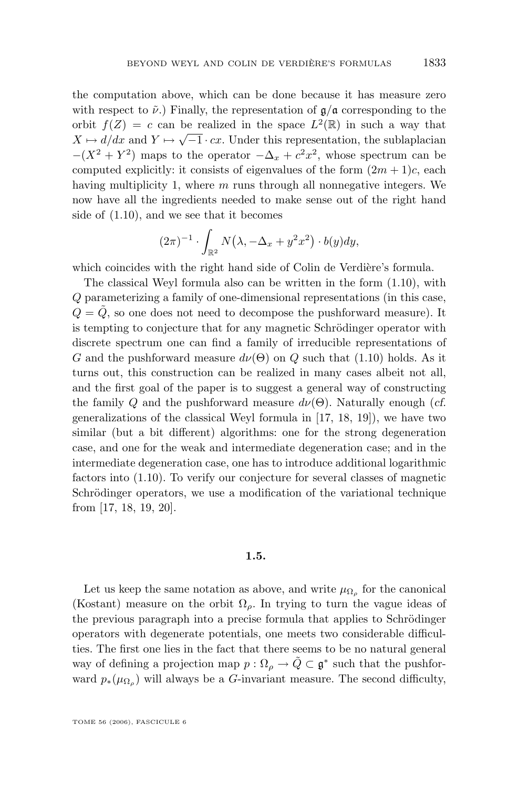<span id="page-7-0"></span>the computation above, which can be done because it has measure zero with respect to  $\tilde{\nu}$ .) Finally, the representation of  $\mathfrak{g}/\mathfrak{a}$  corresponding to the orbit  $f(Z) = c$  can be realized in the space  $L^2(\mathbb{R})$  in such a way that  $X \mapsto d/dx$  and  $Y \mapsto \sqrt{-1 \cdot cx}$ . Under this representation, the sublaplacian  $-(X^2 + Y^2)$  maps to the operator  $-\Delta_x + c^2x^2$ , whose spectrum can be computed explicitly: it consists of eigenvalues of the form  $(2m + 1)c$ , each having multiplicity 1, where  $m$  runs through all nonnegative integers. We now have all the ingredients needed to make sense out of the right hand side of [\(1.10\)](#page-5-0), and we see that it becomes

$$
(2\pi)^{-1} \cdot \int_{\mathbb{R}^2} N(\lambda, -\Delta_x + y^2 x^2) \cdot b(y) dy,
$$

which coincides with the right hand side of Colin de Verdière's formula.

The classical Weyl formula also can be written in the form [\(1.10\)](#page-5-0), with Q parameterizing a family of one-dimensional representations (in this case,  $Q = \tilde{Q}$ , so one does not need to decompose the pushforward measure). It is tempting to conjecture that for any magnetic Schrödinger operator with discrete spectrum one can find a family of irreducible representations of G and the pushforward measure  $d\nu(\Theta)$  on Q such that [\(1.10\)](#page-5-0) holds. As it turns out, this construction can be realized in many cases albeit not all, and the first goal of the paper is to suggest a general way of constructing the family Q and the pushforward measure  $d\nu(\Theta)$ . Naturally enough (*cf.*) generalizations of the classical Weyl formula in [\[17,](#page-74-0) [18,](#page-74-0) [19\]](#page-74-0)), we have two similar (but a bit different) algorithms: one for the strong degeneration case, and one for the weak and intermediate degeneration case; and in the intermediate degeneration case, one has to introduce additional logarithmic factors into [\(1.10\)](#page-5-0). To verify our conjecture for several classes of magnetic Schrödinger operators, we use a modification of the variational technique from [\[17,](#page-74-0) [18,](#page-74-0) [19,](#page-74-0) [20\]](#page-74-0).

#### **1.5.**

Let us keep the same notation as above, and write  $\mu_{\Omega_{\rho}}$  for the canonical (Kostant) measure on the orbit  $\Omega$ <sub>ρ</sub>. In trying to turn the vague ideas of the previous paragraph into a precise formula that applies to Schrödinger operators with degenerate potentials, one meets two considerable difficulties. The first one lies in the fact that there seems to be no natural general way of defining a projection map  $p: \Omega_{\rho} \to \tilde{Q} \subset \mathfrak{g}^*$  such that the pushforward  $p_*(\mu_{\Omega_\rho})$  will always be a G-invariant measure. The second difficulty,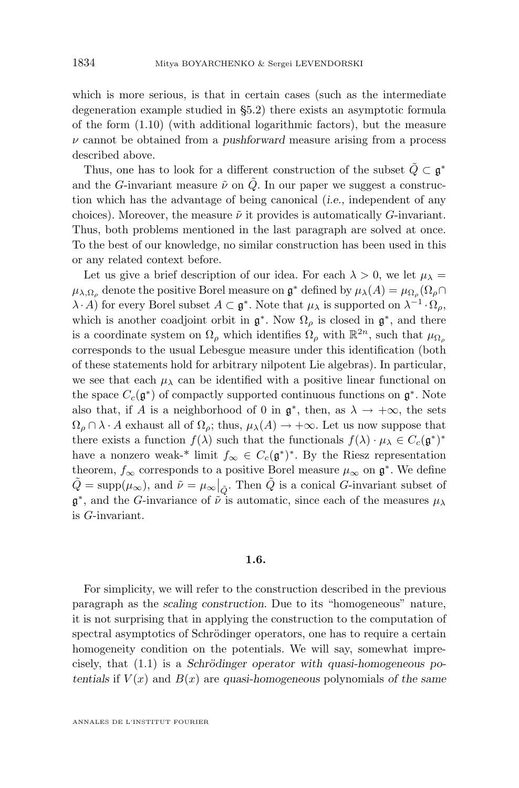which is more serious, is that in certain cases (such as the intermediate degeneration example studied in [§5.2\)](#page-52-0) there exists an asymptotic formula of the form [\(1.10\)](#page-5-0) (with additional logarithmic factors), but the measure ν cannot be obtained from a *pushforward* measure arising from a process described above.

Thus, one has to look for a different construction of the subset  $\tilde{Q} \subset \mathfrak{g}^*$ and the G-invariant measure  $\tilde{\nu}$  on  $\tilde{Q}$ . In our paper we suggest a construction which has the advantage of being canonical (*i.e.,* independent of any choices). Moreover, the measure  $\tilde{\nu}$  it provides is automatically G-invariant. Thus, both problems mentioned in the last paragraph are solved at once. To the best of our knowledge, no similar construction has been used in this or any related context before.

Let us give a brief description of our idea. For each  $\lambda > 0$ , we let  $\mu_{\lambda} =$  $\mu_{\lambda,\Omega_\rho}$  denote the positive Borel measure on  $\mathfrak{g}^*$  defined by  $\mu_\lambda(A) = \mu_{\Omega_\rho}(\Omega_\rho \cap$  $(\lambda \cdot A)$  for every Borel subset  $A \subset \mathfrak{g}^*$ . Note that  $\mu_{\lambda}$  is supported on  $\lambda^{-1} \cdot \Omega_{\rho}$ , which is another coadjoint orbit in  $\mathfrak{g}^*$ . Now  $\Omega_\rho$  is closed in  $\mathfrak{g}^*$ , and there is a coordinate system on  $\Omega_{\rho}$  which identifies  $\Omega_{\rho}$  with  $\mathbb{R}^{2n}$ , such that  $\mu_{\Omega_{\rho}}$ corresponds to the usual Lebesgue measure under this identification (both of these statements hold for arbitrary nilpotent Lie algebras). In particular, we see that each  $\mu_{\lambda}$  can be identified with a positive linear functional on the space  $C_c(\mathfrak{g}^*)$  of compactly supported continuous functions on  $\mathfrak{g}^*$ . Note also that, if A is a neighborhood of 0 in  $\mathfrak{g}^*$ , then, as  $\lambda \to +\infty$ , the sets  $\Omega_{\rho} \cap \lambda \cdot A$  exhaust all of  $\Omega_{\rho}$ ; thus,  $\mu_{\lambda}(A) \to +\infty$ . Let us now suppose that there exists a function  $f(\lambda)$  such that the functionals  $f(\lambda) \cdot \mu_\lambda \in C_c(\mathfrak{g}^*)^*$ have a nonzero weak-\* limit  $f_{\infty} \in C_c(\mathfrak{g}^*)^*$ . By the Riesz representation theorem,  $f_{\infty}$  corresponds to a positive Borel measure  $\mu_{\infty}$  on  $\mathfrak{g}^*$ . We define  $\tilde{Q} = \text{supp}(\mu_{\infty})$ , and  $\tilde{\nu} = \mu_{\infty}|_{\tilde{Q}}$ . Then  $\tilde{Q}$  is a conical *G*-invariant subset of  $\mathfrak{g}^*$ , and the G-invariance of  $\tilde{\nu}$  is automatic, since each of the measures  $\mu_{\lambda}$ is G-invariant.

#### **1.6.**

For simplicity, we will refer to the construction described in the previous paragraph as the *scaling construction*. Due to its "homogeneous" nature, it is not surprising that in applying the construction to the computation of spectral asymptotics of Schrödinger operators, one has to require a certain homogeneity condition on the potentials. We will say, somewhat imprecisely, that [\(1.1\)](#page-2-0) is a *Schrödinger operator with quasi-homogeneous potentials* if  $V(x)$  and  $B(x)$  are *quasi-homogeneous* polynomials of the same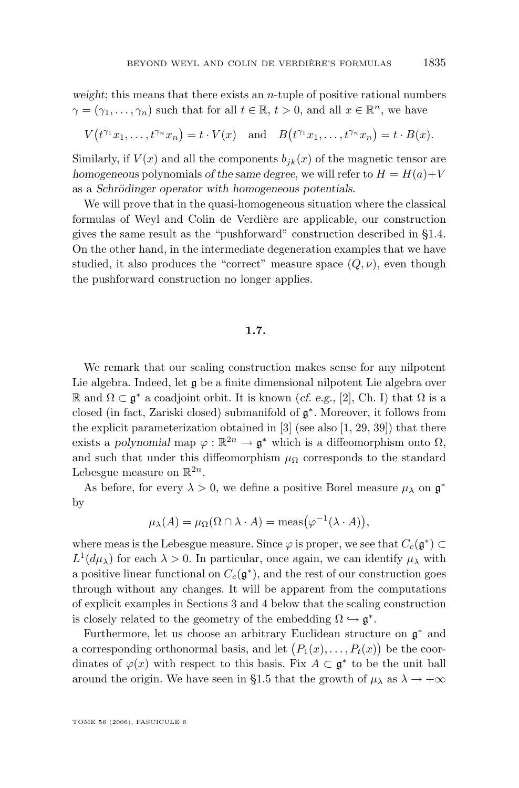<span id="page-9-0"></span>*weight*; this means that there exists an n-tuple of positive rational numbers  $\gamma = (\gamma_1, \ldots, \gamma_n)$  such that for all  $t \in \mathbb{R}, t > 0$ , and all  $x \in \mathbb{R}^n$ , we have

$$
V(t^{\gamma_1}x_1,\ldots,t^{\gamma_n}x_n)=t\cdot V(x)\quad\text{and}\quad B(t^{\gamma_1}x_1,\ldots,t^{\gamma_n}x_n)=t\cdot B(x).
$$

Similarly, if  $V(x)$  and all the components  $b_{ik}(x)$  of the magnetic tensor are *homogeneous* polynomials *of the same degree*, we will refer to  $H = H(a) + V$ as a *Schrödinger operator with homogeneous potentials*.

We will prove that in the quasi-homogeneous situation where the classical formulas of Weyl and Colin de Verdière are applicable, our construction gives the same result as the "pushforward" construction described in [§1.4.](#page-4-0) On the other hand, in the intermediate degeneration examples that we have studied, it also produces the "correct" measure space  $(Q, \nu)$ , even though the pushforward construction no longer applies.

## **1.7.**

We remark that our scaling construction makes sense for any nilpotent Lie algebra. Indeed, let  $\mathfrak g$  be a finite dimensional nilpotent Lie algebra over R and Ω ⊂ g <sup>∗</sup> a coadjoint orbit. It is known (*cf. e.g.,* [\[2\]](#page-73-0), Ch. I) that Ω is a closed (in fact, Zariski closed) submanifold of g ∗ . Moreover, it follows from the explicit parameterization obtained in  $[3]$  (see also  $[1, 29, 39]$  $[1, 29, 39]$  $[1, 29, 39]$  $[1, 29, 39]$  $[1, 29, 39]$ ) that there exists a *polynomial* map  $\varphi : \mathbb{R}^{2n} \to \mathfrak{g}^*$  which is a diffeomorphism onto  $\Omega$ , and such that under this diffeomorphism  $\mu_{\Omega}$  corresponds to the standard Lebesgue measure on  $\mathbb{R}^{2n}$ .

As before, for every  $\lambda > 0$ , we define a positive Borel measure  $\mu_{\lambda}$  on  $\mathfrak{g}^*$ by

$$
\mu_{\lambda}(A) = \mu_{\Omega}(\Omega \cap \lambda \cdot A) = \text{meas}(\varphi^{-1}(\lambda \cdot A)),
$$

where meas is the Lebesgue measure. Since  $\varphi$  is proper, we see that  $C_c(\mathfrak{g}^*) \subset$  $L^1(d\mu_{\lambda})$  for each  $\lambda > 0$ . In particular, once again, we can identify  $\mu_{\lambda}$  with a positive linear functional on  $C_c(\mathfrak{g}^*)$ , and the rest of our construction goes through without any changes. It will be apparent from the computations of explicit examples in Sections [3](#page-25-0) and [4](#page-40-0) below that the scaling construction is closely related to the geometry of the embedding  $\Omega \hookrightarrow \mathfrak{g}^*$ .

Furthermore, let us choose an arbitrary Euclidean structure on g <sup>∗</sup> and a corresponding orthonormal basis, and let  $(P_1(x),...,P_t(x))$  be the coordinates of  $\varphi(x)$  with respect to this basis. Fix  $A \subset \mathfrak{g}^*$  to be the unit ball around the origin. We have seen in [§1.5](#page-7-0) that the growth of  $\mu_{\lambda}$  as  $\lambda \to +\infty$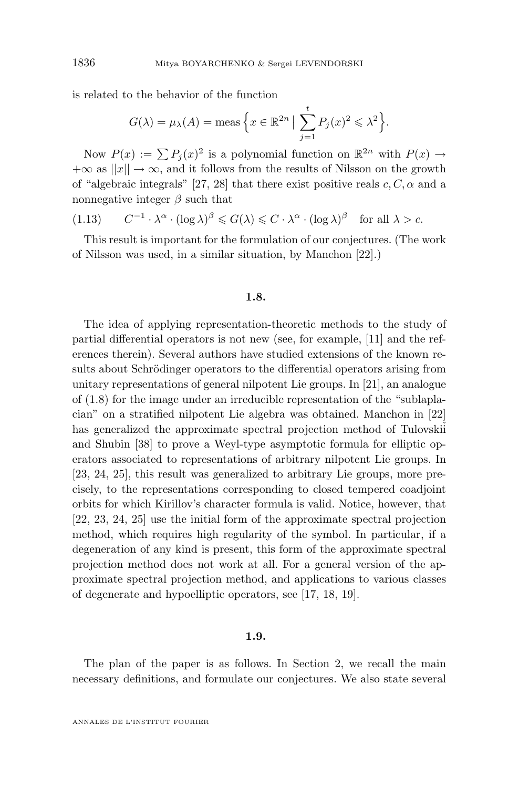<span id="page-10-0"></span>is related to the behavior of the function

$$
G(\lambda) = \mu_{\lambda}(A) = \text{meas}\left\{x \in \mathbb{R}^{2n} \mid \sum_{j=1}^{t} P_j(x)^2 \leq \lambda^2\right\}.
$$

Now  $P(x) := \sum P_j(x)^2$  is a polynomial function on  $\mathbb{R}^{2n}$  with  $P(x) \to$  $+\infty$  as  $||x|| \rightarrow \infty$ , and it follows from the results of Nilsson on the growth of "algebraic integrals" [\[27,](#page-74-0) [28\]](#page-74-0) that there exist positive reals  $c, C, \alpha$  and a nonnegative integer  $\beta$  such that

(1.13) 
$$
C^{-1} \cdot \lambda^{\alpha} \cdot (\log \lambda)^{\beta} \leq G(\lambda) \leq C \cdot \lambda^{\alpha} \cdot (\log \lambda)^{\beta} \text{ for all } \lambda > c.
$$

This result is important for the formulation of our conjectures. (The work of Nilsson was used, in a similar situation, by Manchon [\[22\]](#page-74-0).)

#### **1.8.**

The idea of applying representation-theoretic methods to the study of partial differential operators is not new (see, for example, [\[11\]](#page-73-0) and the references therein). Several authors have studied extensions of the known results about Schrödinger operators to the differential operators arising from unitary representations of general nilpotent Lie groups. In [\[21\]](#page-74-0), an analogue of [\(1.8\)](#page-4-0) for the image under an irreducible representation of the "sublaplacian" on a stratified nilpotent Lie algebra was obtained. Manchon in [\[22\]](#page-74-0) has generalized the approximate spectral projection method of Tulovskii and Shubin [\[38\]](#page-75-0) to prove a Weyl-type asymptotic formula for elliptic operators associated to representations of arbitrary nilpotent Lie groups. In [\[23,](#page-74-0) [24,](#page-74-0) [25\]](#page-74-0), this result was generalized to arbitrary Lie groups, more precisely, to the representations corresponding to closed tempered coadjoint orbits for which Kirillov's character formula is valid. Notice, however, that [\[22,](#page-74-0) [23,](#page-74-0) [24,](#page-74-0) [25\]](#page-74-0) use the initial form of the approximate spectral projection method, which requires high regularity of the symbol. In particular, if a degeneration of any kind is present, this form of the approximate spectral projection method does not work at all. For a general version of the approximate spectral projection method, and applications to various classes of degenerate and hypoelliptic operators, see [\[17,](#page-74-0) [18,](#page-74-0) [19\]](#page-74-0).

#### **1.9.**

The plan of the paper is as follows. In Section [2,](#page-13-0) we recall the main necessary definitions, and formulate our conjectures. We also state several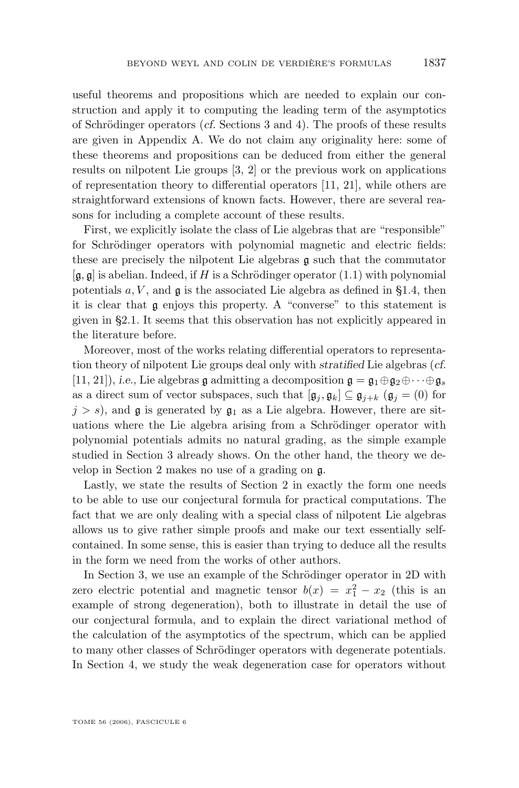useful theorems and propositions which are needed to explain our construction and apply it to computing the leading term of the asymptotics of Schrödinger operators (*cf.* Sections [3](#page-25-0) and [4\)](#page-40-0). The proofs of these results are given in Appendix A. We do not claim any originality here: some of these theorems and propositions can be deduced from either the general results on nilpotent Lie groups [\[3,](#page-73-0) [2\]](#page-73-0) or the previous work on applications of representation theory to differential operators [\[11,](#page-73-0) [21\]](#page-74-0), while others are straightforward extensions of known facts. However, there are several reasons for including a complete account of these results.

First, we explicitly isolate the class of Lie algebras that are "responsible" for Schrödinger operators with polynomial magnetic and electric fields: these are precisely the nilpotent Lie algebras g such that the commutator  $[g, g]$  is abelian. Indeed, if H is a Schrödinger operator [\(1.1\)](#page-2-0) with polynomial potentials  $a, V$ , and  $\mathfrak g$  is the associated Lie algebra as defined in [§1.4,](#page-4-0) then it is clear that g enjoys this property. A "converse" to this statement is given in [§2.1.](#page-13-0) It seems that this observation has not explicitly appeared in the literature before.

Moreover, most of the works relating differential operators to representation theory of nilpotent Lie groups deal only with *stratified* Lie algebras (*cf.* [\[11,](#page-73-0) [21\]](#page-74-0)), *i.e.*, Lie algebras g admitting a decomposition  $\mathfrak{g} = \mathfrak{g}_1 \oplus \mathfrak{g}_2 \oplus \cdots \oplus \mathfrak{g}_s$ as a direct sum of vector subspaces, such that  $[\mathfrak{g}_i, \mathfrak{g}_k] \subseteq \mathfrak{g}_{i+k}$   $(\mathfrak{g}_i = (0)$  for  $j > s$ , and **g** is generated by  $\mathfrak{g}_1$  as a Lie algebra. However, there are situations where the Lie algebra arising from a Schrödinger operator with polynomial potentials admits no natural grading, as the simple example studied in Section [3](#page-25-0) already shows. On the other hand, the theory we develop in Section [2](#page-13-0) makes no use of a grading on g.

Lastly, we state the results of Section [2](#page-13-0) in exactly the form one needs to be able to use our conjectural formula for practical computations. The fact that we are only dealing with a special class of nilpotent Lie algebras allows us to give rather simple proofs and make our text essentially selfcontained. In some sense, this is easier than trying to deduce all the results in the form we need from the works of other authors.

In Section [3,](#page-25-0) we use an example of the Schrödinger operator in 2D with zero electric potential and magnetic tensor  $b(x) = x_1^2 - x_2$  (this is an example of strong degeneration), both to illustrate in detail the use of our conjectural formula, and to explain the direct variational method of the calculation of the asymptotics of the spectrum, which can be applied to many other classes of Schrödinger operators with degenerate potentials. In Section [4,](#page-40-0) we study the weak degeneration case for operators without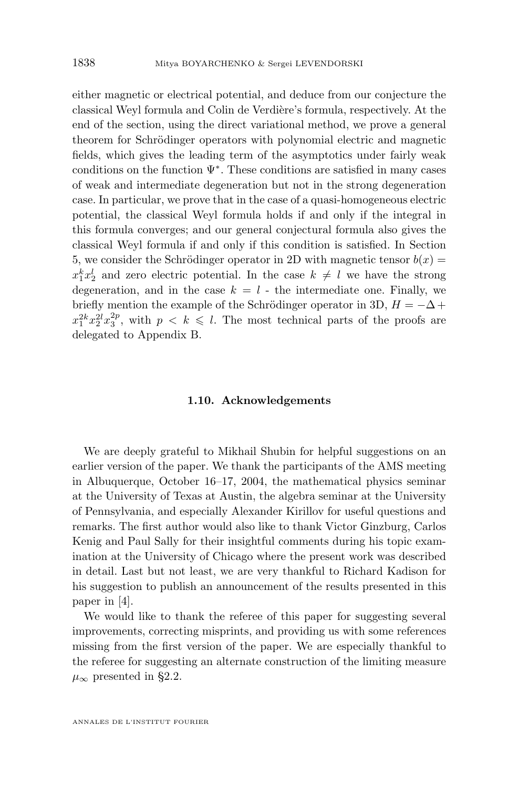either magnetic or electrical potential, and deduce from our conjecture the classical Weyl formula and Colin de Verdière's formula, respectively. At the end of the section, using the direct variational method, we prove a general theorem for Schrödinger operators with polynomial electric and magnetic fields, which gives the leading term of the asymptotics under fairly weak conditions on the function  $\Psi^*$ . These conditions are satisfied in many cases of weak and intermediate degeneration but not in the strong degeneration case. In particular, we prove that in the case of a quasi-homogeneous electric potential, the classical Weyl formula holds if and only if the integral in this formula converges; and our general conjectural formula also gives the classical Weyl formula if and only if this condition is satisfied. In Section [5,](#page-49-0) we consider the Schrödinger operator in 2D with magnetic tensor  $b(x) =$  $x_1^k x_2^l$  and zero electric potential. In the case  $k \neq l$  we have the strong degeneration, and in the case  $k = l$  - the intermediate one. Finally, we briefly mention the example of the Schrödinger operator in 3D,  $H = -\Delta +$  $x_1^{2k}x_2^{2l}x_3^{2p}$ , with  $p \le k \le l$ . The most technical parts of the proofs are delegated to Appendix B.

#### **1.10. Acknowledgements**

We are deeply grateful to Mikhail Shubin for helpful suggestions on an earlier version of the paper. We thank the participants of the AMS meeting in Albuquerque, October 16–17, 2004, the mathematical physics seminar at the University of Texas at Austin, the algebra seminar at the University of Pennsylvania, and especially Alexander Kirillov for useful questions and remarks. The first author would also like to thank Victor Ginzburg, Carlos Kenig and Paul Sally for their insightful comments during his topic examination at the University of Chicago where the present work was described in detail. Last but not least, we are very thankful to Richard Kadison for his suggestion to publish an announcement of the results presented in this paper in [\[4\]](#page-73-0).

We would like to thank the referee of this paper for suggesting several improvements, correcting misprints, and providing us with some references missing from the first version of the paper. We are especially thankful to the referee for suggesting an alternate construction of the limiting measure  $\mu_{\infty}$  presented in [§2.2.](#page-15-0)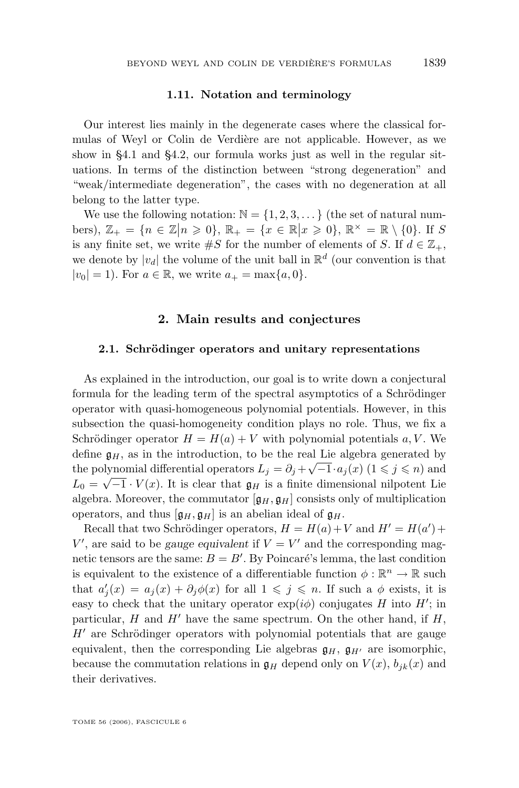#### **1.11. Notation and terminology**

<span id="page-13-0"></span>Our interest lies mainly in the degenerate cases where the classical formulas of Weyl or Colin de Verdière are not applicable. However, as we show in [§4.1](#page-40-0) and [§4.2,](#page-44-0) our formula works just as well in the regular situations. In terms of the distinction between "strong degeneration" and "weak/intermediate degeneration", the cases with no degeneration at all belong to the latter type.

We use the following notation:  $\mathbb{N} = \{1, 2, 3, \dots\}$  (the set of natural numbers),  $\mathbb{Z}_+ = \{n \in \mathbb{Z} | n \geq 0\}$ ,  $\mathbb{R}_+ = \{x \in \mathbb{R} | x \geq 0\}$ ,  $\mathbb{R}^\times = \mathbb{R} \setminus \{0\}$ . If S is any finite set, we write  $\#S$  for the number of elements of S. If  $d \in \mathbb{Z}_+$ , we denote by  $|v_d|$  the volume of the unit ball in  $\mathbb{R}^d$  (our convention is that  $|v_0| = 1$ ). For  $a \in \mathbb{R}$ , we write  $a_+ = \max\{a, 0\}$ .

#### **2. Main results and conjectures**

#### **2.1. Schrödinger operators and unitary representations**

As explained in the introduction, our goal is to write down a conjectural formula for the leading term of the spectral asymptotics of a Schrödinger operator with quasi-homogeneous polynomial potentials. However, in this subsection the quasi-homogeneity condition plays no role. Thus, we fix a Schrödinger operator  $H = H(a) + V$  with polynomial potentials a, V. We define  $\mathfrak{g}_H$ , as in the introduction, to be the real Lie algebra generated by the polynomial differential operators  $L_j = \partial_j + \sqrt{-1} \cdot a_j(x)$  ( $1 \leq j \leq n$ ) and  $L_0 = \sqrt{-1} \cdot V(x)$ . It is clear that  $\mathfrak{g}_H$  is a finite dimensional nilpotent Lie algebra. Moreover, the commutator  $[g_H, g_H]$  consists only of multiplication operators, and thus  $[\mathfrak{g}_H, \mathfrak{g}_H]$  is an abelian ideal of  $\mathfrak{g}_H$ .

Recall that two Schrödinger operators,  $H = H(a) + V$  and  $H' = H(a') +$  $V'$ , are said to be *gauge equivalent* if  $V = V'$  and the corresponding magnetic tensors are the same:  $B = B'$ . By Poincaré's lemma, the last condition is equivalent to the existence of a differentiable function  $\phi : \mathbb{R}^n \to \mathbb{R}$  such that  $a'_j(x) = a_j(x) + \partial_j \phi(x)$  for all  $1 \leq j \leq n$ . If such a  $\phi$  exists, it is easy to check that the unitary operator  $\exp(i\phi)$  conjugates H into H'; in particular, H and H' have the same spectrum. On the other hand, if  $H$ ,  $H'$  are Schrödinger operators with polynomial potentials that are gauge equivalent, then the corresponding Lie algebras  $\mathfrak{g}_H$ ,  $\mathfrak{g}_{H'}$  are isomorphic, because the commutation relations in  $\mathfrak{g}_H$  depend only on  $V(x)$ ,  $b_{jk}(x)$  and their derivatives.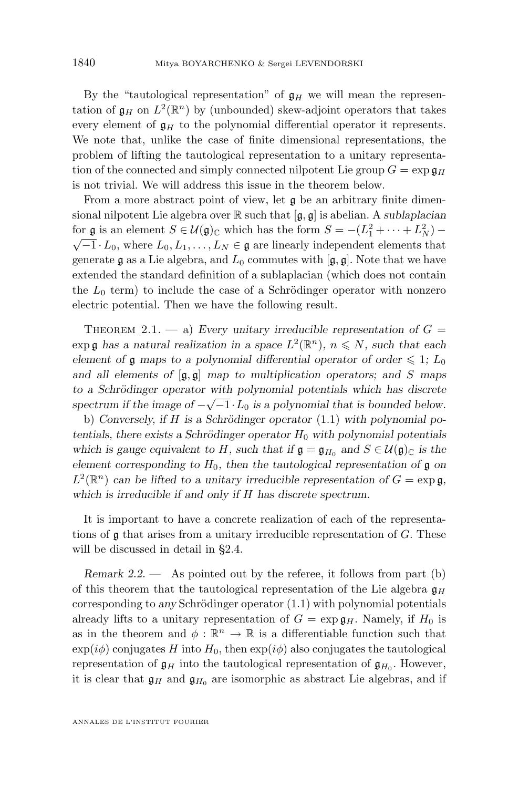<span id="page-14-0"></span>By the "tautological representation" of  $\mathfrak{g}_H$  we will mean the representation of  $\mathfrak{g}_H$  on  $L^2(\mathbb{R}^n)$  by (unbounded) skew-adjoint operators that takes every element of  $\mathfrak{g}_H$  to the polynomial differential operator it represents. We note that, unlike the case of finite dimensional representations, the problem of lifting the tautological representation to a unitary representation of the connected and simply connected nilpotent Lie group  $G = \exp \mathfrak{g}_H$ is not trivial. We will address this issue in the theorem below.

From a more abstract point of view, let  $\mathfrak g$  be an arbitrary finite dimensional nilpotent Lie algebra over R such that [g, g] is abelian. A *sublaplacian* for g is an element  $S \in \mathcal{U}(\mathfrak{g})_{\mathbb{C}}$  which has the form  $S = -(L_1^2 + \cdots + L_N^2) \sqrt{-1} \cdot L_0$ , where  $L_0, L_1, \ldots, L_N \in \mathfrak{g}$  are linearly independent elements that generate g as a Lie algebra, and  $L_0$  commutes with  $[g, g]$ . Note that we have extended the standard definition of a sublaplacian (which does not contain the  $L_0$  term) to include the case of a Schrödinger operator with nonzero electric potential. Then we have the following result.

THEOREM 2.1.  $-$  a) *Every unitary irreducible representation of*  $G =$  $\exp \mathfrak{g}$  has a natural realization in a space  $L^2(\mathbb{R}^n)$ ,  $n \leq N$ , such that each *element of* g maps to a polynomial differential operator of order  $\leq 1$ ; L<sub>0</sub> *and all elements of* [g, g] *map to multiplication operators; and* S *maps to a Schrödinger operator with polynomial potentials which has discrete* √ spectrum if the image of  $-\sqrt{-1} L_0$  is a polynomial that is bounded below.

b) *Conversely, if* H *is a Schrödinger operator* [\(1.1\)](#page-2-0) *with polynomial potentials, there exists a Schrödinger operator*  $H_0$  *with polynomial potentials which is gauge equivalent to H, such that if*  $\mathfrak{g} = \mathfrak{g}_{H_0}$  and  $S \in \mathcal{U}(\mathfrak{g})_{\mathbb{C}}$  *is the element corresponding to*  $H_0$ *, then the tautological representation of*  $\mathfrak g$  *on*  $L^2(\mathbb{R}^n)$  can be lifted to a unitary irreducible representation of  $G = \exp \mathfrak{g}$ , *which is irreducible if and only if* H *has discrete spectrum.*

It is important to have a concrete realization of each of the representations of  $\mathfrak g$  that arises from a unitary irreducible representation of  $G$ . These will be discussed in detail in [§2.4.](#page-17-0)

*Remark 2.2.* — As pointed out by the referee, it follows from part (b) of this theorem that the tautological representation of the Lie algebra  $\mathfrak{g}_H$ corresponding to *any* Schrödinger operator [\(1.1\)](#page-2-0) with polynomial potentials already lifts to a unitary representation of  $G = \exp \mathfrak{g}_H$ . Namely, if  $H_0$  is as in the theorem and  $\phi : \mathbb{R}^n \to \mathbb{R}$  is a differentiable function such that  $\exp(i\phi)$  conjugates H into  $H_0$ , then  $\exp(i\phi)$  also conjugates the tautological representation of  $\mathfrak{g}_H$  into the tautological representation of  $\mathfrak{g}_{H_0}$ . However, it is clear that  $\mathfrak{g}_H$  and  $\mathfrak{g}_{H_0}$  are isomorphic as abstract Lie algebras, and if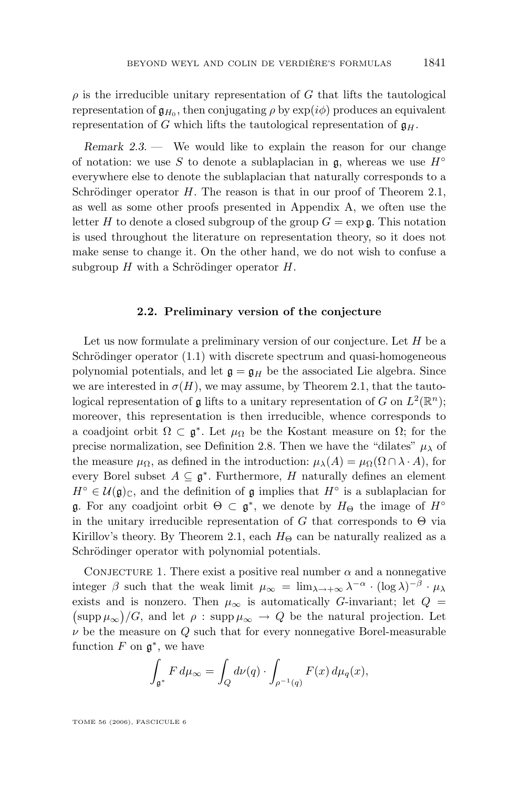<span id="page-15-0"></span> $\rho$  is the irreducible unitary representation of G that lifts the tautological representation of  $\mathfrak{g}_{H_0}$ , then conjugating  $\rho$  by  $\exp(i\phi)$  produces an equivalent representation of G which lifts the tautological representation of  $\mathfrak{g}_H$ .

*Remark 2.3. —* We would like to explain the reason for our change of notation: we use S to denote a sublaplacian in  $\mathfrak{g}$ , whereas we use  $H^{\circ}$ everywhere else to denote the sublaplacian that naturally corresponds to a Schrödinger operator  $H$ . The reason is that in our proof of Theorem [2.1,](#page-14-0) as well as some other proofs presented in Appendix A, we often use the letter H to denote a closed subgroup of the group  $G = \exp \mathfrak{a}$ . This notation is used throughout the literature on representation theory, so it does not make sense to change it. On the other hand, we do not wish to confuse a subgroup  $H$  with a Schrödinger operator  $H$ .

#### **2.2. Preliminary version of the conjecture**

Let us now formulate a preliminary version of our conjecture. Let  $H$  be a Schrödinger operator [\(1.1\)](#page-2-0) with discrete spectrum and quasi-homogeneous polynomial potentials, and let  $\mathfrak{g} = \mathfrak{g}_H$  be the associated Lie algebra. Since we are interested in  $\sigma(H)$ , we may assume, by Theorem [2.1,](#page-14-0) that the tautological representation of **g** lifts to a unitary representation of G on  $L^2(\mathbb{R}^n)$ ; moreover, this representation is then irreducible, whence corresponds to a coadjoint orbit  $\Omega \subset \mathfrak{g}^*$ . Let  $\mu_{\Omega}$  be the Kostant measure on  $\Omega$ ; for the precise normalization, see Definition [2.8.](#page-19-0) Then we have the "dilates"  $\mu_{\lambda}$  of the measure  $\mu_{\Omega}$ , as defined in the introduction:  $\mu_{\lambda}(A) = \mu_{\Omega}(\Omega \cap \lambda \cdot A)$ , for every Borel subset  $A \subseteq \mathfrak{g}^*$ . Furthermore, H naturally defines an element  $H^{\circ} \in \mathcal{U}(\mathfrak{g})_{\mathbb{C}},$  and the definition of  $\mathfrak g$  implies that  $H^{\circ}$  is a sublaplacian for **g**. For any coadjoint orbit  $\Theta \subset \mathfrak{g}^*$ , we denote by  $H_{\Theta}$  the image of  $H^{\circ}$ in the unitary irreducible representation of G that corresponds to  $\Theta$  via Kirillov's theory. By Theorem [2.1,](#page-14-0) each  $H_{\Theta}$  can be naturally realized as a Schrödinger operator with polynomial potentials.

CONJECTURE 1. There exist a positive real number  $\alpha$  and a nonnegative integer  $\beta$  such that the weak limit  $\mu_{\infty} = \lim_{\lambda \to +\infty} \lambda^{-\alpha} \cdot (\log \lambda)^{-\beta} \cdot \mu_{\lambda}$ exists and is nonzero. Then  $\mu_{\infty}$  is automatically G-invariant; let  $Q =$  $(\operatorname{supp}\mu_{\infty})/G$ , and let  $\rho : \operatorname{supp}\mu_{\infty} \to Q$  be the natural projection. Let  $\nu$  be the measure on  $Q$  such that for every nonnegative Borel-measurable function  $F$  on  $\mathfrak{g}^*$ , we have

$$
\int_{\mathfrak{g}^*} F d\mu_{\infty} = \int_Q d\nu(q) \cdot \int_{\rho^{-1}(q)} F(x) d\mu_q(x),
$$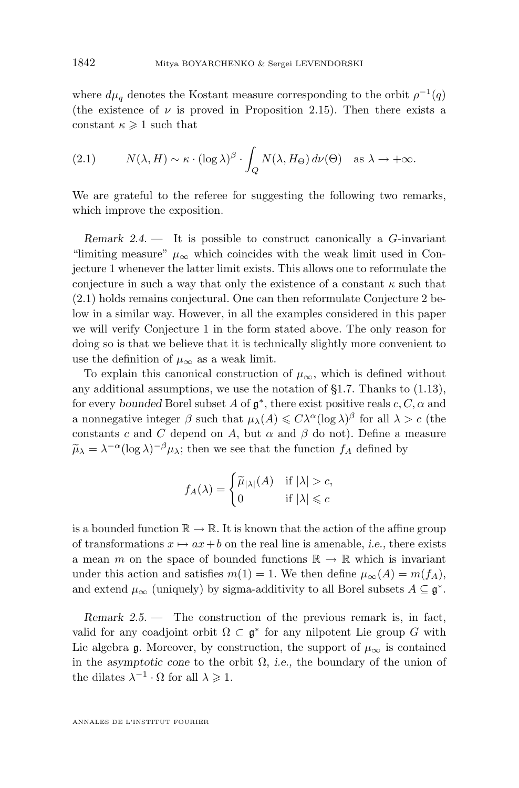<span id="page-16-0"></span>where  $d\mu_q$  denotes the Kostant measure corresponding to the orbit  $\rho^{-1}(q)$ (the existence of  $\nu$  is proved in Proposition [2.15\)](#page-25-0). Then there exists a constant  $\kappa \geq 1$  such that

(2.1) 
$$
N(\lambda, H) \sim \kappa \cdot (\log \lambda)^{\beta} \cdot \int_{Q} N(\lambda, H_{\Theta}) d\nu(\Theta) \text{ as } \lambda \to +\infty.
$$

We are grateful to the referee for suggesting the following two remarks, which improve the exposition.

*Remark 2.4. —* It is possible to construct canonically a G-invariant "limiting measure"  $\mu_{\infty}$  which coincides with the weak limit used in Conjecture 1 whenever the latter limit exists. This allows one to reformulate the conjecture in such a way that only the existence of a constant  $\kappa$  such that (2.1) holds remains conjectural. One can then reformulate Conjecture 2 below in a similar way. However, in all the examples considered in this paper we will verify Conjecture 1 in the form stated above. The only reason for doing so is that we believe that it is technically slightly more convenient to use the definition of  $\mu_{\infty}$  as a weak limit.

To explain this canonical construction of  $\mu_{\infty}$ , which is defined without any additional assumptions, we use the notation of  $\S1.7$ . Thanks to  $(1.13)$ , for every *bounded* Borel subset A of  $\mathfrak{g}^*$ , there exist positive reals  $c, C, \alpha$  and a nonnegative integer  $\beta$  such that  $\mu_{\lambda}(A) \leq C\lambda^{\alpha}(\log \lambda)^{\beta}$  for all  $\lambda > c$  (the constants c and C depend on A, but  $\alpha$  and  $\beta$  do not). Define a measure  $\tilde{\mu}_{\lambda} = \lambda^{-\alpha} (\log \lambda)^{-\beta} \mu_{\lambda}$ ; then we see that the function  $f_A$  defined by

$$
f_A(\lambda) = \begin{cases} \widetilde{\mu}_{|\lambda|}(A) & \text{if } |\lambda| > c, \\ 0 & \text{if } |\lambda| \leqslant c \end{cases}
$$

is a bounded function  $\mathbb{R} \to \mathbb{R}$ . It is known that the action of the affine group of transformations  $x \mapsto ax + b$  on the real line is amenable, *i.e.*, there exists a mean m on the space of bounded functions  $\mathbb{R} \to \mathbb{R}$  which is invariant under this action and satisfies  $m(1) = 1$ . We then define  $\mu_{\infty}(A) = m(f_A)$ , and extend  $\mu_{\infty}$  (uniquely) by sigma-additivity to all Borel subsets  $A \subseteq \mathfrak{g}^*$ .

*Remark 2.5. —* The construction of the previous remark is, in fact, valid for any coadjoint orbit  $\Omega \subset \mathfrak{g}^*$  for any nilpotent Lie group G with Lie algebra g. Moreover, by construction, the support of  $\mu_{\infty}$  is contained in the *asymptotic cone* to the orbit  $\Omega$ , *i.e.*, the boundary of the union of the dilates  $\lambda^{-1} \cdot \Omega$  for all  $\lambda \geq 1$ .

ANNALES DE L'INSTITUT FOURIER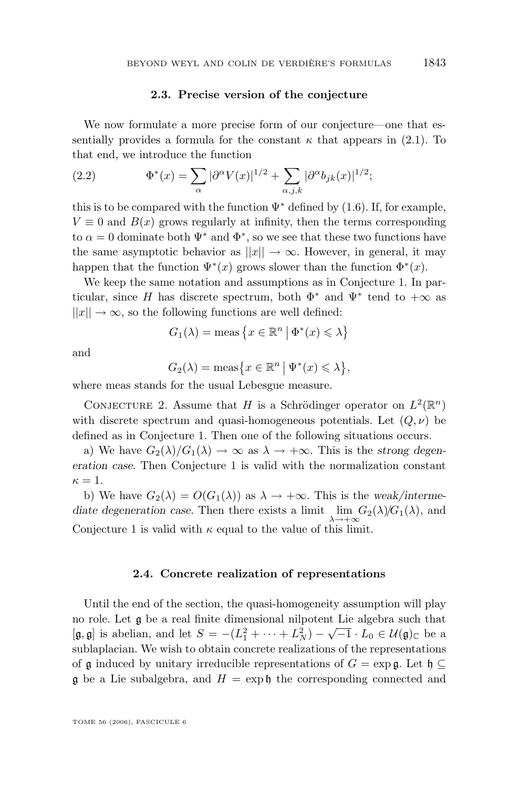#### **2.3. Precise version of the conjecture**

<span id="page-17-0"></span>We now formulate a more precise form of our conjecture—one that essentially provides a formula for the constant  $\kappa$  that appears in [\(2.1\)](#page-16-0). To that end, we introduce the function

(2.2) 
$$
\Phi^*(x) = \sum_{\alpha} |\partial^{\alpha} V(x)|^{1/2} + \sum_{\alpha, j, k} |\partial^{\alpha} b_{jk}(x)|^{1/2};
$$

this is to be compared with the function  $\Psi^*$  defined by [\(1.6\)](#page-3-0). If, for example,  $V \equiv 0$  and  $B(x)$  grows regularly at infinity, then the terms corresponding to  $\alpha = 0$  dominate both  $\Psi^*$  and  $\Phi^*$ , so we see that these two functions have the same asymptotic behavior as  $||x|| \to \infty$ . However, in general, it may happen that the function  $\Psi^*(x)$  grows slower than the function  $\Phi^*(x)$ .

We keep the same notation and assumptions as in Conjecture 1. In particular, since H has discrete spectrum, both  $\Phi^*$  and  $\Psi^*$  tend to  $+\infty$  as  $||x|| \rightarrow \infty$ , so the following functions are well defined:

$$
G_1(\lambda) = \text{meas}\left\{x \in \mathbb{R}^n \mid \Phi^*(x) \le \lambda\right\}
$$

and

$$
G_2(\lambda) = \operatorname{meas}\bigl\{x \in \mathbb{R}^n \bigm| \Psi^*(x) \leq \lambda\bigr\},\
$$

where meas stands for the usual Lebesgue measure.

CONJECTURE 2. Assume that H is a Schrödinger operator on  $L^2(\mathbb{R}^n)$ with discrete spectrum and quasi-homogeneous potentials. Let  $(Q, \nu)$  be defined as in Conjecture 1. Then one of the following situations occurs.

a) We have  $G_2(\lambda)/G_1(\lambda) \to \infty$  as  $\lambda \to +\infty$ . This is the *strong degeneration case*. Then Conjecture 1 is valid with the normalization constant  $\kappa=1.$ 

b) We have  $G_2(\lambda) = O(G_1(\lambda))$  as  $\lambda \to +\infty$ . This is the *weak/interme*diate degeneration case. Then there exists a limit  $\lim_{\lambda \to +\infty} G_2(\lambda) / G_1(\lambda)$ , and Conjecture 1 is valid with  $\kappa$  equal to the value of this limit.

#### **2.4. Concrete realization of representations**

Until the end of the section, the quasi-homogeneity assumption will play no role. Let  $\mathfrak g$  be a real finite dimensional nilpotent Lie algebra such that  $[\mathfrak{g},\mathfrak{g}]$  is abelian, and let  $S = -(L_1^2 + \cdots + L_N^2) - \sqrt{-1} \cdot L_0 \in \mathcal{U}(\mathfrak{g})_{\mathbb{C}}$  be a sublaplacian. We wish to obtain concrete realizations of the representations of g induced by unitary irreducible representations of  $G = \exp g$ . Let  $\mathfrak{h} \subseteq$  $\mathfrak g$  be a Lie subalgebra, and  $H = \exp \mathfrak h$  the corresponding connected and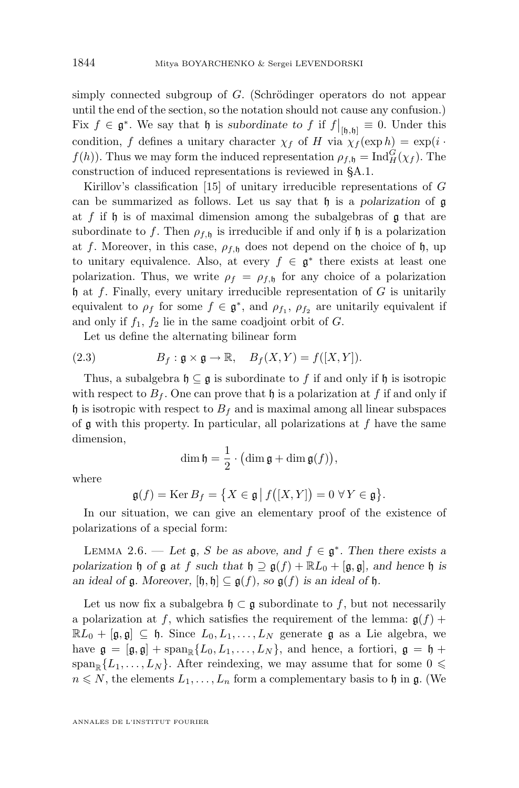<span id="page-18-0"></span>simply connected subgroup of G. (Schrödinger operators do not appear until the end of the section, so the notation should not cause any confusion.) Fix  $f \in \mathfrak{g}^*$ . We say that  $\mathfrak{h}$  is *subordinate to* f if  $f|_{[\mathfrak{h},\mathfrak{h}]} \equiv 0$ . Under this condition, f defines a unitary character  $\chi_f$  of H via  $\chi_f'(\exp h) = \exp(i \cdot \pi)$  $f(h)$ ). Thus we may form the induced representation  $\rho_{f, \mathfrak{h}} = \text{Ind}_{H}^{G}(\chi_{f})$ . The construction of induced representations is reviewed in [§A.1.](#page-56-0)

Kirillov's classification [\[15\]](#page-73-0) of unitary irreducible representations of G can be summarized as follows. Let us say that h is a *polarization* of g at  $f$  if  $\mathfrak h$  is of maximal dimension among the subalgebras of  $\mathfrak g$  that are subordinate to f. Then  $\rho_{f,h}$  is irreducible if and only if h is a polarization at f. Moreover, in this case,  $\rho_{f,h}$  does not depend on the choice of h, up to unitary equivalence. Also, at every  $f \in \mathfrak{g}^*$  there exists at least one polarization. Thus, we write  $\rho_f = \rho_{f,h}$  for any choice of a polarization  $\mathfrak h$  at f. Finally, every unitary irreducible representation of G is unitarily equivalent to  $\rho_f$  for some  $f \in \mathfrak{g}^*$ , and  $\rho_{f_1}, \rho_{f_2}$  are unitarily equivalent if and only if  $f_1$ ,  $f_2$  lie in the same coadjoint orbit of G.

Let us define the alternating bilinear form

(2.3) 
$$
B_f: \mathfrak{g} \times \mathfrak{g} \to \mathbb{R}, \quad B_f(X, Y) = f([X, Y]).
$$

Thus, a subalgebra  $\mathfrak{h} \subseteq \mathfrak{g}$  is subordinate to f if and only if  $\mathfrak{h}$  is isotropic with respect to  $B_f$ . One can prove that h is a polarization at f if and only if  $\mathfrak h$  is isotropic with respect to  $B_f$  and is maximal among all linear subspaces of  $\mathfrak g$  with this property. In particular, all polarizations at  $f$  have the same dimension,

$$
\dim \mathfrak{h} = \frac{1}{2} \cdot \bigl( \dim \mathfrak{g} + \dim \mathfrak{g}(f) \bigr),
$$

where

$$
\mathfrak{g}(f) = \operatorname{Ker} B_f = \big\{ X \in \mathfrak{g} \, \big| \, f\big([X,Y]\big) = 0 \,\,\forall \,Y \in \mathfrak{g} \big\}.
$$

In our situation, we can give an elementary proof of the existence of polarizations of a special form:

LEMMA 2.6. — Let  $\mathfrak{g}, S$  be as above, and  $f \in \mathfrak{g}^*$ . Then there exists a *polarization*  $\mathfrak h$  *of*  $\mathfrak g$  *at*  $f$  *such that*  $\mathfrak h \supseteq \mathfrak g(f) + \mathbb{R}L_0 + [\mathfrak g, \mathfrak g]$ *, and hence*  $\mathfrak h$  *is an ideal of*  $\mathfrak{g}$ *. Moreover,*  $[\mathfrak{h}, \mathfrak{h}] \subseteq \mathfrak{g}(f)$ *, so*  $\mathfrak{g}(f)$  *is an ideal of*  $\mathfrak{h}$ *.* 

Let us now fix a subalgebra  $\mathfrak{h} \subset \mathfrak{g}$  subordinate to f, but not necessarily a polarization at f, which satisfies the requirement of the lemma:  $g(f)$  +  $\mathbb{R}L_0 + [\mathfrak{g}, \mathfrak{g}] \subseteq \mathfrak{h}$ . Since  $L_0, L_1, \ldots, L_N$  generate  $\mathfrak{g}$  as a Lie algebra, we have  $\mathfrak{g} = [\mathfrak{g}, \mathfrak{g}] + \mathrm{span}_{\mathbb{R}}\{L_0, L_1, \ldots, L_N\}$ , and hence, a fortiori,  $\mathfrak{g} = \mathfrak{h}$  +  $\operatorname{span}_{\mathbb{R}}\{L_1,\ldots,L_N\}$ . After reindexing, we may assume that for some  $0 \leq$  $n \leq N$ , the elements  $L_1, \ldots, L_n$  form a complementary basis to h in g. (We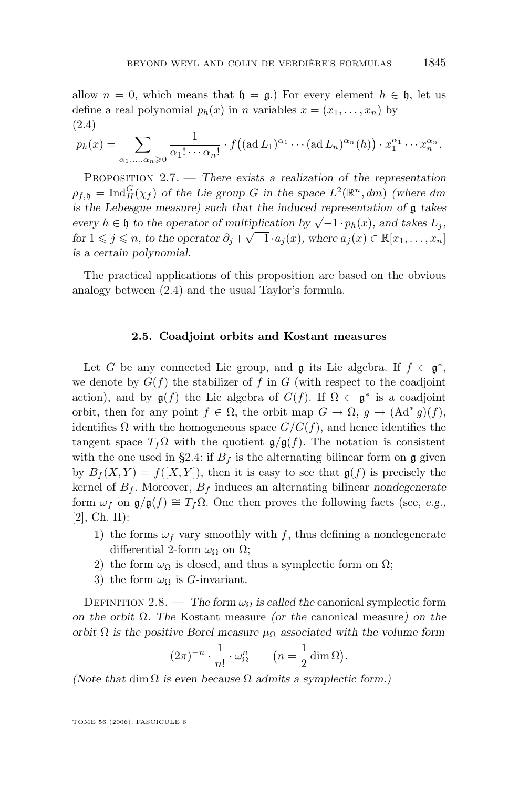<span id="page-19-0"></span>allow  $n = 0$ , which means that  $\mathfrak{h} = \mathfrak{g}$ . For every element  $h \in \mathfrak{h}$ , let us define a real polynomial  $p_h(x)$  in n variables  $x = (x_1, \ldots, x_n)$  by (2.4)

$$
p_h(x) = \sum_{\alpha_1,\dots,\alpha_n\geqslant 0} \frac{1}{\alpha_1! \cdots \alpha_n!} \cdot f((\mathrm{ad}\,L_1)^{\alpha_1} \cdots (\mathrm{ad}\,L_n)^{\alpha_n}(h)) \cdot x_1^{\alpha_1} \cdots x_n^{\alpha_n}.
$$

Proposition 2.7. — *There exists a realization of the representation*  $\rho_{f,\mathfrak{h}} = \text{Ind}_{H}^{G}(\chi_{f})$  of the Lie group G in the space  $L^{2}(\mathbb{R}^{n}, dm)$  (where dm *is the Lebesgue measure) such that the induced representation of* g *takes every*  $h \in \mathfrak{h}$  *to the operator of multiplication by*  $\sqrt{-1} \cdot p_h(x)$ *, and takes*  $L_j$ *, for*  $1 \leq j \leq n$ , *to the operator*  $\partial_j + \sqrt{-1} \cdot a_j(x)$ *, where*  $a_j(x) \in \mathbb{R}[x_1, \ldots, x_n]$ *is a certain polynomial.*

The practical applications of this proposition are based on the obvious analogy between (2.4) and the usual Taylor's formula.

#### **2.5. Coadjoint orbits and Kostant measures**

Let G be any connected Lie group, and  $\mathfrak g$  its Lie algebra. If  $f \in \mathfrak g^*$ , we denote by  $G(f)$  the stabilizer of f in G (with respect to the coadjoint action), and by  $g(f)$  the Lie algebra of  $G(f)$ . If  $\Omega \subset g^*$  is a coadjoint orbit, then for any point  $f \in \Omega$ , the orbit map  $G \to \Omega$ ,  $g \mapsto (Ad^* g)(f)$ , identifies  $\Omega$  with the homogeneous space  $G/G(f)$ , and hence identifies the tangent space  $T_f\Omega$  with the quotient  $\mathfrak{g}/\mathfrak{g}(f)$ . The notation is consistent with the one used in [§2.4:](#page-17-0) if  $B_f$  is the alternating bilinear form on g given by  $B_f(X, Y) = f([X, Y])$ , then it is easy to see that  $g(f)$  is precisely the kernel of  $B_f$ . Moreover,  $B_f$  induces an alternating bilinear *nondegenerate* form  $\omega_f$  on  $\mathfrak{g}/\mathfrak{g}(f) \cong T_f\Omega$ . One then proves the following facts (see, *e.g.*, [\[2\]](#page-73-0), Ch. II):

- 1) the forms  $\omega_f$  vary smoothly with f, thus defining a nondegenerate differential 2-form  $\omega_{\Omega}$  on  $\Omega$ ;
- 2) the form  $\omega_{\Omega}$  is closed, and thus a symplectic form on  $\Omega$ ;
- 3) the form  $\omega_{\Omega}$  is *G*-invariant.

DEFINITION 2.8. — *The form*  $\omega_{\Omega}$  *is called the canonical symplectic form on the orbit* Ω*. The* Kostant measure *(or the* canonical measure*) on the orbit*  $\Omega$  *is the positive Borel measure*  $\mu_{\Omega}$  *associated with the volume form* 

$$
(2\pi)^{-n} \cdot \frac{1}{n!} \cdot \omega_{\Omega}^{n} \qquad \left(n = \frac{1}{2} \dim \Omega\right)
$$

.

*(Note that* dim  $\Omega$  *is even because*  $\Omega$  *admits a symplectic form.)*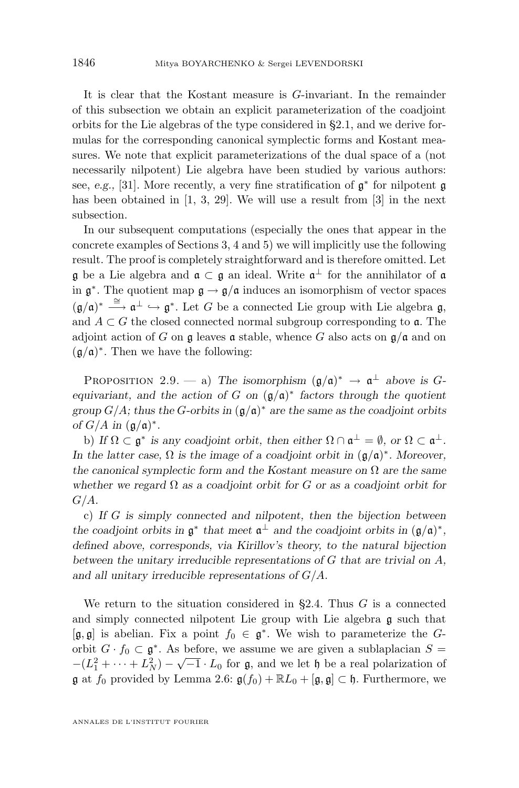<span id="page-20-0"></span>It is clear that the Kostant measure is G-invariant. In the remainder of this subsection we obtain an explicit parameterization of the coadjoint orbits for the Lie algebras of the type considered in [§2.1,](#page-13-0) and we derive formulas for the corresponding canonical symplectic forms and Kostant measures. We note that explicit parameterizations of the dual space of a (not necessarily nilpotent) Lie algebra have been studied by various authors: see, *e.g.*, [\[31\]](#page-74-0). More recently, a very fine stratification of  $\mathfrak{g}^*$  for nilpotent  $\mathfrak{g}$ has been obtained in [\[1,](#page-73-0) [3,](#page-73-0) [29\]](#page-74-0). We will use a result from [\[3\]](#page-73-0) in the next subsection.

In our subsequent computations (especially the ones that appear in the concrete examples of Sections [3,](#page-25-0) [4](#page-40-0) and [5\)](#page-49-0) we will implicitly use the following result. The proof is completely straightforward and is therefore omitted. Let  $\mathfrak g$  be a Lie algebra and  $\mathfrak a \subset \mathfrak g$  an ideal. Write  $\mathfrak a^{\perp}$  for the annihilator of  $\mathfrak a$ in  $\mathfrak{g}^*$ . The quotient map  $\mathfrak{g} \to \mathfrak{g}/\mathfrak{a}$  induces an isomorphism of vector spaces  $(\mathfrak{g}/\mathfrak{a})^* \stackrel{\cong}{\longrightarrow} \mathfrak{a}^{\perp} \hookrightarrow \mathfrak{g}^*$ . Let G be a connected Lie group with Lie algebra  $\mathfrak{g}$ , and  $A \subset G$  the closed connected normal subgroup corresponding to **a**. The adjoint action of G on  $\mathfrak g$  leaves  $\mathfrak a$  stable, whence G also acts on  $\mathfrak g/\mathfrak a$  and on  $(\mathfrak{g}/\mathfrak{a})^*$ . Then we have the following:

PROPOSITION 2.9. — a) The isomorphism  $(\mathfrak{g}/\mathfrak{a})^* \to \mathfrak{a}^{\perp}$  above is G*equivariant, and the action of* G *on*  $(g/a)^*$  factors through the quotient *group* G/A*; thus the* G*-orbits in* (g/a) <sup>∗</sup> *are the same as the coadjoint orbits of*  $G/A$  *in*  $(\mathfrak{g}/\mathfrak{a})^*$ *.* 

b) If  $\Omega \subset \mathfrak{g}^*$  is any coadjoint orbit, then either  $\Omega \cap \mathfrak{a}^{\perp} = \emptyset$ , or  $\Omega \subset \mathfrak{a}^{\perp}$ . *In the latter case,*  $\Omega$  *is the image of a coadjoint orbit in*  $(\mathfrak{g}/\mathfrak{a})^*$ *. Moreover, the canonical symplectic form and the Kostant measure on* Ω *are the same whether we regard* Ω *as a coadjoint orbit for* G *or as a coadjoint orbit for* G/A*.*

c) *If* G *is simply connected and nilpotent, then the bijection between the coadjoint orbits in*  $\mathfrak{g}^*$  *that meet*  $\mathfrak{a}^{\perp}$  *and the coadjoint orbits in*  $(\mathfrak{g}/\mathfrak{a})^*$ *, defined above, corresponds, via Kirillov's theory, to the natural bijection between the unitary irreducible representations of* G *that are trivial on* A*, and all unitary irreducible representations of* G/A*.*

We return to the situation considered in  $\S 2.4$ . Thus G is a connected and simply connected nilpotent Lie group with Lie algebra g such that  $[\mathfrak{g},\mathfrak{g}]$  is abelian. Fix a point  $f_0 \in \mathfrak{g}^*$ . We wish to parameterize the Gorbit  $G \cdot f_0 \subset \mathfrak{g}^*$ . As before, we assume we are given a sublaplacian  $S = \begin{bmatrix} \overline{G} & \overline{G} & \overline{G} \\ \overline{G} & \overline{G} & \overline{G} & \overline{G} \end{bmatrix}$  $-(L_1^2 + \cdots + L_N^2) - \sqrt{-1} \cdot L_0$  for  $\mathfrak{g}$ , and we let  $\mathfrak{h}$  be a real polarization of  $\mathfrak g$  at  $f_0$  provided by Lemma [2.6:](#page-18-0)  $\mathfrak g(f_0) + \mathbb{R}L_0 + [\mathfrak g, \mathfrak g] \subset \mathfrak h$ . Furthermore, we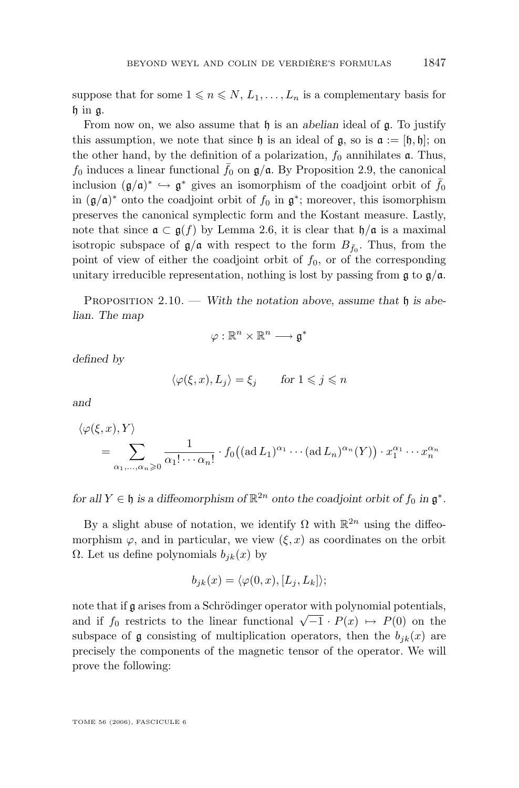<span id="page-21-0"></span>suppose that for some  $1 \leq n \leq N, L_1, \ldots, L_n$  is a complementary basis for h in g.

From now on, we also assume that h is an *abelian* ideal of g. To justify this assumption, we note that since  $\mathfrak h$  is an ideal of  $\mathfrak g$ , so is  $\mathfrak a := [\mathfrak h, \mathfrak h]$ ; on the other hand, by the definition of a polarization,  $f_0$  annihilates  $\alpha$ . Thus,  $f_0$  induces a linear functional  $\bar{f}_0$  on  $\mathfrak{g}/\mathfrak{a}$ . By Proposition [2.9,](#page-20-0) the canonical inclusion  $(\mathfrak{g}/\mathfrak{a})^* \hookrightarrow \mathfrak{g}^*$  gives an isomorphism of the coadjoint orbit of  $\bar{f}_0$ in  $(\mathfrak{g}/\mathfrak{a})^*$  onto the coadjoint orbit of  $f_0$  in  $\mathfrak{g}^*$ ; moreover, this isomorphism preserves the canonical symplectic form and the Kostant measure. Lastly, note that since  $\mathfrak{a} \subset \mathfrak{g}(f)$  by Lemma [2.6,](#page-18-0) it is clear that  $\mathfrak{h}/\mathfrak{a}$  is a maximal isotropic subspace of  $\mathfrak{g}/\mathfrak{a}$  with respect to the form  $B_{\bar{f}_0}$ . Thus, from the point of view of either the coadjoint orbit of  $f_0$ , or of the corresponding unitary irreducible representation, nothing is lost by passing from  $\mathfrak{g}$  to  $\mathfrak{g}/\mathfrak{a}$ .

PROPOSITION 2.10. — With the notation above, assume that  $\mathfrak h$  is abe*lian. The map*

$$
\varphi:\mathbb{R}^n\times\mathbb{R}^n\longrightarrow\mathfrak{g}^*
$$

*defined by*

$$
\langle \varphi(\xi, x), L_j \rangle = \xi_j \quad \text{for } 1 \leqslant j \leqslant n
$$

*and*

$$
\langle \varphi(\xi, x), Y \rangle
$$
  
= 
$$
\sum_{\alpha_1, ..., \alpha_n \geq 0} \frac{1}{\alpha_1! \cdots \alpha_n!} \cdot f_0((\text{ad } L_1)^{\alpha_1} \cdots (\text{ad } L_n)^{\alpha_n}(Y)) \cdot x_1^{\alpha_1} \cdots x_n^{\alpha_n}
$$

*for all*  $Y \in \mathfrak{h}$  *is a diffeomorphism of*  $\mathbb{R}^{2n}$  *onto the coadjoint orbit of*  $f_0$  *in*  $\mathfrak{g}^*$ *.* 

By a slight abuse of notation, we identify  $\Omega$  with  $\mathbb{R}^{2n}$  using the diffeomorphism  $\varphi$ , and in particular, we view  $(\xi, x)$  as coordinates on the orbit Ω. Let us define polynomials  $b_{jk}(x)$  by

$$
b_{jk}(x) = \langle \varphi(0, x), [L_j, L_k] \rangle;
$$

note that if g arises from a Schrödinger operator with polynomial potentials, and if  $f_0$  restricts to the linear functional  $\sqrt{-1} \cdot P(x) \mapsto P(0)$  on the subspace of g consisting of multiplication operators, then the  $b_{ik}(x)$  are precisely the components of the magnetic tensor of the operator. We will prove the following: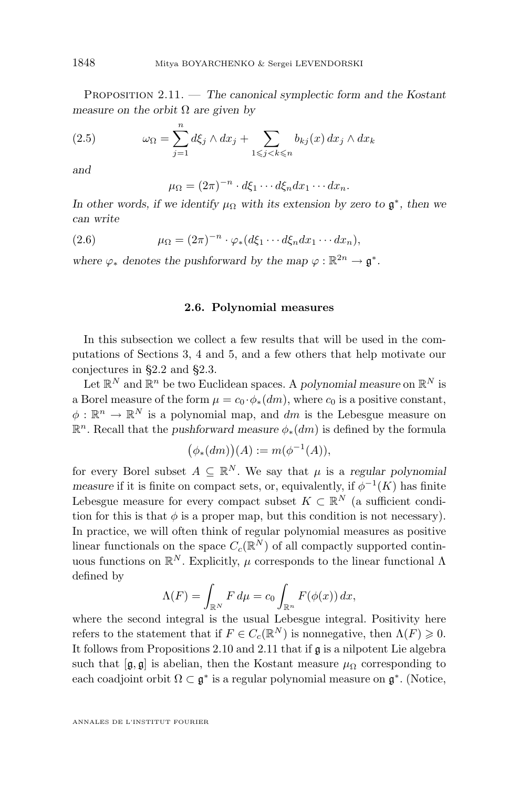<span id="page-22-0"></span>Proposition 2.11. — *The canonical symplectic form and the Kostant measure on the orbit* Ω *are given by*

(2.5) 
$$
\omega_{\Omega} = \sum_{j=1}^{n} d\xi_j \wedge dx_j + \sum_{1 \leq j < k \leq n} b_{kj}(x) dx_j \wedge dx_k
$$

*and*

 $\mu_{\Omega} = (2\pi)^{-n} \cdot d\xi_1 \cdots d\xi_n dx_1 \cdots dx_n.$ 

*In other words, if we identify*  $\mu_{\Omega}$  *with its extension by zero to*  $\mathfrak{g}^*$ *, then we can write*

(2.6) 
$$
\mu_{\Omega} = (2\pi)^{-n} \cdot \varphi_*(d\xi_1 \cdots d\xi_n dx_1 \cdots dx_n),
$$

where  $\varphi_*$  denotes the pushforward by the map  $\varphi : \mathbb{R}^{2n} \to \mathfrak{g}^*$ .

#### **2.6. Polynomial measures**

In this subsection we collect a few results that will be used in the computations of Sections [3,](#page-25-0) [4](#page-40-0) and [5,](#page-49-0) and a few others that help motivate our conjectures in [§2.2](#page-15-0) and [§2.3.](#page-17-0)

Let  $\mathbb{R}^N$  and  $\mathbb{R}^n$  be two Euclidean spaces. A *polynomial measure* on  $\mathbb{R}^N$  is a Borel measure of the form  $\mu = c_0 \cdot \phi_*(dm)$ , where  $c_0$  is a positive constant,  $\phi: \mathbb{R}^n \to \mathbb{R}^N$  is a polynomial map, and dm is the Lebesgue measure on R <sup>n</sup>. Recall that the *pushforward measure* φ∗(dm) is defined by the formula

$$
(\phi_*(dm))(A) := m(\phi^{-1}(A)),
$$

for every Borel subset  $A \subseteq \mathbb{R}^N$ . We say that  $\mu$  is a *regular polynomial measure* if it is finite on compact sets, or, equivalently, if  $\phi^{-1}(K)$  has finite Lebesgue measure for every compact subset  $K \subset \mathbb{R}^N$  (a sufficient condition for this is that  $\phi$  is a proper map, but this condition is not necessary). In practice, we will often think of regular polynomial measures as positive linear functionals on the space  $C_c(\mathbb{R}^N)$  of all compactly supported continuous functions on  $\mathbb{R}^N$ . Explicitly,  $\mu$  corresponds to the linear functional  $\Lambda$ defined by

$$
\Lambda(F) = \int_{\mathbb{R}^N} F d\mu = c_0 \int_{\mathbb{R}^n} F(\phi(x)) dx,
$$

where the second integral is the usual Lebesgue integral. Positivity here refers to the statement that if  $F \in C_c(\mathbb{R}^N)$  is nonnegative, then  $\Lambda(F) \geq 0$ . It follows from Propositions [2.10](#page-21-0) and [2.11](#page-21-0) that if g is a nilpotent Lie algebra such that  $[\mathfrak{g}, \mathfrak{g}]$  is abelian, then the Kostant measure  $\mu_{\Omega}$  corresponding to each coadjoint orbit  $\Omega \subset \mathfrak{g}^*$  is a regular polynomial measure on  $\mathfrak{g}^*$ . (Notice,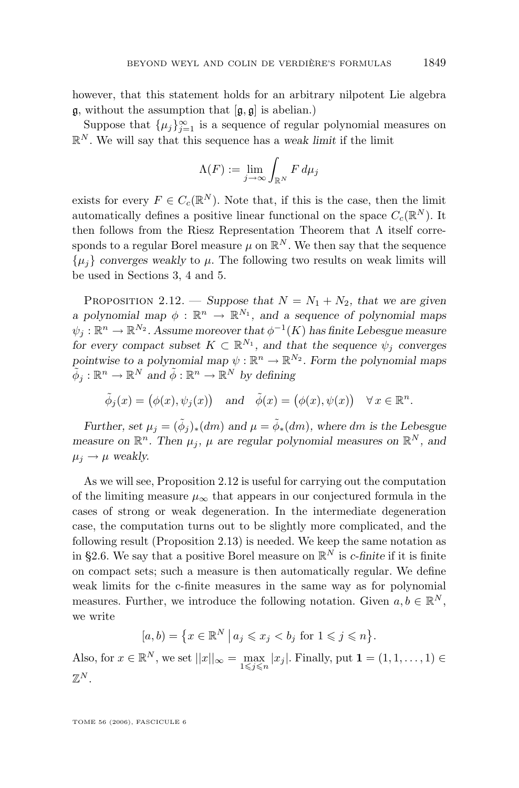<span id="page-23-0"></span>however, that this statement holds for an arbitrary nilpotent Lie algebra  $\mathfrak{g}$ , without the assumption that  $[\mathfrak{g}, \mathfrak{g}]$  is abelian.)

Suppose that  $\{\mu_j\}_{j=1}^{\infty}$  is a sequence of regular polynomial measures on  $\mathbb{R}^N$ . We will say that this sequence has a *weak limit* if the limit

$$
\Lambda(F) := \lim_{j \to \infty} \int_{\mathbb{R}^N} F \, d\mu_j
$$

exists for every  $F \in C_c(\mathbb{R}^N)$ . Note that, if this is the case, then the limit automatically defines a positive linear functional on the space  $C_c(\mathbb{R}^N)$ . It then follows from the Riesz Representation Theorem that  $\Lambda$  itself corresponds to a regular Borel measure  $\mu$  on  $\mathbb{R}^N$ . We then say that the sequence  $\{\mu_i\}$  *converges weakly* to  $\mu$ . The following two results on weak limits will be used in Sections [3,](#page-25-0) [4](#page-40-0) and [5.](#page-49-0)

PROPOSITION 2.12. — *Suppose that*  $N = N_1 + N_2$ *, that we are given a polynomial map*  $\phi : \mathbb{R}^n \to \mathbb{R}^{N_1}$ , and a sequence of polynomial maps  $\psi_j: \mathbb{R}^n \rightarrow \mathbb{R}^{N_2}.$  Assume moreover that  $\phi^{-1}(K)$  has finite Lebesgue measure *for every compact subset*  $K \subset \mathbb{R}^{N_1}$ *, and that the sequence*  $\psi_j$  *converges* pointwise to a polynomial map  $\psi : \mathbb{R}^n \to \mathbb{R}^{N_2}$ . Form the polynomial maps  $\tilde{\phi}_j : \mathbb{R}^n \to \mathbb{R}^N$  and  $\tilde{\phi} : \mathbb{R}^n \to \mathbb{R}^N$  by defining

$$
\tilde{\phi}_j(x) = (\phi(x), \psi_j(x))
$$
 and  $\tilde{\phi}(x) = (\phi(x), \psi(x)) \quad \forall x \in \mathbb{R}^n$ .

*Further, set*  $\mu_j = (\tilde{\phi}_j)_*(dm)$  and  $\mu = \tilde{\phi}_*(dm)$ , where dm is the Lebesgue measure on  $\mathbb{R}^n$ . Then  $\mu_j$ ,  $\mu$  are regular polynomial measures on  $\mathbb{R}^N$ , and  $\mu_j \rightarrow \mu$  weakly.

As we will see, Proposition 2.12 is useful for carrying out the computation of the limiting measure  $\mu_{\infty}$  that appears in our conjectured formula in the cases of strong or weak degeneration. In the intermediate degeneration case, the computation turns out to be slightly more complicated, and the following result (Proposition 2.13) is needed. We keep the same notation as in [§2.6.](#page-22-0) We say that a positive Borel measure on  $\mathbb{R}^N$  is *c*-finite if it is finite on compact sets; such a measure is then automatically regular. We define weak limits for the c-finite measures in the same way as for polynomial measures. Further, we introduce the following notation. Given  $a, b \in \mathbb{R}^N$ , we write

$$
[a,b) = \left\{ x \in \mathbb{R}^N \, \middle| \, a_j \leqslant x_j < b_j \text{ for } 1 \leqslant j \leqslant n \right\}.
$$

Also, for  $x \in \mathbb{R}^N$ , we set  $||x||_{\infty} = \max_{1 \leq j \leq n} |x_j|$ . Finally, put  $\mathbf{1} = (1, 1, \dots, 1) \in$  $\mathbb{Z}^N$ .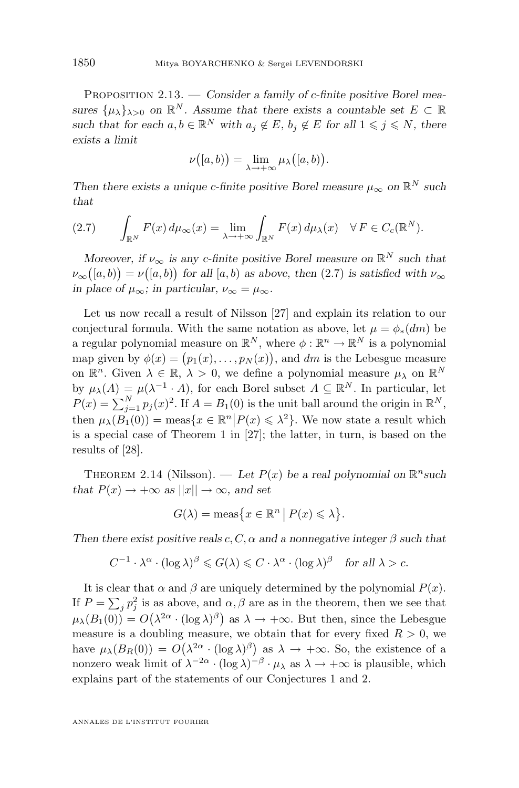Proposition 2.13. — *Consider a family of* c*-finite positive Borel measures*  $\{\mu_{\lambda}\}_{\lambda>0}$  *on*  $\mathbb{R}^{N}$ *. Assume that there exists a countable set*  $E \subset \mathbb{R}$ *such that for each*  $a, b \in \mathbb{R}^N$  *with*  $a_j \notin E$ ,  $b_j \notin E$  *for all*  $1 \leq j \leq N$ *, there exists a limit*

$$
\nu\big([a,b)\big) = \lim_{\lambda \to +\infty} \mu_\lambda\big([a,b)\big).
$$

*Then there exists a unique c-finite positive Borel measure*  $\mu_{\infty}$  on  $\mathbb{R}^N$  such *that*

$$
(2.7) \qquad \int_{\mathbb{R}^N} F(x) \, d\mu_{\infty}(x) = \lim_{\lambda \to +\infty} \int_{\mathbb{R}^N} F(x) \, d\mu_{\lambda}(x) \quad \forall \, F \in C_c(\mathbb{R}^N).
$$

*Moreover, if*  $\nu_{\infty}$  *is any c-finite positive Borel measure on*  $\mathbb{R}^N$  *such that*  $\nu_{\infty}([a, b)) = \nu([a, b))$  for all  $[a, b)$  as above, then  $(2.7)$  is satisfied with  $\nu_{\infty}$ *in place of*  $\mu_{\infty}$ *; in particular,*  $\nu_{\infty} = \mu_{\infty}$ *.* 

Let us now recall a result of Nilsson [\[27\]](#page-74-0) and explain its relation to our conjectural formula. With the same notation as above, let  $\mu = \phi_*(dm)$  be a regular polynomial measure on  $\mathbb{R}^N$ , where  $\phi : \mathbb{R}^n \to \mathbb{R}^N$  is a polynomial map given by  $\phi(x) = (p_1(x), \ldots, p_N(x))$ , and dm is the Lebesgue measure on  $\mathbb{R}^n$ . Given  $\lambda \in \mathbb{R}$ ,  $\lambda > 0$ , we define a polynomial measure  $\mu_\lambda$  on  $\mathbb{R}^N$ by  $\mu_{\lambda}(A) = \mu(\lambda^{-1} \cdot A)$ , for each Borel subset  $A \subseteq \mathbb{R}^{N}$ . In particular, let  $P(x) = \sum_{j=1}^{N} p_j(x)^2$ . If  $A = B_1(0)$  is the unit ball around the origin in  $\mathbb{R}^N$ , then  $\mu_{\lambda}(B_1(0)) = \text{meas}\{x \in \mathbb{R}^n | P(x) \leq \lambda^2\}$ . We now state a result which is a special case of Theorem 1 in [\[27\]](#page-74-0); the latter, in turn, is based on the results of [\[28\]](#page-74-0).

THEOREM 2.14 (Nilsson). — Let  $P(x)$  be a real polynomial on  $\mathbb{R}^n$  such *that*  $P(x) \rightarrow +\infty$  *as*  $||x|| \rightarrow \infty$ *, and set* 

$$
G(\lambda) = \operatorname{meas}\bigl\{x \in \mathbb{R}^n \,\big|\, P(x) \leqslant \lambda\bigr\}.
$$

*Then there exist positive reals c, C,*  $\alpha$  *and a nonnegative integer*  $\beta$  *such that* 

$$
C^{-1} \cdot \lambda^{\alpha} \cdot (\log \lambda)^{\beta} \leq G(\lambda) \leq C \cdot \lambda^{\alpha} \cdot (\log \lambda)^{\beta} \quad \text{for all } \lambda > c.
$$

It is clear that  $\alpha$  and  $\beta$  are uniquely determined by the polynomial  $P(x)$ . If  $P = \sum_j p_j^2$  is as above, and  $\alpha, \beta$  are as in the theorem, then we see that  $\mu_{\lambda}(B_1(0)) = O(\lambda^{2\alpha} \cdot (\log \lambda)^{\beta})$  as  $\lambda \to +\infty$ . But then, since the Lebesgue measure is a doubling measure, we obtain that for every fixed  $R > 0$ , we have  $\mu_{\lambda}(B_R(0)) = O(\lambda^{2\alpha} \cdot (\log \lambda)^{\beta})$  as  $\lambda \to +\infty$ . So, the existence of a nonzero weak limit of  $\lambda^{-2\alpha} \cdot (\log \lambda)^{-\beta} \cdot \mu_\lambda$  as  $\lambda \to +\infty$  is plausible, which explains part of the statements of our Conjectures 1 and 2.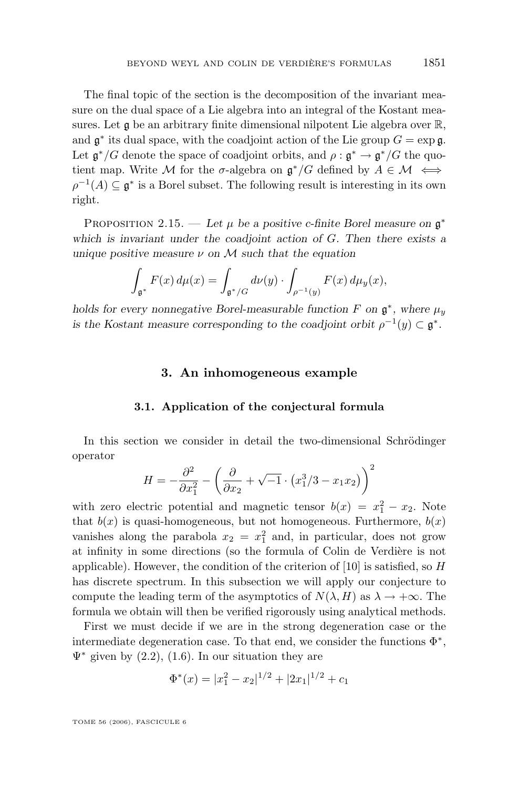<span id="page-25-0"></span>The final topic of the section is the decomposition of the invariant measure on the dual space of a Lie algebra into an integral of the Kostant measures. Let  $\mathfrak g$  be an arbitrary finite dimensional nilpotent Lie algebra over  $\mathbb R$ , and  $\mathfrak{g}^*$  its dual space, with the coadjoint action of the Lie group  $G = \exp \mathfrak{g}$ . Let  $\mathfrak{g}^*/G$  denote the space of coadjoint orbits, and  $\rho : \mathfrak{g}^* \to \mathfrak{g}^*/G$  the quotient map. Write M for the  $\sigma$ -algebra on  $\mathfrak{g}^*/G$  defined by  $A \in \mathcal{M} \iff$  $\rho^{-1}(A) \subseteq \mathfrak{g}^*$  is a Borel subset. The following result is interesting in its own right.

PROPOSITION 2.15. — Let  $\mu$  be a positive c-finite Borel measure on  $\mathfrak{g}^*$ *which is invariant under the coadjoint action of* G*. Then there exists a unique positive measure* ν *on* M *such that the equation*

$$
\int_{\mathfrak{g}^*} F(x) d\mu(x) = \int_{\mathfrak{g}^*/G} d\nu(y) \cdot \int_{\rho^{-1}(y)} F(x) d\mu_y(x),
$$

*holds for every nonnegative Borel-measurable function*  $F$  on  $\mathfrak{g}^*$ , where  $\mu_y$ *is the Kostant measure corresponding to the coadjoint orbit*  $\rho^{-1}(y) \subset \mathfrak{g}^*$ .

# **3. An inhomogeneous example**

#### **3.1. Application of the conjectural formula**

In this section we consider in detail the two-dimensional Schrödinger operator

$$
H = -\frac{\partial^2}{\partial x_1^2} - \left(\frac{\partial}{\partial x_2} + \sqrt{-1} \cdot (x_1^3 / 3 - x_1 x_2)\right)^2
$$

with zero electric potential and magnetic tensor  $b(x) = x_1^2 - x_2$ . Note that  $b(x)$  is quasi-homogeneous, but not homogeneous. Furthermore,  $b(x)$ vanishes along the parabola  $x_2 = x_1^2$  and, in particular, does not grow at infinity in some directions (so the formula of Colin de Verdière is not applicable). However, the condition of the criterion of  $[10]$  is satisfied, so H has discrete spectrum. In this subsection we will apply our conjecture to compute the leading term of the asymptotics of  $N(\lambda, H)$  as  $\lambda \to +\infty$ . The formula we obtain will then be verified rigorously using analytical methods.

First we must decide if we are in the strong degeneration case or the intermediate degeneration case. To that end, we consider the functions  $\Phi^*$ ,  $\Psi^*$  given by [\(2.2\)](#page-17-0), [\(1.6\)](#page-3-0). In our situation they are

$$
\Phi^*(x) = |x_1^2 - x_2|^{1/2} + |2x_1|^{1/2} + c_1
$$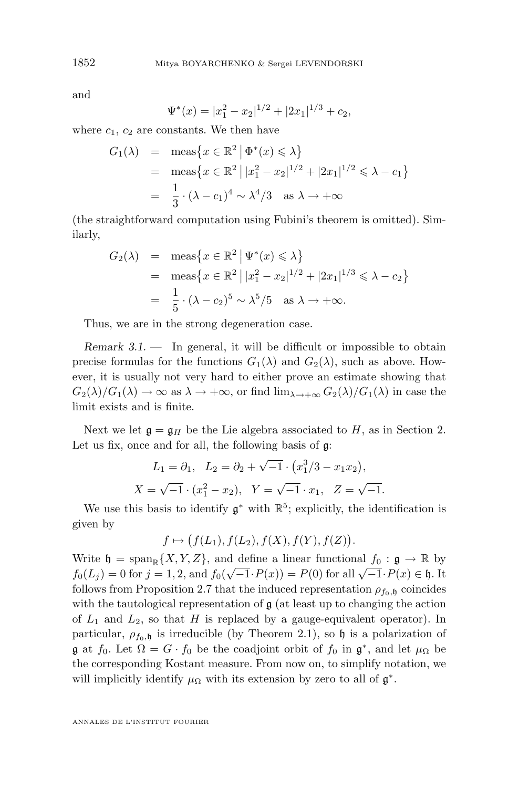and

$$
\Psi^*(x) = |x_1^2 - x_2|^{1/2} + |2x_1|^{1/3} + c_2,
$$

where  $c_1$ ,  $c_2$  are constants. We then have

$$
G_1(\lambda) = \text{meas}\left\{x \in \mathbb{R}^2 \mid \Phi^*(x) \le \lambda\right\}
$$
  
= 
$$
\text{meas}\left\{x \in \mathbb{R}^2 \mid |x_1^2 - x_2|^{1/2} + |2x_1|^{1/2} \le \lambda - c_1\right\}
$$
  
= 
$$
\frac{1}{3} \cdot (\lambda - c_1)^4 \sim \lambda^4 / 3 \quad \text{as } \lambda \to +\infty
$$

(the straightforward computation using Fubini's theorem is omitted). Similarly,

$$
G_2(\lambda) = \text{meas}\left\{x \in \mathbb{R}^2 \mid \Psi^*(x) \le \lambda\right\}
$$
  
= 
$$
\text{meas}\left\{x \in \mathbb{R}^2 \mid |x_1^2 - x_2|^{1/2} + |2x_1|^{1/3} \le \lambda - c_2\right\}
$$
  
= 
$$
\frac{1}{5} \cdot (\lambda - c_2)^5 \sim \lambda^5 / 5 \text{ as } \lambda \to +\infty.
$$

Thus, we are in the strong degeneration case.

*Remark 3.1.* — In general, it will be difficult or impossible to obtain precise formulas for the functions  $G_1(\lambda)$  and  $G_2(\lambda)$ , such as above. However, it is usually not very hard to either prove an estimate showing that  $G_2(\lambda)/G_1(\lambda) \to \infty$  as  $\lambda \to +\infty$ , or find  $\lim_{\lambda \to +\infty} G_2(\lambda)/G_1(\lambda)$  in case the limit exists and is finite.

Next we let  $\mathfrak{g} = \mathfrak{g}_H$  be the Lie algebra associated to H, as in Section [2.](#page-13-0) Let us fix, once and for all, the following basis of g:

$$
L_1 = \partial_1, \quad L_2 = \partial_2 + \sqrt{-1} \cdot (x_1^3/3 - x_1x_2),
$$
  

$$
X = \sqrt{-1} \cdot (x_1^2 - x_2), \quad Y = \sqrt{-1} \cdot x_1, \quad Z = \sqrt{-1}.
$$

We use this basis to identify  $\mathfrak{g}^*$  with  $\mathbb{R}^5$ ; explicitly, the identification is given by

$$
f \mapsto (f(L_1), f(L_2), f(X), f(Y), f(Z)).
$$

Write  $\mathfrak{h} = \text{span}_{\mathbb{R}} \{X, Y, Z\}$ , and define a linear functional  $f_0 : \mathfrak{g} \to \mathbb{R}$  by while  $\mathfrak{g} = \text{span}_{\mathbb{R}} \{X, I, Z\}$ , and define a finear functional  $f_0 : \mathfrak{g} \to \mathbb{R}$  by  $f_0(L_j) = 0$  for  $j = 1, 2$ , and  $f_0(\sqrt{-1} \cdot P(x)) = P(0)$  for all  $\sqrt{-1} \cdot P(x) \in \mathfrak{h}$ . It follows from Proposition [2.7](#page-19-0) that the induced representation  $\rho_{f_0, \mathfrak{h}}$  coincides with the tautological representation of  $\mathfrak g$  (at least up to changing the action of  $L_1$  and  $L_2$ , so that H is replaced by a gauge-equivalent operator). In particular,  $\rho_{f_0,\mathfrak{h}}$  is irreducible (by Theorem [2.1\)](#page-14-0), so  $\mathfrak h$  is a polarization of **g** at  $f_0$ . Let  $\Omega = G \cdot f_0$  be the coadjoint orbit of  $f_0$  in  $\mathfrak{g}^*$ , and let  $\mu_{\Omega}$  be the corresponding Kostant measure. From now on, to simplify notation, we will implicitly identify  $\mu_{\Omega}$  with its extension by zero to all of  $\mathfrak{g}^*$ .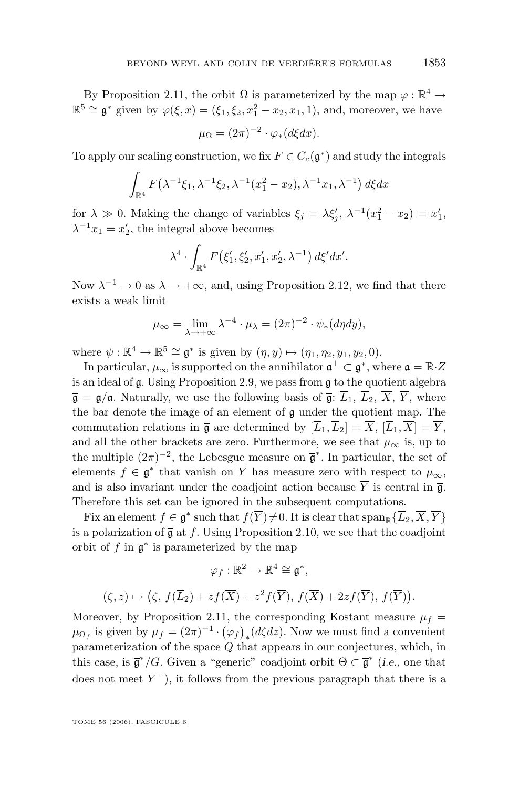By Proposition [2.11,](#page-21-0) the orbit  $\Omega$  is parameterized by the map  $\varphi : \mathbb{R}^4 \to$  $\mathbb{R}^5 \cong \mathfrak{g}^*$  given by  $\varphi(\xi, x) = (\xi_1, \xi_2, x_1^2 - x_2, x_1, 1)$ , and, moreover, we have

$$
\mu_{\Omega} = (2\pi)^{-2} \cdot \varphi_*(d\xi dx).
$$

To apply our scaling construction, we fix  $F \in C_c(\mathfrak{g}^*)$  and study the integrals

$$
\int_{\mathbb{R}^4} F(\lambda^{-1} \xi_1, \lambda^{-1} \xi_2, \lambda^{-1} (x_1^2 - x_2), \lambda^{-1} x_1, \lambda^{-1}) \, d\xi dx
$$

for  $\lambda \gg 0$ . Making the change of variables  $\xi_j = \lambda \xi'_j$ ,  $\lambda^{-1}(x_1^2 - x_2) = x'_1$ ,  $\lambda^{-1}x_1 = x_2'$ , the integral above becomes

$$
\lambda^4 \cdot \int_{\mathbb{R}^4} F(\xi'_1, \xi'_2, x'_1, x'_2, \lambda^{-1}) \, d\xi' dx'.
$$

Now  $\lambda^{-1} \to 0$  as  $\lambda \to +\infty$ , and, using Proposition [2.12,](#page-23-0) we find that there exists a weak limit

$$
\mu_{\infty} = \lim_{\lambda \to +\infty} \lambda^{-4} \cdot \mu_{\lambda} = (2\pi)^{-2} \cdot \psi_*(d\eta dy),
$$

where  $\psi : \mathbb{R}^4 \to \mathbb{R}^5 \cong \mathfrak{g}^*$  is given by  $(\eta, y) \mapsto (\eta_1, \eta_2, y_1, y_2, 0)$ .

In particular,  $\mu_{\infty}$  is supported on the annihilator  $\mathfrak{a}^{\perp} \subset \mathfrak{g}^*$ , where  $\mathfrak{a} = \mathbb{R} \cdot Z$ is an ideal of g. Using Proposition [2.9,](#page-20-0) we pass from g to the quotient algebra  $\overline{\mathfrak{g}} = \mathfrak{g}/\mathfrak{a}$ . Naturally, we use the following basis of  $\overline{\mathfrak{g}}$ :  $\overline{L}_1$ ,  $\overline{L}_2$ ,  $\overline{X}$ ,  $\overline{Y}$ , where the bar denote the image of an element of g under the quotient map. The commutation relations in  $\overline{\mathfrak{g}}$  are determined by  $[\overline{L}_1,\overline{L}_2] = \overline{X}, [\overline{L}_1,\overline{X}] = \overline{Y}$ , and all the other brackets are zero. Furthermore, we see that  $\mu_{\infty}$  is, up to the multiple  $(2\pi)^{-2}$ , the Lebesgue measure on  $\bar{\mathfrak{g}}^*$ . In particular, the set of elements  $f \in \overline{\mathfrak{g}}^*$  that vanish on  $\overline{Y}$  has measure zero with respect to  $\mu_{\infty}$ , and is also invariant under the coadjoint action because  $\overline{Y}$  is central in  $\overline{\mathfrak{g}}$ . Therefore this set can be ignored in the subsequent computations.

Fix an element  $f \in \overline{\mathfrak{g}}^*$  such that  $f(\overline{Y}) \neq 0$ . It is clear that  $\text{span}_{\mathbb{R}}\{\overline{L}_2, \overline{X}, \overline{Y}\}$ is a polarization of  $\bar{g}$  at f. Using Proposition [2.10,](#page-21-0) we see that the coadjoint orbit of f in  $\overline{\mathfrak{g}}^*$  is parameterized by the map

$$
\varphi_f: \mathbb{R}^2 \to \mathbb{R}^4 \cong \overline{\mathfrak{g}}^*,
$$
  

$$
(\zeta, z) \mapsto (\zeta, f(\overline{L}_2) + z f(\overline{X}) + z^2 f(\overline{Y}), f(\overline{X}) + 2z f(\overline{Y}), f(\overline{Y})).
$$

Moreover, by Proposition [2.11,](#page-21-0) the corresponding Kostant measure  $\mu_f$  =  $\mu_{\Omega_f}$  is given by  $\mu_f = (2\pi)^{-1} \cdot (\varphi_f)_* (d\zeta dz)$ . Now we must find a convenient parameterization of the space Q that appears in our conjectures, which, in this case, is  $\bar{\mathfrak{g}}^*/\overline{G}$ . Given a "generic" coadjoint orbit  $\Theta \subset \bar{\mathfrak{g}}^*$  (*i.e.*, one that does not meet  $\overline{Y}^{\perp}$ ), it follows from the previous paragraph that there is a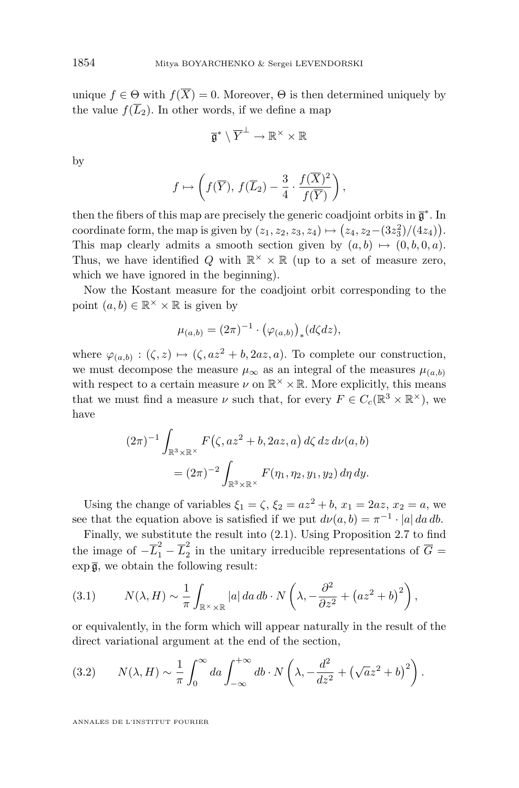unique  $f \in \Theta$  with  $f(\overline{X}) = 0$ . Moreover,  $\Theta$  is then determined uniquely by the value  $f(\overline{L}_2)$ . In other words, if we define a map

$$
\overline{\mathfrak{g}}^*\setminus \overline{Y}^\perp \to \mathbb{R}^\times \times \mathbb{R}
$$

by

$$
f \mapsto \left(f(\overline{Y}), f(\overline{L}_2) - \frac{3}{4} \cdot \frac{f(\overline{X})^2}{f(\overline{Y})}\right),
$$

then the fibers of this map are precisely the generic coadjoint orbits in  $\bar{\mathfrak{g}}^*$ . In coordinate form, the map is given by  $(z_1, z_2, z_3, z_4) \mapsto (z_4, z_2-(3z_3^2)/(4z_4)).$ This map clearly admits a smooth section given by  $(a, b) \mapsto (0, b, 0, a)$ . Thus, we have identified Q with  $\mathbb{R}^{\times} \times \mathbb{R}$  (up to a set of measure zero, which we have ignored in the beginning).

Now the Kostant measure for the coadjoint orbit corresponding to the point  $(a, b) \in \mathbb{R}^{\times} \times \mathbb{R}$  is given by

$$
\mu_{(a,b)} = (2\pi)^{-1} \cdot (\varphi_{(a,b)})_*(d\zeta dz),
$$

where  $\varphi_{(a,b)} : (\zeta, z) \mapsto (\zeta, az^2 + b, 2az, a)$ . To complete our construction, we must decompose the measure  $\mu_{\infty}$  as an integral of the measures  $\mu_{(a,b)}$ with respect to a certain measure  $\nu$  on  $\mathbb{R}^{\times} \times \mathbb{R}$ . More explicitly, this means that we must find a measure  $\nu$  such that, for every  $F \in C_c(\mathbb{R}^3 \times \mathbb{R}^{\times})$ , we have

$$
(2\pi)^{-1} \int_{\mathbb{R}^3 \times \mathbb{R}^\times} F(\zeta, az^2 + b, 2az, a) d\zeta dz d\nu(a, b)
$$
  
=  $(2\pi)^{-2} \int_{\mathbb{R}^3 \times \mathbb{R}^\times} F(\eta_1, \eta_2, y_1, y_2) d\eta dy.$ 

Using the change of variables  $\xi_1 = \zeta$ ,  $\xi_2 = az^2 + b$ ,  $x_1 = 2az$ ,  $x_2 = a$ , we see that the equation above is satisfied if we put  $d\nu(a, b) = \pi^{-1} \cdot |a| da db$ .

Finally, we substitute the result into [\(2.1\)](#page-16-0). Using Proposition [2.7](#page-19-0) to find the image of  $-\overline{L}_1^2 - \overline{L}_2^2$  $\frac{2}{2}$  in the unitary irreducible representations of  $G =$  $\exp \overline{\mathfrak{g}}$ , we obtain the following result:

(3.1) 
$$
N(\lambda, H) \sim \frac{1}{\pi} \int_{\mathbb{R}^{\times} \times \mathbb{R}} |a| da db \cdot N\left(\lambda, -\frac{\partial^2}{\partial z^2} + (az^2 + b)^2\right),
$$

or equivalently, in the form which will appear naturally in the result of the direct variational argument at the end of the section,

(3.2) 
$$
N(\lambda, H) \sim \frac{1}{\pi} \int_0^\infty da \int_{-\infty}^{+\infty} db \cdot N\left(\lambda, -\frac{d^2}{dz^2} + (\sqrt{a}z^2 + b)^2\right).
$$

ANNALES DE L'INSTITUT FOURIER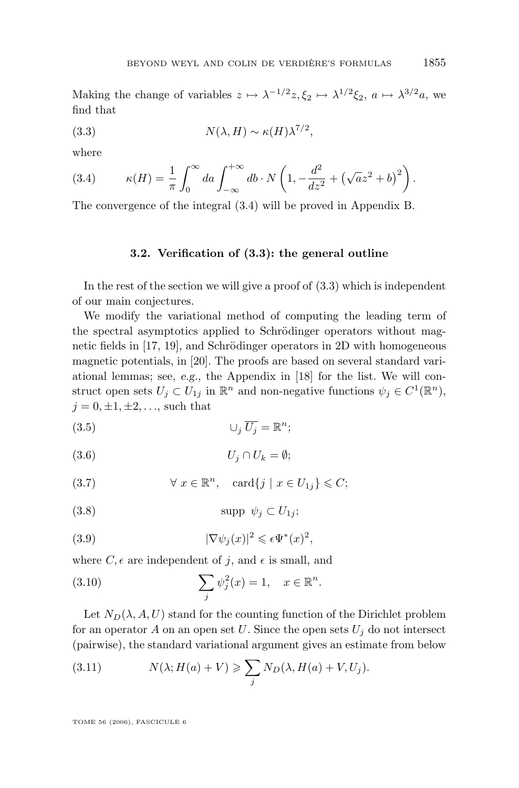<span id="page-29-0"></span>Making the change of variables  $z \mapsto \lambda^{-1/2} z, \xi_2 \mapsto \lambda^{1/2} \xi_2, a \mapsto \lambda^{3/2} a$ , we find that

(3.3) 
$$
N(\lambda, H) \sim \kappa(H) \lambda^{7/2},
$$

where

(3.4) 
$$
\kappa(H) = \frac{1}{\pi} \int_0^{\infty} da \int_{-\infty}^{+\infty} db \cdot N\left(1, -\frac{d^2}{dz^2} + (\sqrt{a}z^2 + b)^2\right).
$$

The convergence of the integral (3.4) will be proved in Appendix B.

#### **3.2. Verification of (3.3): the general outline**

In the rest of the section we will give a proof of (3.3) which is independent of our main conjectures.

We modify the variational method of computing the leading term of the spectral asymptotics applied to Schrödinger operators without magnetic fields in [\[17,](#page-74-0) [19\]](#page-74-0), and Schrödinger operators in 2D with homogeneous magnetic potentials, in [\[20\]](#page-74-0). The proofs are based on several standard variational lemmas; see, *e.g.,* the Appendix in [\[18\]](#page-74-0) for the list. We will construct open sets  $U_j \subset U_{1j}$  in  $\mathbb{R}^n$  and non-negative functions  $\psi_j \in C^1(\mathbb{R}^n)$ ,  $j = 0, \pm 1, \pm 2, \ldots$ , such that

(3.5) ∪<sup>j</sup> U<sup>j</sup> = R n ;

$$
(3.6) \t\t\t U_j \cap U_k = \emptyset;
$$

(3.7)  $\forall x \in \mathbb{R}^n$ ,  $\text{card}\{j \mid x \in U_{1j}\} \leqslant C$ ;

$$
(3.8) \t \t \supp \psi_j \subset U_{1j};
$$

(3.9) 
$$
|\nabla \psi_j(x)|^2 \leqslant \epsilon \Psi^*(x)^2,
$$

where  $C, \epsilon$  are independent of j, and  $\epsilon$  is small, and

(3.10) 
$$
\sum_{j} \psi_{j}^{2}(x) = 1, \quad x \in \mathbb{R}^{n}.
$$

Let  $N_D(\lambda, A, U)$  stand for the counting function of the Dirichlet problem for an operator A on an open set U. Since the open sets  $U_j$  do not intersect (pairwise), the standard variational argument gives an estimate from below

(3.11) 
$$
N(\lambda; H(a) + V) \geqslant \sum_{j} N_D(\lambda, H(a) + V, U_j).
$$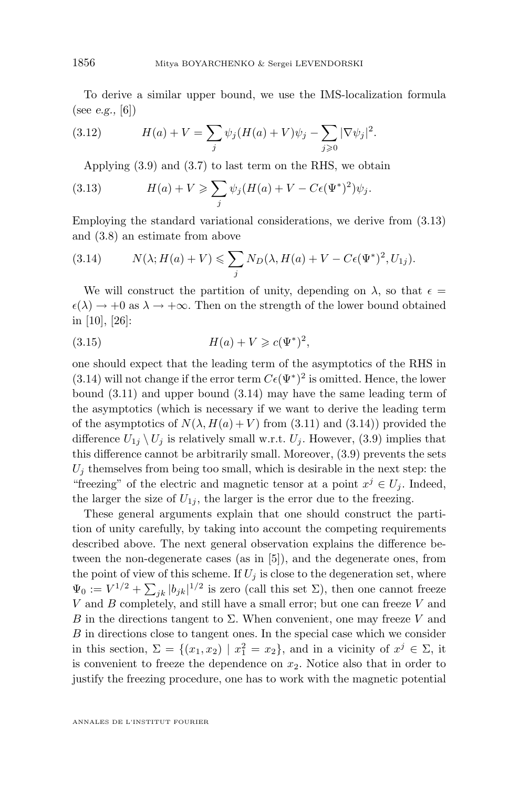<span id="page-30-0"></span>To derive a similar upper bound, we use the IMS-localization formula (see *e.g.,* [\[6\]](#page-73-0))

(3.12) 
$$
H(a) + V = \sum_{j} \psi_j (H(a) + V) \psi_j - \sum_{j \geq 0} |\nabla \psi_j|^2.
$$

Applying [\(3.9\)](#page-29-0) and [\(3.7\)](#page-29-0) to last term on the RHS, we obtain

(3.13) 
$$
H(a) + V \geqslant \sum_{j} \psi_j (H(a) + V - C\epsilon (\Psi^*)^2) \psi_j.
$$

Employing the standard variational considerations, we derive from (3.13) and [\(3.8\)](#page-29-0) an estimate from above

(3.14) 
$$
N(\lambda; H(a) + V) \leqslant \sum_j N_D(\lambda, H(a) + V - C\epsilon(\Psi^*)^2, U_{1j}).
$$

We will construct the partition of unity, depending on  $\lambda$ , so that  $\epsilon =$  $\epsilon(\lambda) \rightarrow +0$  as  $\lambda \rightarrow +\infty$ . Then on the strength of the lower bound obtained in [\[10\]](#page-73-0), [\[26\]](#page-74-0):

(3.15) 
$$
H(a) + V \geq c(\Psi^*)^2,
$$

one should expect that the leading term of the asymptotics of the RHS in (3.14) will not change if the error term  $C\epsilon(\Psi^*)^2$  is omitted. Hence, the lower bound [\(3.11\)](#page-29-0) and upper bound (3.14) may have the same leading term of the asymptotics (which is necessary if we want to derive the leading term of the asymptotics of  $N(\lambda, H(a) + V)$  from [\(3.11\)](#page-29-0) and (3.14)) provided the difference  $U_{1j} \setminus U_j$  is relatively small w.r.t.  $U_j$ . However, [\(3.9\)](#page-29-0) implies that this difference cannot be arbitrarily small. Moreover, [\(3.9\)](#page-29-0) prevents the sets  $U_i$  themselves from being too small, which is desirable in the next step: the "freezing" of the electric and magnetic tensor at a point  $x^j \in U_j$ . Indeed, the larger the size of  $U_{1i}$ , the larger is the error due to the freezing.

These general arguments explain that one should construct the partition of unity carefully, by taking into account the competing requirements described above. The next general observation explains the difference between the non-degenerate cases (as in [\[5\]](#page-73-0)), and the degenerate ones, from the point of view of this scheme. If  $U_j$  is close to the degeneration set, where  $\Psi_0 := V^{1/2} + \sum_{jk} |b_{jk}|^{1/2}$  is zero (call this set  $\Sigma$ ), then one cannot freeze  $V$  and  $B$  completely, and still have a small error; but one can freeze  $V$  and B in the directions tangent to  $\Sigma$ . When convenient, one may freeze V and B in directions close to tangent ones. In the special case which we consider in this section,  $\Sigma = \{(x_1, x_2) | x_1^2 = x_2\}$ , and in a vicinity of  $x^j \in \Sigma$ , it is convenient to freeze the dependence on  $x_2$ . Notice also that in order to justify the freezing procedure, one has to work with the magnetic potential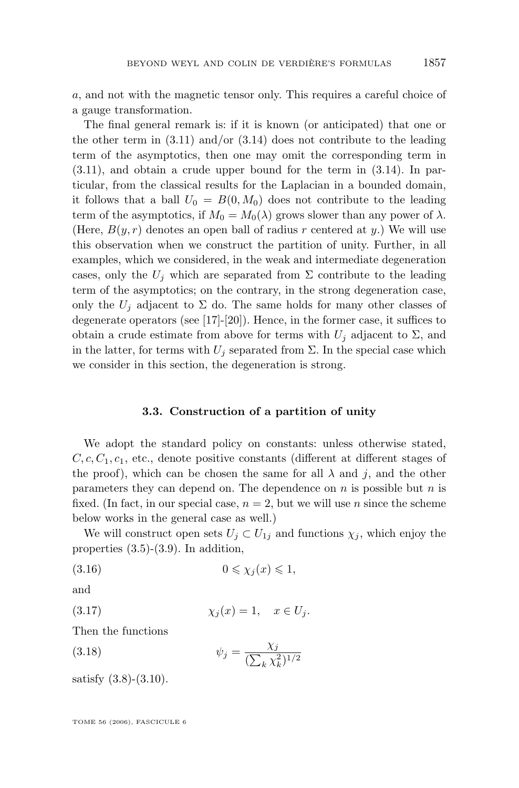<span id="page-31-0"></span>a, and not with the magnetic tensor only. This requires a careful choice of a gauge transformation.

The final general remark is: if it is known (or anticipated) that one or the other term in  $(3.11)$  and/or  $(3.14)$  does not contribute to the leading term of the asymptotics, then one may omit the corresponding term in [\(3.11\)](#page-29-0), and obtain a crude upper bound for the term in [\(3.14\)](#page-30-0). In particular, from the classical results for the Laplacian in a bounded domain, it follows that a ball  $U_0 = B(0, M_0)$  does not contribute to the leading term of the asymptotics, if  $M_0 = M_0(\lambda)$  grows slower than any power of  $\lambda$ . (Here,  $B(y, r)$  denotes an open ball of radius r centered at y.) We will use this observation when we construct the partition of unity. Further, in all examples, which we considered, in the weak and intermediate degeneration cases, only the  $U_i$  which are separated from  $\Sigma$  contribute to the leading term of the asymptotics; on the contrary, in the strong degeneration case, only the  $U_i$  adjacent to  $\Sigma$  do. The same holds for many other classes of degenerate operators (see [\[17\]](#page-74-0)-[\[20\]](#page-74-0)). Hence, in the former case, it suffices to obtain a crude estimate from above for terms with  $U_i$  adjacent to  $\Sigma$ , and in the latter, for terms with  $U_i$  separated from  $\Sigma$ . In the special case which we consider in this section, the degeneration is strong.

#### **3.3. Construction of a partition of unity**

We adopt the standard policy on constants: unless otherwise stated,  $C, c, C_1, c_1$ , etc., denote positive constants (different at different stages of the proof), which can be chosen the same for all  $\lambda$  and j, and the other parameters they can depend on. The dependence on  $n$  is possible but  $n$  is fixed. (In fact, in our special case,  $n = 2$ , but we will use n since the scheme below works in the general case as well.)

We will construct open sets  $U_i \subset U_{1i}$  and functions  $\chi_i$ , which enjoy the properties  $(3.5)-(3.9)$  $(3.5)-(3.9)$  $(3.5)-(3.9)$ . In addition,

$$
(3.16) \t\t 0 \leqslant \chi_j(x) \leqslant 1,
$$

and

$$
\chi_j(x) = 1, \quad x \in U_j.
$$

Then the functions

(3.18) 
$$
\psi_j = \frac{\chi_j}{(\sum_k \chi_k^2)^{1/2}}
$$

satisfy  $(3.8)-(3.10)$  $(3.8)-(3.10)$  $(3.8)-(3.10)$ .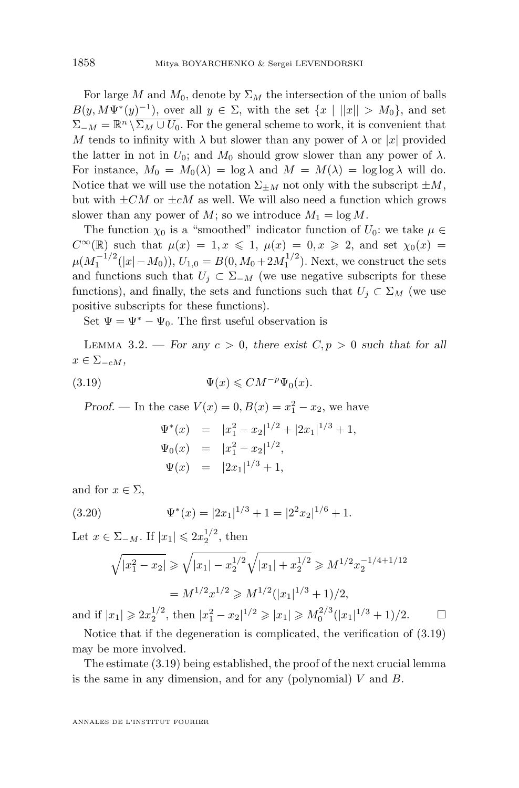<span id="page-32-0"></span>For large M and  $M_0$ , denote by  $\Sigma_M$  the intersection of the union of balls  $B(y, M\Psi^*(y)^{-1})$ , over all  $y \in \Sigma$ , with the set  $\{x \mid ||x|| > M_0\}$ , and set  $\Sigma_{-M} = \mathbb{R}^n \setminus \overline{\Sigma_M \cup U_0}$ . For the general scheme to work, it is convenient that M tends to infinity with  $\lambda$  but slower than any power of  $\lambda$  or |x| provided the latter in not in  $U_0$ ; and  $M_0$  should grow slower than any power of  $\lambda$ . For instance,  $M_0 = M_0(\lambda) = \log \lambda$  and  $M = M(\lambda) = \log \log \lambda$  will do. Notice that we will use the notation  $\Sigma_{\pm M}$  not only with the subscript  $\pm M$ , but with  $\pm CM$  or  $\pm cM$  as well. We will also need a function which grows slower than any power of M; so we introduce  $M_1 = \log M$ .

The function  $\chi_0$  is a "smoothed" indicator function of  $U_0$ : we take  $\mu \in$  $C^{\infty}(\mathbb{R})$  such that  $\mu(x) = 1, x \leq 1, \mu(x) = 0, x \geq 2$ , and set  $\chi_0(x) =$  $\mu(M_1^{-1/2}(|x|-M_0)), U_{1,0} = B(0, M_0 + 2M_1^{1/2}).$  Next, we construct the sets and functions such that  $U_j \subset \Sigma_{-M}$  (we use negative subscripts for these functions), and finally, the sets and functions such that  $U_i \subset \Sigma_M$  (we use positive subscripts for these functions).

Set  $\Psi = \Psi^* - \Psi_0$ . The first useful observation is

LEMMA 3.2. — For any  $c > 0$ , there exist  $C, p > 0$  such that for all  $x \in \Sigma_{-cM}$ ,

(3.19) 
$$
\Psi(x) \leqslant CM^{-p}\Psi_0(x).
$$

*Proof.* — In the case  $V(x) = 0, B(x) = x_1^2 - x_2$ , we have

$$
\Psi^*(x) = |x_1^2 - x_2|^{1/2} + |2x_1|^{1/3} + 1,
$$
  
\n
$$
\Psi_0(x) = |x_1^2 - x_2|^{1/2},
$$
  
\n
$$
\Psi(x) = |2x_1|^{1/3} + 1,
$$

and for  $x \in \Sigma$ ,

(3.20) 
$$
\Psi^*(x) = |2x_1|^{1/3} + 1 = |2^2x_2|^{1/6} + 1.
$$

Let  $x \in \Sigma_{-M}$ . If  $|x_1| \leq 2x_2^{1/2}$ , then

$$
\sqrt{|x_1^2 - x_2|} \ge \sqrt{|x_1| - x_2^{1/2}} \sqrt{|x_1| + x_2^{1/2}} \ge M^{1/2} x_2^{-1/4 + 1/12}
$$
  
=  $M^{1/2} x^{1/2} \ge M^{1/2} (|x_1|^{1/3} + 1)/2$ ,

and if  $|x_1| \geq 2x_2^{1/2}$ , then  $|x_1^2 - x_2|^{1/2} \geq |x_1| \geq M_0^{2/3}(|x_1|^{1/3} + 1)/2$ .  $\Box$ 

Notice that if the degeneration is complicated, the verification of (3.19) may be more involved.

The estimate (3.19) being established, the proof of the next crucial lemma is the same in any dimension, and for any (polynomial)  $V$  and  $B$ .

ANNALES DE L'INSTITUT FOURIER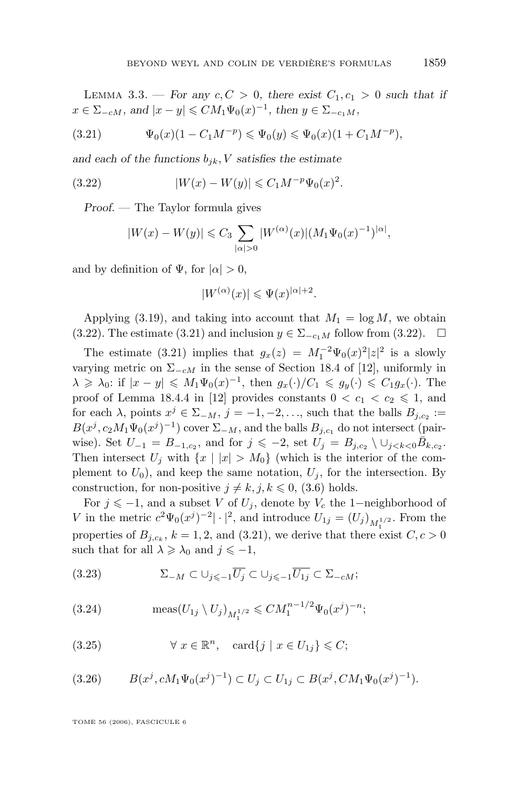<span id="page-33-0"></span>LEMMA 3.3. — For any  $c, C > 0$ , there exist  $C_1, c_1 > 0$  such that if  $x \in \Sigma_{-cM}$ , and  $|x - y| \leq C M_1 \Psi_0(x)^{-1}$ , then  $y \in \Sigma_{-c_1M}$ ,

(3.21) 
$$
\Psi_0(x)(1 - C_1 M^{-p}) \leq \Psi_0(y) \leq \Psi_0(x)(1 + C_1 M^{-p}),
$$

and each of the functions  $b_{jk}$ , *V* satisfies the estimate

(3.22) 
$$
|W(x) - W(y)| \leq C_1 M^{-p} \Psi_0(x)^2.
$$

*Proof. —* The Taylor formula gives

$$
|W(x) - W(y)| \leq C_3 \sum_{|\alpha|>0} |W^{(\alpha)}(x)| (M_1 \Psi_0(x)^{-1})^{|\alpha|},
$$

and by definition of  $\Psi$ , for  $|\alpha| > 0$ ,

$$
|W^{(\alpha)}(x)| \leqslant \Psi(x)^{|\alpha|+2}.
$$

Applying [\(3.19\)](#page-32-0), and taking into account that  $M_1 = \log M$ , we obtain (3.22). The estimate (3.21) and inclusion  $y \in \Sigma_{-c_1M}$  follow from (3.22).  $\Box$ 

The estimate (3.21) implies that  $g_x(z) = M_1^{-2} \Psi_0(x)^2 |z|^2$  is a slowly varying metric on  $\Sigma_{-cM}$  in the sense of Section 18.4 of [\[12\]](#page-73-0), uniformly in  $\lambda \geq \lambda_0$ : if  $|x-y| \leq M_1\Psi_0(x)^{-1}$ , then  $g_x(\cdot)/C_1 \leq g_y(\cdot) \leq C_1g_x(\cdot)$ . The proof of Lemma 18.4.4 in [\[12\]](#page-73-0) provides constants  $0 < c_1 < c_2 \leq 1$ , and for each  $\lambda$ , points  $x^j \in \Sigma_{-M}$ ,  $j = -1, -2, \ldots$ , such that the balls  $B_{j,c_2} :=$  $B(x^j, c_2M_1\Psi_0(x^j)^{-1})$  cover  $\Sigma_{-M}$ , and the balls  $B_{j,c_1}$  do not intersect (pairwise). Set  $U_{-1} = B_{-1,c_2}$ , and for  $j \leqslant -2$ , set  $U_j = B_{j,c_2} \setminus \cup_{j \leqslant k < 0} \bar{B}_{k,c_2}$ . Then intersect  $U_i$  with  $\{x \mid |x| > M_0\}$  (which is the interior of the complement to  $U_0$ ), and keep the same notation,  $U_i$ , for the intersection. By construction, for non-positive  $j \neq k, j, k \leq 0$ , [\(3.6\)](#page-29-0) holds.

For  $j \leq -1$ , and a subset V of  $U_j$ , denote by  $V_c$  the 1-neighborhood of V in the metric  $c^2 \Psi_0(x^j)^{-2} | \cdot |^2$ , and introduce  $U_{1j} = (U_j)_{M_1^{1/2}}$ . From the properties of  $B_{j,c_k}$ ,  $k = 1, 2$ , and (3.21), we derive that there exist  $C, c > 0$ such that for all  $\lambda \geq \lambda_0$  and  $j \leq -1$ ,

(3.23) 
$$
\Sigma_{-M} \subset \bigcup_{j \leqslant -1} \overline{U_j} \subset \bigcup_{j \leqslant -1} \overline{U_{1j}} \subset \Sigma_{-cM};
$$

(3.24) 
$$
\text{meas}(U_{1j} \setminus U_j)_{M_1^{1/2}} \leqslant CM_1^{n-1/2} \Psi_0(x^j)^{-n};
$$

(3.25) 
$$
\forall x \in \mathbb{R}^n, \quad \text{card}\{j \mid x \in U_{1j}\} \leqslant C;
$$

$$
(3.26) \tB(x^j, cM_1\Psi_0(x^j)^{-1}) \subset U_j \subset U_{1j} \subset B(x^j, CM_1\Psi_0(x^j)^{-1}).
$$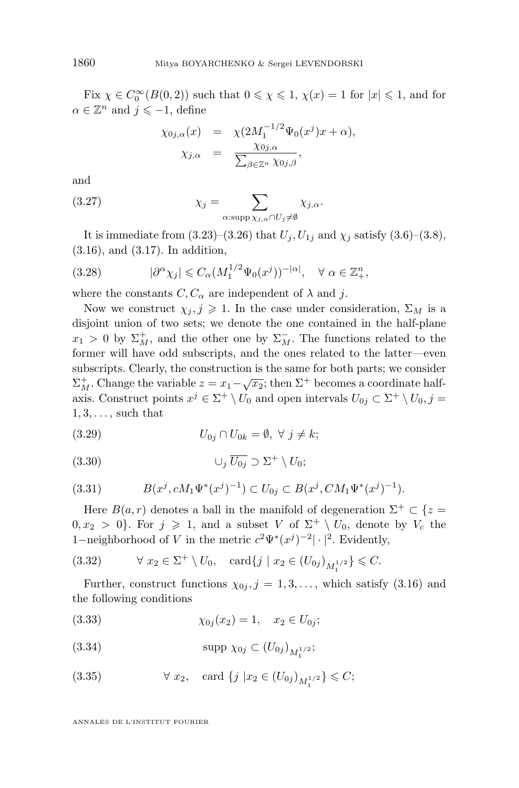Fix  $\chi \in C_0^{\infty}(B(0, 2))$  such that  $0 \le \chi \le 1$ ,  $\chi(x) = 1$  for  $|x| \le 1$ , and for  $\alpha \in \mathbb{Z}^n$  and  $j \leqslant -1$ , define

$$
\chi_{0j,\alpha}(x) = \chi(2M_1^{-1/2}\Psi_0(x^j)x + \alpha),
$$
  

$$
\chi_{j,\alpha} = \frac{\chi_{0j,\alpha}}{\sum_{\beta \in \mathbb{Z}^n} \chi_{0j,\beta}},
$$

and

(3.27) 
$$
\chi_j = \sum_{\alpha:\text{supp }\chi_{j,\alpha} \cap U_j \neq \emptyset} \chi_{j,\alpha}.
$$

It is immediate from  $(3.23)$ – $(3.26)$  that  $U_j, U_{1j}$  and  $\chi_j$  satisfy  $(3.6)$ – $(3.8)$ , [\(3.16\)](#page-31-0), and [\(3.17\)](#page-31-0). In addition,

(3.28) 
$$
|\partial^{\alpha} \chi_j| \leq C_{\alpha} (M_1^{1/2} \Psi_0(x^j))^{-|\alpha|}, \quad \forall \alpha \in \mathbb{Z}_+^n,
$$

where the constants  $C, C_{\alpha}$  are independent of  $\lambda$  and j.

Now we construct  $\chi_j, j \geq 1$ . In the case under consideration,  $\Sigma_M$  is a disjoint union of two sets; we denote the one contained in the half-plane  $x_1 > 0$  by  $\Sigma_M^+$ , and the other one by  $\Sigma_M^-$ . The functions related to the former will have odd subscripts, and the ones related to the latter—even subscripts. Clearly, the construction is the same for both parts; we consider  $\Sigma_M^+$ . Change the variable  $z = x_1 - \sqrt{x_2}$ ; then  $\Sigma^+$  becomes a coordinate halfaxis. Construct points  $x^j \in \Sigma^+ \setminus U_0$  and open intervals  $U_{0j} \subset \Sigma^+ \setminus U_0$ ,  $j =$  $1, 3, \ldots$ , such that

$$
(3.29) \tU_{0j} \cap U_{0k} = \emptyset, \ \forall \ j \neq k;
$$

(3.30) ∪<sup>j</sup> U0<sup>j</sup> ⊃ Σ <sup>+</sup> \ U0;

(3.31) 
$$
B(x^j, cM_1\Psi^*(x^j)^{-1}) \subset U_{0j} \subset B(x^j, CM_1\Psi^*(x^j)^{-1}).
$$

Here  $B(a, r)$  denotes a ball in the manifold of degeneration  $\Sigma^+ \subset \{z =$  $0, x_2 > 0$ . For  $j \geq 1$ , and a subset V of  $\Sigma^+ \setminus U_0$ , denote by  $V_c$  the 1–neighborhood of V in the metric  $c^2\Psi^*(x^j)^{-2}|\cdot|^2$ . Evidently,

(3.32) 
$$
\forall x_2 \in \Sigma^+ \setminus U_0, \text{ card}\{j \mid x_2 \in (U_{0j})_{M_1^{1/2}}\} \leq C.
$$

Further, construct functions  $\chi_{0j}, j = 1, 3, \ldots$ , which satisfy [\(3.16\)](#page-31-0) and the following conditions

(3.33) χ0<sup>j</sup> (x2) = 1, x<sup>2</sup> ∈ U0<sup>j</sup> ;

(3.34) 
$$
\text{supp }\chi_{0j} \subset (U_{0j})_{M_1^{1/2}};
$$

(3.35) 
$$
\forall x_2
$$
, card  $\{j | x_2 \in (U_{0j})_{M_1^{1/2}}\} \leq C;$ 

ANNALES DE L'INSTITUT FOURIER

<span id="page-34-0"></span>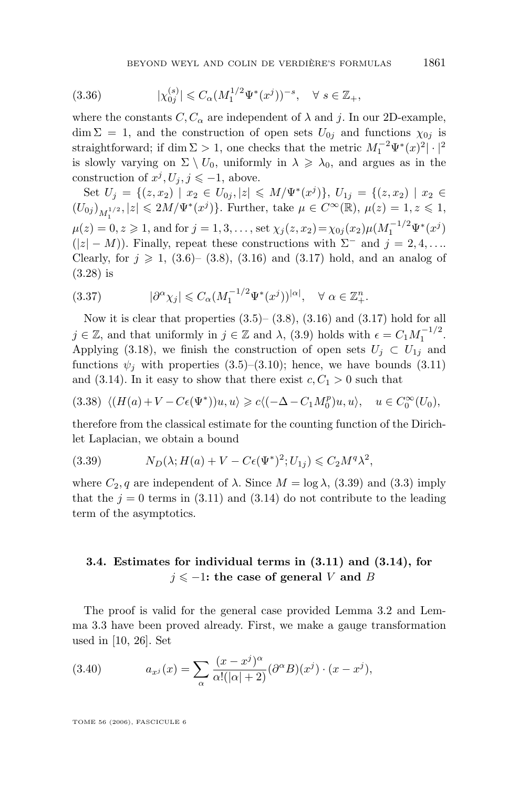(3.36) 
$$
|\chi_{0j}^{(s)}| \leq C_{\alpha} (M_1^{1/2} \Psi^*(x^j))^{-s}, \quad \forall \ s \in \mathbb{Z}_+,
$$

where the constants  $C, C_{\alpha}$  are independent of  $\lambda$  and j. In our 2D-example,  $\dim \Sigma = 1$ , and the construction of open sets  $U_{0j}$  and functions  $\chi_{0j}$  is straightforward; if dim  $\Sigma > 1$ , one checks that the metric  $M_1^{-2} \Psi^*(x)^2 |\cdot|^2$ is slowly varying on  $\Sigma \setminus U_0$ , uniformly in  $\lambda \geq \lambda_0$ , and argues as in the construction of  $x^j, U_j, j \leq -1$ , above.

Set  $U_j = \{(z, x_2) | x_2 \in U_{0j}, |z| \leq M/\Psi^*(x^j)\}, U_{1j} = \{(z, x_2) | x_2 \in$  $(U_{0j})_{M_1^{1/2}}, |z| \leq 2M/\Psi^*(x^j) \}$ . Further, take  $\mu \in C^{\infty}(\mathbb{R}), \mu(z) = 1, z \leq 1$ ,  $\mu(z) = 0, z \geq 1$ , and for  $j = 1, 3, ...,$  set  $\chi_j(z, x_2) = \chi_{0j}(x_2) \mu(M_1^{-1/2} \Psi^*(x^j))$  $(|z| - M)$ ). Finally, repeat these constructions with  $\Sigma^-$  and  $j = 2, 4, \ldots$ Clearly, for  $j \ge 1$ , [\(3.6\)](#page-29-0)– [\(3.8\)](#page-29-0), [\(3.16\)](#page-31-0) and [\(3.17\)](#page-31-0) hold, and an analog of [\(3.28\)](#page-34-0) is

(3.37) 
$$
|\partial^{\alpha} \chi_j| \leq C_{\alpha} (M_1^{-1/2} \Psi^*(x^j))^{\vert \alpha \vert}, \quad \forall \alpha \in \mathbb{Z}_+^n.
$$

Now it is clear that properties  $(3.5)$ – $(3.8)$ ,  $(3.16)$  and  $(3.17)$  hold for all  $j \in \mathbb{Z}$ , and that uniformly in  $j \in \mathbb{Z}$  and  $\lambda$ , [\(3.9\)](#page-29-0) holds with  $\epsilon = C_1 M_1^{-1/2}$ . Applying [\(3.18\)](#page-31-0), we finish the construction of open sets  $U_i \subset U_{1i}$  and functions  $\psi_i$  with properties [\(3.5\)](#page-29-0)–[\(3.10\)](#page-29-0); hence, we have bounds [\(3.11\)](#page-29-0) and [\(3.14\)](#page-30-0). In it easy to show that there exist  $c, C_1 > 0$  such that

$$
(3.38)\ \ \langle (H(a) + V - C\epsilon(\Psi^*))u, u \rangle \geq c\langle (-\Delta - C_1M_0^p)u, u \rangle, \quad u \in C_0^\infty(U_0),
$$

therefore from the classical estimate for the counting function of the Dirichlet Laplacian, we obtain a bound

(3.39) 
$$
N_D(\lambda; H(a) + V - C\epsilon(\Psi^*)^2; U_{1j}) \leqslant C_2 M^q \lambda^2,
$$

where  $C_2$ , q are independent of  $\lambda$ . Since  $M = \log \lambda$ , (3.39) and [\(3.3\)](#page-29-0) imply that the  $j = 0$  terms in [\(3.11\)](#page-29-0) and [\(3.14\)](#page-30-0) do not contribute to the leading term of the asymptotics.

# **3.4. Estimates for individual terms in [\(3.11\)](#page-29-0) and [\(3.14\)](#page-30-0), for**  $j$  ≤ −1**:** the case of general *V* and *B*

The proof is valid for the general case provided Lemma [3.2](#page-32-0) and Lemma [3.3](#page-32-0) have been proved already. First, we make a gauge transformation used in [\[10,](#page-73-0) [26\]](#page-74-0). Set

(3.40) 
$$
a_{x^j}(x) = \sum_{\alpha} \frac{(x-x^j)^{\alpha}}{\alpha!(|\alpha|+2)} (\partial^{\alpha}B)(x^j) \cdot (x-x^j),
$$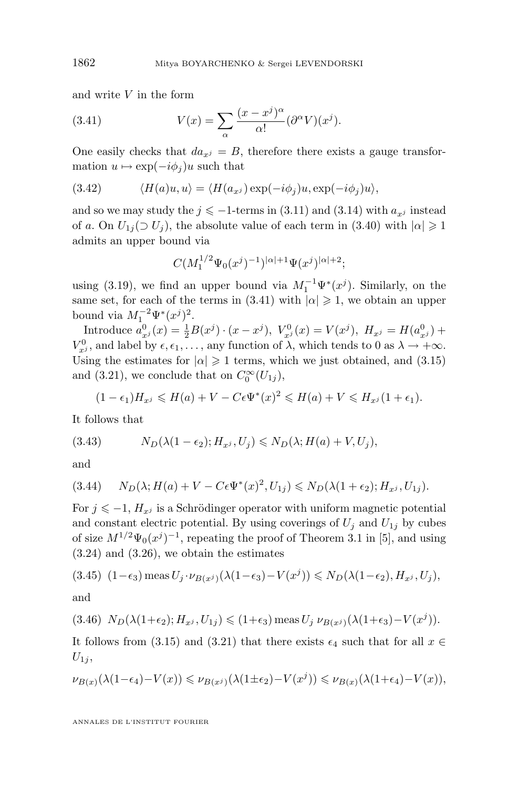and write  $V$  in the form

(3.41) 
$$
V(x) = \sum_{\alpha} \frac{(x - x^j)^{\alpha}}{\alpha!} (\partial^{\alpha} V)(x^j).
$$

One easily checks that  $da_{x,i} = B$ , therefore there exists a gauge transformation  $u \mapsto \exp(-i\phi_j)u$  such that

(3.42) 
$$
\langle H(a)u, u \rangle = \langle H(a_{x^j}) \exp(-i\phi_j)u, \exp(-i\phi_j)u \rangle,
$$

and so we may study the  $j \le -1$ -terms in [\(3.11\)](#page-29-0) and [\(3.14\)](#page-30-0) with  $a_{x,i}$  instead of a. On  $U_{1i}(\supset U_i)$ , the absolute value of each term in [\(3.40\)](#page-35-0) with  $|\alpha|\geqslant 1$ admits an upper bound via

$$
C(M_1^{1/2}\Psi_0(x^j)^{-1})^{|\alpha|+1}\Psi(x^j)^{|\alpha|+2};
$$

using [\(3.19\)](#page-32-0), we find an upper bound via  $M_1^{-1} \Psi^*(x^j)$ . Similarly, on the same set, for each of the terms in (3.41) with  $|\alpha| \geq 1$ , we obtain an upper bound via  $M_1^{-2}\Psi^*(x^j)^2$ .

Introduce  $a_{x}^0(x) = \frac{1}{2}B(x^j) \cdot (x - x^j)$ ,  $V_{x^j}^0(x) = V(x^j)$ ,  $H_{x^j} = H(a_{x^j}^0) +$  $V_{x^j}^0$ , and label by  $\epsilon, \epsilon_1, \ldots$ , any function of  $\lambda$ , which tends to 0 as  $\lambda \to +\infty$ . Using the estimates for  $|\alpha| \geq 1$  terms, which we just obtained, and [\(3.15\)](#page-30-0) and [\(3.21\)](#page-33-0), we conclude that on  $C_0^{\infty}(U_{1j}),$ 

$$
(1 - \epsilon_1)H_{x^j} \leqslant H(a) + V - C\epsilon \Psi^*(x)^2 \leqslant H(a) + V \leqslant H_{x^j}(1 + \epsilon_1).
$$

It follows that

(3.43) 
$$
N_D(\lambda(1-\epsilon_2); H_{x^j}, U_j) \leq N_D(\lambda; H(a) + V, U_j),
$$

and

$$
(3.44) \qquad N_D(\lambda; H(a) + V - C\epsilon \Psi^*(x)^2, U_{1j}) \leq N_D(\lambda(1 + \epsilon_2); H_{x^j}, U_{1j}).
$$

For  $j \leq -1$ ,  $H_{x}j$  is a Schrödinger operator with uniform magnetic potential and constant electric potential. By using coverings of  $U_i$  and  $U_{1i}$  by cubes of size  $M^{1/2}\Psi_0(x^j)^{-1}$ , repeating the proof of Theorem 3.1 in [\[5\]](#page-73-0), and using  $(3.24)$  and  $(3.26)$ , we obtain the estimates

$$
(3.45) \ \ (1-\epsilon_3) \operatorname{meas} U_j \cdot \nu_{B(x^j)}(\lambda(1-\epsilon_3) - V(x^j)) \le N_D(\lambda(1-\epsilon_2), H_{x^j}, U_j),
$$

and

$$
(3.46) N_D(\lambda(1+\epsilon_2); H_{x^j}, U_{1j}) \leq (1+\epsilon_3) \text{ meas } U_j \nu_{B(x^j)}(\lambda(1+\epsilon_3) - V(x^j)).
$$

It follows from [\(3.15\)](#page-30-0) and [\(3.21\)](#page-33-0) that there exists  $\epsilon_4$  such that for all  $x \in$  $U_{1j}$ ,

$$
\nu_{B(x)}(\lambda(1-\epsilon_4)-V(x)) \leq \nu_{B(x^j)}(\lambda(1\pm\epsilon_2)-V(x^j)) \leq \nu_{B(x)}(\lambda(1+\epsilon_4)-V(x)),
$$

<span id="page-36-0"></span>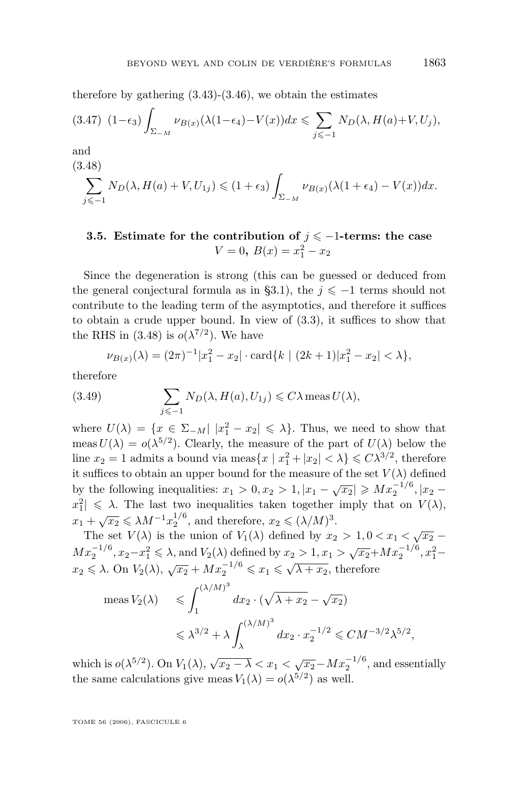<span id="page-37-0"></span>therefore by gathering  $(3.43)-(3.46)$  $(3.43)-(3.46)$  $(3.43)-(3.46)$ , we obtain the estimates

$$
(3.47)\ \ (1-\epsilon_3)\int_{\Sigma_{-M}}\nu_{B(x)}(\lambda(1-\epsilon_4)-V(x))dx\leqslant\sum_{j\leqslant-1}N_D(\lambda,H(a)+V,U_j),
$$

and

$$
(3.48)
$$
  

$$
\sum_{j\leq -1} N_D(\lambda, H(a) + V, U_{1j}) \leq (1 + \epsilon_3) \int_{\Sigma_{-M}} \nu_{B(x)}(\lambda(1 + \epsilon_4) - V(x)) dx.
$$

# **3.5.** Estimate for the contribution of  $j \le -1$ -terms: the case  $V = 0, B(x) = x_1^2 - x_2$

Since the degeneration is strong (this can be guessed or deduced from the general conjectural formula as in [§3.1\)](#page-25-0), the  $j \leq -1$  terms should not contribute to the leading term of the asymptotics, and therefore it suffices to obtain a crude upper bound. In view of [\(3.3\)](#page-29-0), it suffices to show that the RHS in (3.48) is  $o(\lambda^{7/2})$ . We have

$$
\nu_{B(x)}(\lambda) = (2\pi)^{-1}|x_1^2 - x_2| \cdot \text{card}\{k \mid (2k+1)|x_1^2 - x_2| < \lambda\},
$$

therefore

(3.49) 
$$
\sum_{j \leq -1} N_D(\lambda, H(a), U_{1j}) \leq C \lambda \operatorname{meas} U(\lambda),
$$

where  $U(\lambda) = \{x \in \Sigma_{-M} | |x_1^2 - x_2| \leq \lambda\}$ . Thus, we need to show that meas  $U(\lambda) = o(\lambda^{5/2})$ . Clearly, the measure of the part of  $U(\lambda)$  below the line  $x_2 = 1$  admits a bound via meas $\{x \mid x_1^2 + |x_2| < \lambda\} \leq C\lambda^{3/2}$ , therefore it suffices to obtain an upper bound for the measure of the set  $V(\lambda)$  defined by the following inequalities:  $x_1 > 0, x_2 > 1, |x_1 - \sqrt{x_2}| \ge M x_2^{-1/6}, |x_2$  $x_1^2 \leq \lambda$ . The last two inequalities taken together imply that on  $V(\lambda)$ ,  $x_1 + \sqrt{x_2} \le \lambda M^{-1} x_2^{1/6}$ , and therefore,  $x_2 \le (\lambda/M)^3$ .

The set  $V(\lambda)$  is the union of  $V_1(\lambda)$  defined by  $x_2 > 1, 0 < x_1 < \sqrt{x_2}$  –  $Mx_2^{-1/6}, x_2-x_1^2 \le \lambda$ , and  $V_2(\lambda)$  defined by  $x_2 > 1, x_1 > \sqrt{x_2}+Mx_2^{-1/6}, x_1^2$  $x_2 \leq \lambda$ . On  $V_2(\lambda)$ ,  $\sqrt{x_2} + Mx_2^{-1/6} \leq x_1 \leq \sqrt{\lambda + x_2}$ , therefore

$$
\text{meas } V_2(\lambda) \le \int_1^{(\lambda/M)^3} dx_2 \cdot (\sqrt{\lambda + x_2} - \sqrt{x_2})
$$
  

$$
\le \lambda^{3/2} + \lambda \int_\lambda^{(\lambda/M)^3} dx_2 \cdot x_2^{-1/2} \le CM^{-3/2} \lambda^{5/2},
$$

which is  $o(\lambda^{5/2})$ . On  $V_1(\lambda)$ ,  $\sqrt{x_2 - \lambda} < x_1 < \sqrt{x_2 - M}x_2^{-1/6}$ , and essentially the same calculations give meas  $V_1(\lambda) = o(\lambda^{5/2})$  as well.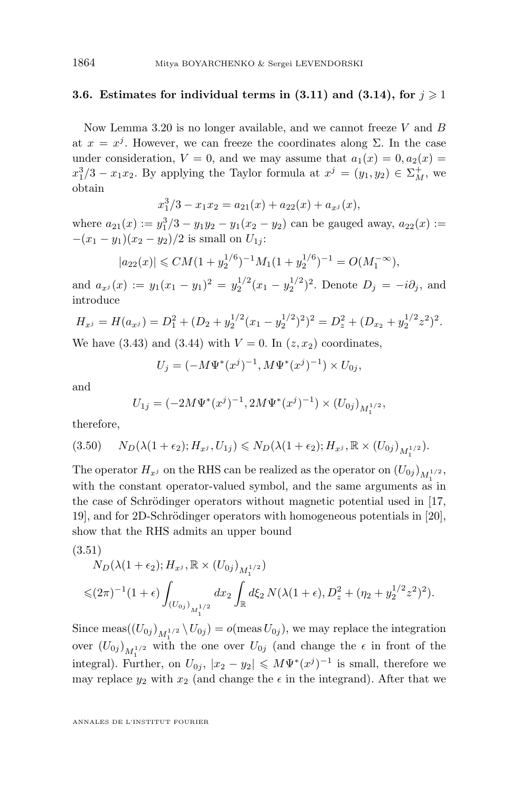# <span id="page-38-0"></span>**3.6.** Estimates for individual terms in  $(3.11)$  and  $(3.14)$ , for  $j \ge 1$

Now Lemma [3.20](#page-32-0) is no longer available, and we cannot freeze V and  $B$ at  $x = x<sup>j</sup>$ . However, we can freeze the coordinates along  $\Sigma$ . In the case under consideration,  $V = 0$ , and we may assume that  $a_1(x) = 0, a_2(x) = 0$  $x_1^3/3 - x_1x_2$ . By applying the Taylor formula at  $x^j = (y_1, y_2) \in \Sigma_M^+$ , we obtain

$$
x_1^3/3 - x_1x_2 = a_{21}(x) + a_{22}(x) + a_{x^j}(x),
$$

where  $a_{21}(x) := y_1^3/3 - y_1y_2 - y_1(x_2 - y_2)$  can be gauged away,  $a_{22}(x) :=$  $-(x_1 - y_1)(x_2 - y_2)/2$  is small on  $U_{1i}$ :

$$
|a_{22}(x)| \leq C M (1 + y_2^{1/6})^{-1} M_1 (1 + y_2^{1/6})^{-1} = O(M_1^{-\infty}),
$$

and  $a_{x^j}(x) := y_1(x_1 - y_1)^2 = y_2^{1/2}(x_1 - y_2^{1/2})^2$ . Denote  $D_j = -i\partial_j$ , and introduce

$$
H_{x^{j}} = H(a_{x^{j}}) = D_{1}^{2} + (D_{2} + y_{2}^{1/2} (x_{1} - y_{2}^{1/2})^{2})^{2} = D_{z}^{2} + (D_{x_{2}} + y_{2}^{1/2} z^{2})^{2}.
$$

We have [\(3.43\)](#page-36-0) and [\(3.44\)](#page-36-0) with  $V = 0$ . In  $(z, x_2)$  coordinates,

$$
U_j = (-M\Psi^*(x^j)^{-1}, M\Psi^*(x^j)^{-1}) \times U_{0j},
$$

and

$$
U_{1j} = (-2M\Psi^*(x^j)^{-1}, 2M\Psi^*(x^j)^{-1}) \times (U_{0j})_{M_1^{1/2}},
$$

therefore,

$$
(3.50) \t N_D(\lambda(1+\epsilon_2); H_{x^j}, U_{1j}) \leq N_D(\lambda(1+\epsilon_2); H_{x^j}, \mathbb{R} \times (U_{0j})_{M_1^{1/2}}).
$$

The operator  $H_{x^j}$  on the RHS can be realized as the operator on  $(U_{0j})_{M_1^{1/2}},$ with the constant operator-valued symbol, and the same arguments as in the case of Schrödinger operators without magnetic potential used in [\[17,](#page-74-0) [19\]](#page-74-0), and for 2D-Schrödinger operators with homogeneous potentials in [\[20\]](#page-74-0), show that the RHS admits an upper bound

$$
(3.51)
$$
  
\n
$$
N_D(\lambda(1+\epsilon_2); H_{x^j}, \mathbb{R} \times (U_{0j})_{M_1^{1/2}})
$$
  
\n
$$
\leq (2\pi)^{-1}(1+\epsilon) \int_{(U_{0j})_{M_1^{1/2}}} dx_2 \int_{\mathbb{R}} d\xi_2 N(\lambda(1+\epsilon), D_z^2 + (\eta_2 + y_2^{1/2} z^2)^2).
$$

Since meas $(U_{0j})_{M_1^{1/2}} \setminus U_{0j}$  =  $o(\text{meas } U_{0j})$ , we may replace the integration over  $(U_{0j})_{M_1^{1/2}}$  with the one over  $U_{0j}$  (and change the  $\epsilon$  in front of the integral). Further, on  $U_{0j}$ ,  $|x_2 - y_2| \leqslant M \Psi^*(x^j)^{-1}$  is small, therefore we may replace  $y_2$  with  $x_2$  (and change the  $\epsilon$  in the integrand). After that we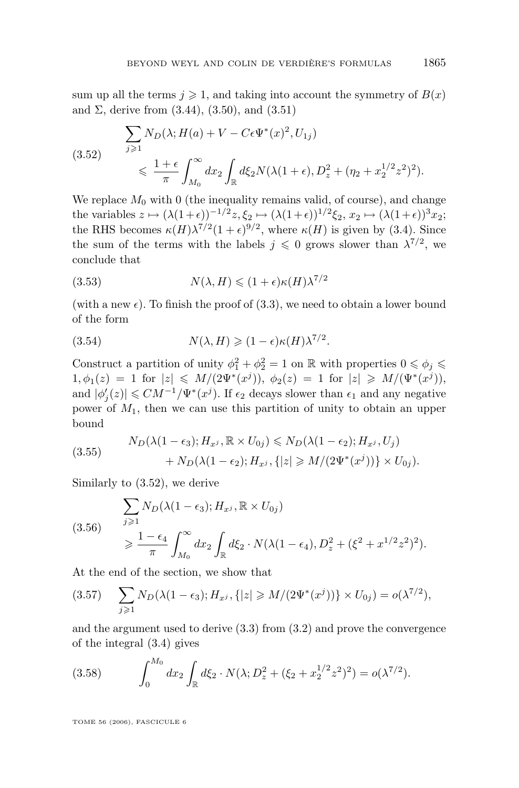<span id="page-39-0"></span>sum up all the terms  $j \geqslant 1$ , and taking into account the symmetry of  $B(x)$ and  $\Sigma$ , derive from  $(3.44)$ ,  $(3.50)$ , and  $(3.51)$ 

$$
(3.52) \qquad \sum_{j\geq 1} N_D(\lambda; H(a) + V - C\epsilon \Psi^*(x)^2, U_{1j})
$$
\n
$$
\leq \frac{1+\epsilon}{\pi} \int_{M_0}^{\infty} dx_2 \int_{\mathbb{R}} d\xi_2 N(\lambda(1+\epsilon), D_z^2 + (\eta_2 + x_2^{1/2} z^2)^2).
$$

We replace  $M_0$  with 0 (the inequality remains valid, of course), and change the variables  $z \mapsto (\lambda(1+\epsilon))^{-1/2} z, \xi_2 \mapsto (\lambda(1+\epsilon))^{1/2} \xi_2, x_2 \mapsto (\lambda(1+\epsilon))^{3} x_2;$ the RHS becomes  $\kappa(H)\lambda^{7/2}(1+\epsilon)^{9/2}$ , where  $\kappa(H)$  is given by [\(3.4\)](#page-29-0). Since the sum of the terms with the labels  $j \leq 0$  grows slower than  $\lambda^{7/2}$ , we conclude that

(3.53) 
$$
N(\lambda, H) \leq (1 + \epsilon) \kappa(H) \lambda^{7/2}
$$

(with a new  $\epsilon$ ). To finish the proof of [\(3.3\)](#page-29-0), we need to obtain a lower bound of the form

(3.54) 
$$
N(\lambda, H) \geq (1 - \epsilon) \kappa(H) \lambda^{7/2}.
$$

Construct a partition of unity  $\phi_1^2 + \phi_2^2 = 1$  on  $\mathbb R$  with properties  $0 \le \phi_j \le$  $1, \phi_1(z) = 1$  for  $|z| \le M/(2\Psi^*(x^j)), \ \phi_2(z) = 1$  for  $|z| \ge M/(\Psi^*(x^j)),$ and  $|\phi_j'(z)| \leq C M^{-1} / \Psi^*(x^j)$ . If  $\epsilon_2$  decays slower than  $\epsilon_1$  and any negative power of  $M_1$ , then we can use this partition of unity to obtain an upper bound

(3.55) 
$$
N_D(\lambda(1-\epsilon_3); H_{x^j}, \mathbb{R} \times U_{0j}) \leq N_D(\lambda(1-\epsilon_2); H_{x^j}, U_j) + N_D(\lambda(1-\epsilon_2); H_{x^j}, \{|z| \geq M/(2\Psi^*(x^j))\} \times U_{0j}).
$$

Similarly to (3.52), we derive

$$
(3.56) \quad \sum_{j\geq 1} N_D(\lambda(1-\epsilon_3); H_{x^j}, \mathbb{R} \times U_{0j})
$$
\n
$$
\geq \frac{1-\epsilon_4}{\pi} \int_{M_0}^{\infty} dx_2 \int_{\mathbb{R}} d\xi_2 \cdot N(\lambda(1-\epsilon_4), D_z^2 + (\xi^2 + x^{1/2} z^2)^2).
$$

At the end of the section, we show that

$$
(3.57) \quad \sum_{j\geq 1} N_D(\lambda(1-\epsilon_3); H_{x^j}, \{|z| \geq M/(2\Psi^*(x^j))\} \times U_{0j}) = o(\lambda^{7/2}),
$$

and the argument used to derive [\(3.3\)](#page-29-0) from [\(3.2\)](#page-28-0) and prove the convergence of the integral [\(3.4\)](#page-29-0) gives

(3.58) 
$$
\int_0^{M_0} dx_2 \int_{\mathbb{R}} d\xi_2 \cdot N(\lambda; D_z^2 + (\xi_2 + x_2^{1/2} z^2)^2) = o(\lambda^{7/2}).
$$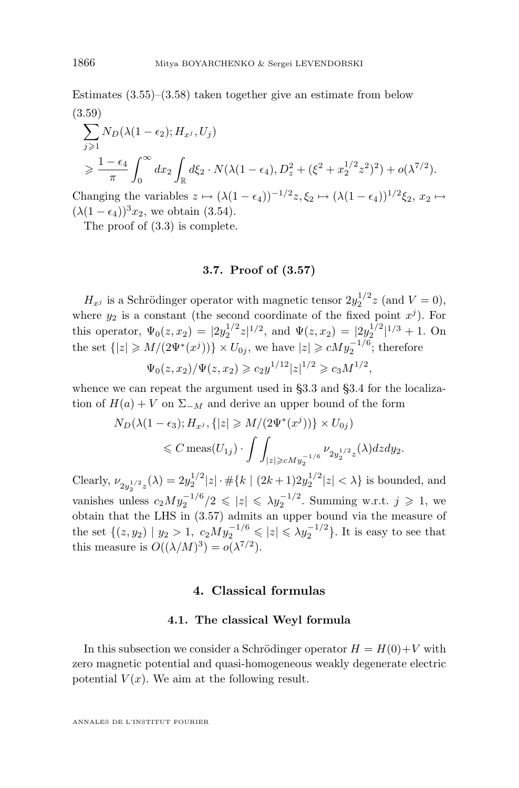<span id="page-40-0"></span>Estimates  $(3.55)$ – $(3.58)$  taken together give an estimate from below (3.59)

$$
\sum_{j\geq 1} N_D(\lambda(1-\epsilon_2); H_{x^j}, U_j)
$$
  
\n
$$
\geq \frac{1-\epsilon_4}{\pi} \int_0^\infty dx_2 \int_{\mathbb{R}} d\xi_2 \cdot N(\lambda(1-\epsilon_4), D_z^2 + (\xi^2 + x_2^{1/2} z^2)^2) + o(\lambda^{7/2}).
$$

Changing the variables  $z \mapsto (\lambda(1 - \epsilon_4))^{-1/2} z, \xi_2 \mapsto (\lambda(1 - \epsilon_4))^{1/2} \xi_2, x_2 \mapsto$  $(\lambda(1 - \epsilon_4))^3 x_2$ , we obtain [\(3.54\)](#page-39-0).

The proof of [\(3.3\)](#page-29-0) is complete.

### **3.7. Proof of [\(3.57\)](#page-39-0)**

 $H_{x^j}$  is a Schrödinger operator with magnetic tensor  $2y_2^{1/2}z$  (and  $V=0$ ), where  $y_2$  is a constant (the second coordinate of the fixed point  $x^j$ ). For this operator,  $\Psi_0(z, x_2) = |2y_2^{1/2}z|^{1/2}$ , and  $\Psi(z, x_2) = |2y_2^{1/2}|^{1/3} + 1$ . On the set  $\{|z|\geqslant M/(2\Psi^*(x^j))\}\times U_{0j}$ , we have  $|z|\geqslant cMy_2^{-1/6}$ ; therefore

$$
\Psi_0(z, x_2)/\Psi(z, x_2) \geqslant c_2 y^{1/12} |z|^{1/2} \geqslant c_3 M^{1/2},
$$

whence we can repeat the argument used in [§3.3](#page-31-0) and [§3.4](#page-35-0) for the localization of  $H(a) + V$  on  $\Sigma_{-M}$  and derive an upper bound of the form

$$
N_D(\lambda(1-\epsilon_3); H_{x^j}, \{|z| \ge M/(2\Psi^*(x^j))\} \times U_{0j})
$$
  
\$\le C \text{ meas}(U\_{1j}) \cdot \int \int\_{|z| \ge cMy\_2^{-1/6}} \nu\_{2y\_2^{1/2}z}(\lambda) dz dy\_2\$.

Clearly,  $\nu_{2y_2^{1/2}z}(\lambda) = 2y_2^{1/2}|z| \cdot \#\{k \mid (2k+1)2y_2^{1/2}|z| < \lambda\}$  is bounded, and vanishes unless  $c_2My_2^{-1/6}/2 \leqslant |z| \leqslant \lambda y_2^{-1/2}$ . Summing w.r.t.  $j \geqslant 1$ , we obtain that the LHS in [\(3.57\)](#page-39-0) admits an upper bound via the measure of the set  $\{(z, y_2) | y_2 > 1, c_2My_2^{-1/6} \leqslant |z| \leqslant \lambda y_2^{-1/2}\}$ . It is easy to see that this measure is  $O((\lambda/M)^3) = o(\lambda^{7/2}).$ 

# **4. Classical formulas**

#### **4.1. The classical Weyl formula**

In this subsection we consider a Schrödinger operator  $H = H(0) + V$  with zero magnetic potential and quasi-homogeneous weakly degenerate electric potential  $V(x)$ . We aim at the following result.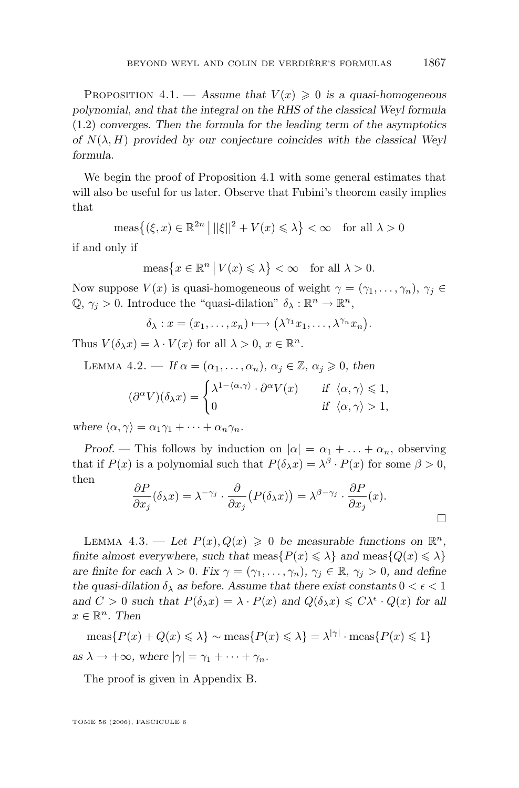<span id="page-41-0"></span>PROPOSITION 4.1. — Assume that  $V(x) \geq 0$  is a quasi-homogeneous *polynomial, and that the integral on the RHS of the classical Weyl formula* [\(1.2\)](#page-2-0) *converges. Then the formula for the leading term of the asymptotics of*  $N(\lambda, H)$  *provided by our conjecture coincides with the classical Weyl formula.*

We begin the proof of Proposition [4.1](#page-40-0) with some general estimates that will also be useful for us later. Observe that Fubini's theorem easily implies that

$$
\operatorname{meas}\left\{ (\xi, x) \in \mathbb{R}^{2n} \, \middle| \, ||\xi||^2 + V(x) \le \lambda \right\} < \infty \quad \text{for all } \lambda > 0
$$

if and only if

$$
\operatorname{meas}\left\{x \in \mathbb{R}^n \mid V(x) \leq \lambda\right\} < \infty \quad \text{for all } \lambda > 0.
$$

Now suppose  $V(x)$  is quasi-homogeneous of weight  $\gamma = (\gamma_1, \ldots, \gamma_n), \gamma_i \in$  $\mathbb{Q}, \gamma_j > 0$ . Introduce the "quasi-dilation"  $\delta_{\lambda}: \mathbb{R}^n \to \mathbb{R}^n$ ,

$$
\delta_{\lambda}: x=(x_1,\ldots,x_n)\longmapsto (\lambda^{\gamma_1}x_1,\ldots,\lambda^{\gamma_n}x_n).
$$

Thus  $V(\delta_{\lambda} x) = \lambda \cdot V(x)$  for all  $\lambda > 0, x \in \mathbb{R}^{n}$ .

LEMMA 4.2. – If 
$$
\alpha = (\alpha_1, ..., \alpha_n)
$$
,  $\alpha_j \in \mathbb{Z}$ ,  $\alpha_j \ge 0$ , then  
\n
$$
(\partial^{\alpha}V)(\delta_{\lambda}x) = \begin{cases} \lambda^{1 - \langle \alpha, \gamma \rangle} \cdot \partial^{\alpha}V(x) & \text{if } \langle \alpha, \gamma \rangle \le 1, \\ 0 & \text{if } \langle \alpha, \gamma \rangle > 1, \end{cases}
$$

*where*  $\langle \alpha, \gamma \rangle = \alpha_1 \gamma_1 + \cdots + \alpha_n \gamma_n$ .

*Proof.* — This follows by induction on  $|\alpha| = \alpha_1 + \ldots + \alpha_n$ , observing that if  $P(x)$  is a polynomial such that  $P(\delta_{\lambda} x) = \lambda^{\beta} \cdot P(x)$  for some  $\beta > 0$ , then

$$
\frac{\partial P}{\partial x_j}(\delta_\lambda x) = \lambda^{-\gamma_j} \cdot \frac{\partial}{\partial x_j} (P(\delta_\lambda x)) = \lambda^{\beta - \gamma_j} \cdot \frac{\partial P}{\partial x_j}(x).
$$

LEMMA 4.3. - Let  $P(x), Q(x) \geq 0$  be measurable functions on  $\mathbb{R}^n$ , *finite almost everywhere, such that*  $meas\{P(x) \leq \lambda\}$  *and*  $meas\{Q(x) \leq \lambda\}$ *are finite for each*  $\lambda > 0$ *. Fix*  $\gamma = (\gamma_1, \dots, \gamma_n)$ *,*  $\gamma_i \in \mathbb{R}$ *,*  $\gamma_i > 0$ *, and define the quasi-dilation*  $\delta_{\lambda}$  *as before. Assume that there exist constants*  $0 < \epsilon < 1$ *and*  $C > 0$  *such that*  $P(\delta_\lambda x) = \lambda \cdot P(x)$  *and*  $Q(\delta_\lambda x) \leq C\lambda^{\epsilon} \cdot Q(x)$  *for all*  $x \in \mathbb{R}^n$ . Then

 $meas\{P(x) + Q(x) \leq \lambda\} \sim meas\{P(x) \leq \lambda\} = \lambda^{|\gamma|} \cdot meas\{P(x) \leq 1\}$ *as*  $\lambda \rightarrow +\infty$ *, where*  $|\gamma| = \gamma_1 + \cdots + \gamma_n$ *.* 

The proof is given in Appendix B.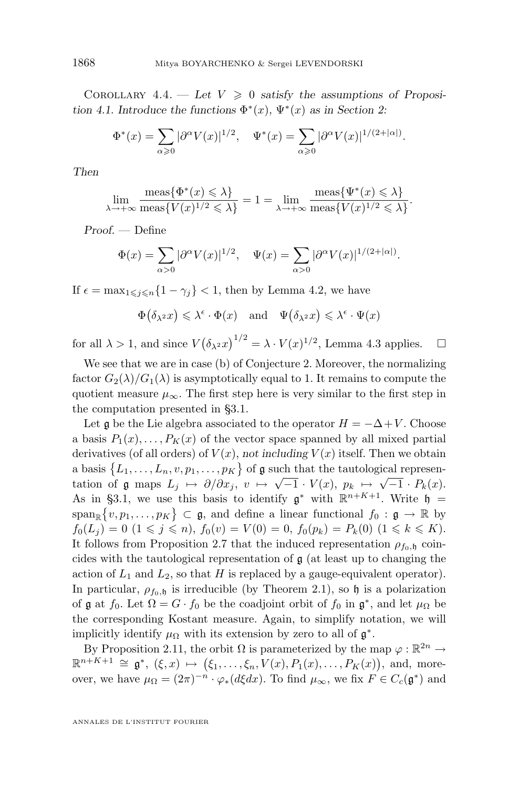COROLLARY  $4.4.$  - Let  $V \geq 0$  satisfy the assumptions of Proposi*tion* [4.1.](#page-40-0) Introduce the functions  $\Phi^*(x)$ ,  $\Psi^*(x)$  as in Section [2:](#page-13-0)

$$
\Phi^*(x) = \sum_{\alpha \geq 0} |\partial^{\alpha} V(x)|^{1/2}, \quad \Psi^*(x) = \sum_{\alpha \geq 0} |\partial^{\alpha} V(x)|^{1/(2+|\alpha|)}.
$$

*Then*

$$
\lim_{\lambda \to +\infty} \frac{\text{meas}\{\Phi^*(x) \leq \lambda\}}{\text{meas}\{V(x)^{1/2} \leq \lambda\}} = 1 = \lim_{\lambda \to +\infty} \frac{\text{meas}\{\Psi^*(x) \leq \lambda\}}{\text{meas}\{V(x)^{1/2} \leq \lambda\}}.
$$

*Proof. —* Define

$$
\Phi(x) = \sum_{\alpha > 0} |\partial^{\alpha} V(x)|^{1/2}, \quad \Psi(x) = \sum_{\alpha > 0} |\partial^{\alpha} V(x)|^{1/(2+|\alpha|)}.
$$

If  $\epsilon = \max_{1 \leq j \leq n} \{1 - \gamma_j\} < 1$ , then by Lemma [4.2,](#page-41-0) we have

$$
\Phi(\delta_{\lambda^2}x) \leq \lambda^{\epsilon} \cdot \Phi(x) \quad \text{and} \quad \Psi(\delta_{\lambda^2}x) \leq \lambda^{\epsilon} \cdot \Psi(x)
$$

for all  $\lambda > 1$ , and since  $V(\delta_{\lambda^2} x)^{1/2} = \lambda \cdot V(x)^{1/2}$ , Lemma [4.3](#page-41-0) applies.  $\Box$ 

We see that we are in case (b) of Conjecture 2. Moreover, the normalizing factor  $G_2(\lambda)/G_1(\lambda)$  is asymptotically equal to 1. It remains to compute the quotient measure  $\mu_{\infty}$ . The first step here is very similar to the first step in the computation presented in [§3.1.](#page-25-0)

Let g be the Lie algebra associated to the operator  $H = -\Delta + V$ . Choose a basis  $P_1(x), \ldots, P_K(x)$  of the vector space spanned by all mixed partial derivatives (of all orders) of  $V(x)$ , *not including*  $V(x)$  itself. Then we obtain a basis  $\{L_1, \ldots, L_n, v, p_1, \ldots, p_K\}$  of  $\mathfrak g$  such that the tautological representation of g maps  $L_j \mapsto \partial/\partial x_j$ ,  $v \mapsto \sqrt{-1} \cdot V(x)$ ,  $p_k \mapsto \sqrt{-1} \cdot P_k(x)$ . As in [§3.1,](#page-25-0) we use this basis to identify  $\mathfrak{g}^*$  with  $\mathbb{R}^{n+K+1}$ . Write  $\mathfrak{h} =$  $\text{span}_{\mathbb{R}}\{v, p_1, \ldots, p_K\} \subset \mathfrak{g}$ , and define a linear functional  $f_0 : \mathfrak{g} \to \mathbb{R}$  by  $f_0(L_j) = 0 \ (1 \leq j \leq n), f_0(v) = V(0) = 0, f_0(p_k) = P_k(0) \ (1 \leq k \leq K).$ It follows from Proposition [2.7](#page-19-0) that the induced representation  $\rho_{f_0, \mathfrak{h}}$  coincides with the tautological representation of  $\mathfrak{g}$  (at least up to changing the action of  $L_1$  and  $L_2$ , so that H is replaced by a gauge-equivalent operator). In particular,  $\rho_{f_0, \mathfrak{h}}$  is irreducible (by Theorem [2.1\)](#page-14-0), so  $\mathfrak{h}$  is a polarization of  $\mathfrak g$  at  $f_0$ . Let  $\Omega = G \cdot f_0$  be the coadjoint orbit of  $f_0$  in  $\mathfrak g^*$ , and let  $\mu_\Omega$  be the corresponding Kostant measure. Again, to simplify notation, we will implicitly identify  $\mu_{\Omega}$  with its extension by zero to all of  $\mathfrak{g}^*$ .

By Proposition [2.11,](#page-21-0) the orbit  $\Omega$  is parameterized by the map  $\varphi : \mathbb{R}^{2n} \to$  $\mathbb{R}^{n+K+1} \cong \mathfrak{g}^*, (\xi, x) \mapsto (\xi_1, \ldots, \xi_n, V(x), P_1(x), \ldots, P_K(x)),$  and, moreover, we have  $\mu_{\Omega} = (2\pi)^{-n} \cdot \varphi_*(d\xi dx)$ . To find  $\mu_{\infty}$ , we fix  $F \in C_c(\mathfrak{g}^*)$  and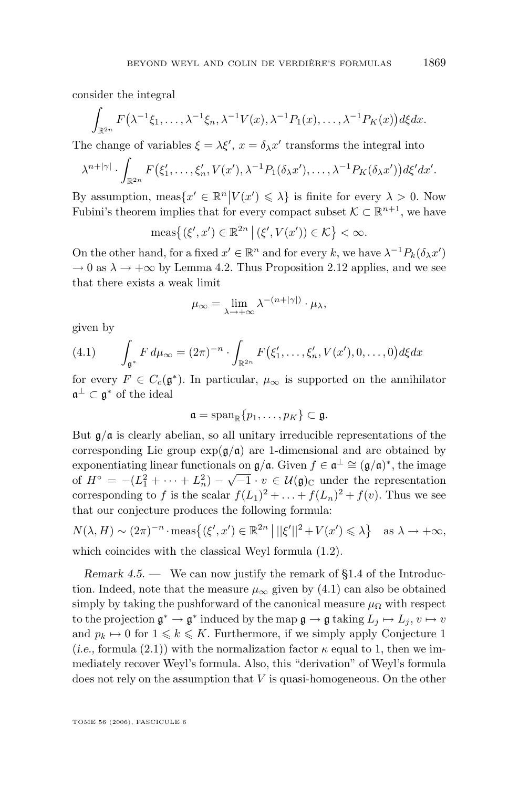<span id="page-43-0"></span>consider the integral

$$
\int_{\mathbb{R}^{2n}} F(\lambda^{-1}\xi_1,\ldots,\lambda^{-1}\xi_n,\lambda^{-1}V(x),\lambda^{-1}P_1(x),\ldots,\lambda^{-1}P_K(x))d\xi dx.
$$

The change of variables  $\xi = \lambda \xi'$ ,  $x = \delta_{\lambda} x'$  transforms the integral into

$$
\lambda^{n+|\gamma|} \cdot \int_{\mathbb{R}^{2n}} F(\xi'_1,\ldots,\xi'_n,V(x'),\lambda^{-1}P_1(\delta_\lambda x'),\ldots,\lambda^{-1}P_K(\delta_\lambda x'))d\xi' dx'.
$$

By assumption, meas $\{x' \in \mathbb{R}^n | V(x') \leq \lambda\}$  is finite for every  $\lambda > 0$ . Now Fubini's theorem implies that for every compact subset  $\mathcal{K} \subset \mathbb{R}^{n+1}$ , we have

$$
\operatorname{meas}\left\{ (\xi', x') \in \mathbb{R}^{2n} \mid (\xi', V(x')) \in \mathcal{K} \right\} < \infty.
$$

On the other hand, for a fixed  $x' \in \mathbb{R}^n$  and for every k, we have  $\lambda^{-1} P_k(\delta_\lambda x')$  $\rightarrow 0$  as  $\lambda \rightarrow +\infty$  by Lemma [4.2.](#page-41-0) Thus Proposition [2.12](#page-23-0) applies, and we see that there exists a weak limit

$$
\mu_{\infty} = \lim_{\lambda \to +\infty} \lambda^{-(n+|\gamma|)} \cdot \mu_{\lambda},
$$

given by

$$
(4.1) \qquad \int_{\mathfrak{g}^*} F d\mu_\infty = (2\pi)^{-n} \cdot \int_{\mathbb{R}^{2n}} F(\xi'_1, \dots, \xi'_n, V(x'), 0, \dots, 0) d\xi dx
$$

for every  $F \in C_c(\mathfrak{g}^*)$ . In particular,  $\mu_\infty$  is supported on the annihilator  $\mathfrak{a}^{\perp} \subset \mathfrak{g}^*$  of the ideal

$$
\mathfrak{a}=\mathrm{span}_{\mathbb{R}}\{p_1,\ldots,p_K\}\subset\mathfrak{g}.
$$

But  $\mathfrak{g}/\mathfrak{a}$  is clearly abelian, so all unitary irreducible representations of the corresponding Lie group  $\exp(\frac{\alpha}{a})$  are 1-dimensional and are obtained by exponentiating linear functionals on  $\mathfrak{g}/\mathfrak{a}$ . Given  $f \in \mathfrak{a}^{\perp} \cong (\mathfrak{g}/\mathfrak{a})^*$ , the image Exponentialing linear functionals on  $\mathbf{y}/\mathbf{u}$ . Given  $f \in \mathbf{u}^* = (\mathbf{y}/\mathbf{u})^*$ , the mage of  $H^\circ = -(L_1^2 + \cdots + L_n^2) - \sqrt{-1} \cdot v \in \mathcal{U}(\mathfrak{g})_{\mathbb{C}}$  under the representation corresponding to f is the scalar  $f(L_1)^2 + \ldots + f(L_n)^2 + f(v)$ . Thus we see that our conjecture produces the following formula:

$$
N(\lambda, H) \sim (2\pi)^{-n} \cdot \text{meas}\{ (\xi', x') \in \mathbb{R}^{2n} \mid ||\xi'||^2 + V(x') \le \lambda \} \text{ as } \lambda \to +\infty,
$$
  
which coincides with the classical Weyl formula (1.2).

*Remark 4.5. —* We can now justify the remark of [§1.4](#page-4-0) of the Introduction. Indeed, note that the measure  $\mu_{\infty}$  given by (4.1) can also be obtained simply by taking the pushforward of the canonical measure  $\mu_{\Omega}$  with respect to the projection  $\mathfrak{g}^* \to \mathfrak{g}^*$  induced by the map  $\mathfrak{g} \to \mathfrak{g}$  taking  $L_j \mapsto L_j$ ,  $v \mapsto v$ and  $p_k \mapsto 0$  for  $1 \leq k \leq K$ . Furthermore, if we simply apply Conjecture 1 (*i.e.*, formula [\(2.1\)](#page-16-0)) with the normalization factor  $\kappa$  equal to 1, then we immediately recover Weyl's formula. Also, this "derivation" of Weyl's formula does not rely on the assumption that  $V$  is quasi-homogeneous. On the other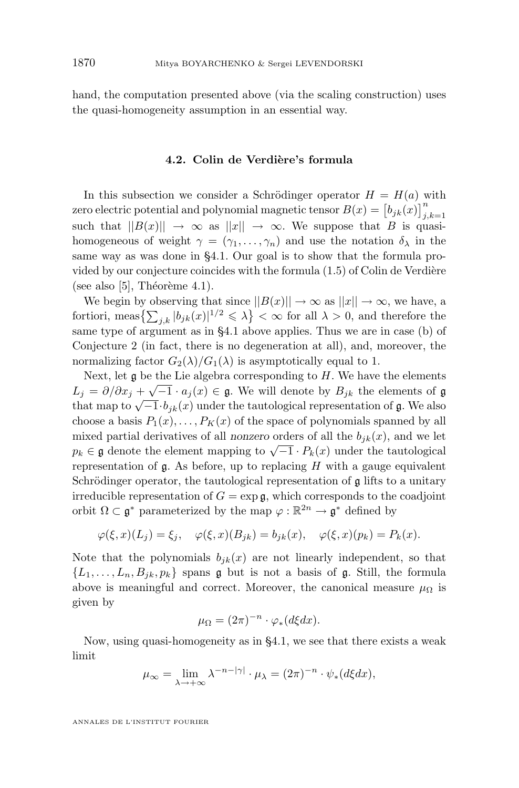hand, the computation presented above (via the scaling construction) uses the quasi-homogeneity assumption in an essential way.

#### **4.2. Colin de Verdière's formula**

In this subsection we consider a Schrödinger operator  $H = H(a)$  with zero electric potential and polynomial magnetic tensor  $B(x) = \left[ b_{jk}(x) \right]_{j,k=1}^n$ such that  $||B(x)|| \rightarrow \infty$  as  $||x|| \rightarrow \infty$ . We suppose that B is quasihomogeneous of weight  $\gamma = (\gamma_1, \ldots, \gamma_n)$  and use the notation  $\delta_{\lambda}$  in the same way as was done in [§4.1.](#page-40-0) Our goal is to show that the formula provided by our conjecture coincides with the formula [\(1.5\)](#page-3-0) of Colin de Verdière (see also [\[5\]](#page-73-0), Théorème 4.1).

We begin by observing that since  $||B(x)|| \to \infty$  as  $||x|| \to \infty$ , we have, a fortiori, meas $\{\sum_{j,k}|b_{jk}(x)|^{1/2}\leqslant\lambda\}<\infty$  for all  $\lambda>0$ , and therefore the same type of argument as in [§4.1](#page-40-0) above applies. Thus we are in case (b) of Conjecture 2 (in fact, there is no degeneration at all), and, moreover, the normalizing factor  $G_2(\lambda)/G_1(\lambda)$  is asymptotically equal to 1.

Next, let  $\mathfrak g$  be the Lie algebra corresponding to H. We have the elements  $L_j = \partial/\partial x_j + \sqrt{-1} \cdot a_j(x) \in \mathfrak{g}$ . We will denote by  $B_{jk}$  the elements of  $\mathfrak{g}$  $L_j = \partial/\partial x_j + \sqrt{-1} \cdot b_{j,k}(x)$  under the tautological representation of g. We also<br>that map to  $\sqrt{-1} \cdot b_{jk}(x)$  under the tautological representation of g. We also choose a basis  $P_1(x), \ldots, P_k(x)$  of the space of polynomials spanned by all mixed partial derivatives of all *nonzero* orders of all the  $b_{ik}(x)$ , and we let mixed partial derivatives of an *honzero* orders of an the  $o_{jk}(x)$ , and we let  $p_k \in \mathfrak{g}$  denote the element mapping to  $\sqrt{-1} \cdot P_k(x)$  under the tautological representation of  $\mathfrak g$ . As before, up to replacing H with a gauge equivalent Schrödinger operator, the tautological representation of  $\mathfrak g$  lifts to a unitary irreducible representation of  $G = \exp \mathfrak{g}$ , which corresponds to the coadjoint orbit  $\Omega \subset \mathfrak{g}^*$  parameterized by the map  $\varphi : \mathbb{R}^{2n} \to \mathfrak{g}^*$  defined by

$$
\varphi(\xi, x)(L_j) = \xi_j, \quad \varphi(\xi, x)(B_{jk}) = b_{jk}(x), \quad \varphi(\xi, x)(p_k) = P_k(x).
$$

Note that the polynomials  $b_{ik}(x)$  are not linearly independent, so that  $\{L_1, \ldots, L_n, B_{ik}, p_k\}$  spans g but is not a basis of g. Still, the formula above is meaningful and correct. Moreover, the canonical measure  $\mu_{\Omega}$  is given by

$$
\mu_{\Omega} = (2\pi)^{-n} \cdot \varphi_*(d\xi dx).
$$

Now, using quasi-homogeneity as in [§4.1,](#page-40-0) we see that there exists a weak limit

$$
\mu_{\infty} = \lim_{\lambda \to +\infty} \lambda^{-n-|\gamma|} \cdot \mu_{\lambda} = (2\pi)^{-n} \cdot \psi_*(d\xi dx),
$$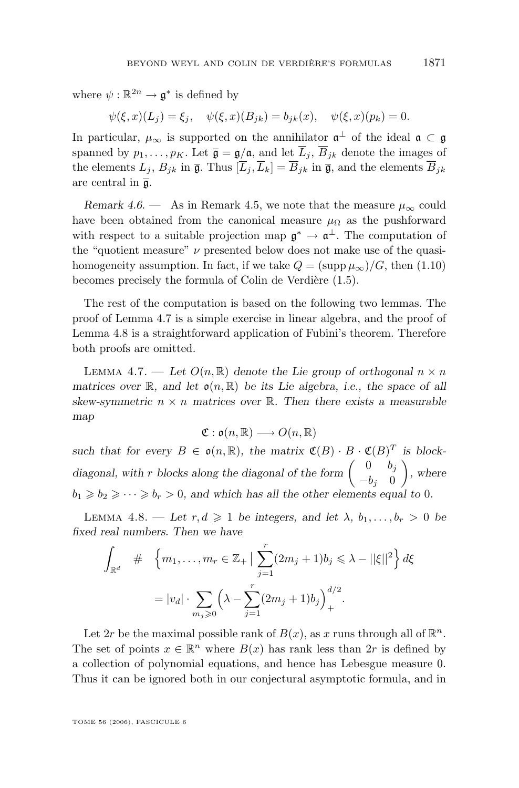<span id="page-45-0"></span>where  $\psi : \mathbb{R}^{2n} \to \mathfrak{g}^*$  is defined by

 $\psi(\xi, x)(L_i) = \xi_i$ ,  $\psi(\xi, x)(B_{ik}) = b_{ik}(x)$ ,  $\psi(\xi, x)(p_k) = 0$ .

In particular,  $\mu_{\infty}$  is supported on the annihilator  $\mathfrak{a}^{\perp}$  of the ideal  $\mathfrak{a} \subset \mathfrak{g}$ spanned by  $p_1, \ldots, p_K$ . Let  $\overline{\mathfrak{g}} = \mathfrak{g}/\mathfrak{a}$ , and let  $\overline{L}_i$ ,  $\overline{B}_{jk}$  denote the images of the elements  $L_j$ ,  $B_{jk}$  in  $\overline{\mathfrak{g}}$ . Thus  $[\overline{L}_j, \overline{L}_k] = \overline{B}_{jk}$  in  $\overline{\mathfrak{g}}$ , and the elements  $\overline{B}_{jk}$ are central in  $\bar{a}$ .

*Remark 4.6.* — As in Remark [4.5,](#page-43-0) we note that the measure  $\mu_{\infty}$  could have been obtained from the canonical measure  $\mu_{\Omega}$  as the pushforward with respect to a suitable projection map  $\mathfrak{g}^* \to \mathfrak{a}^{\perp}$ . The computation of the "quotient measure"  $\nu$  presented below does not make use of the quasihomogeneity assumption. In fact, if we take  $Q = (\text{supp}\,\mu_\infty)/G$ , then [\(1.10\)](#page-5-0) becomes precisely the formula of Colin de Verdière [\(1.5\)](#page-3-0).

The rest of the computation is based on the following two lemmas. The proof of Lemma 4.7 is a simple exercise in linear algebra, and the proof of Lemma 4.8 is a straightforward application of Fubini's theorem. Therefore both proofs are omitted.

LEMMA 4.7. — Let  $O(n, \mathbb{R})$  denote the Lie group of orthogonal  $n \times n$ *matrices over* R, and let  $\mathfrak{o}(n,\mathbb{R})$  be its Lie algebra, i.e., the space of all *skew-symmetric*  $n \times n$  *matrices over*  $\mathbb{R}$ *. Then there exists a measurable map*

$$
\mathfrak{C}: \mathfrak{o}(n,\mathbb{R}) \longrightarrow O(n,\mathbb{R})
$$

such that for every  $B \in \mathfrak{o}(n,\mathbb{R})$ , the matrix  $\mathfrak{C}(B) \cdot B \cdot \mathfrak{C}(B)^T$  is blockdiagonal, with r blocks along the diagonal of the form  $\begin{pmatrix} 0 & b_j \\ b & 0 \end{pmatrix}$  $-b_j$  0 *, where*  $b_1 \geq b_2 \geq \cdots \geq b_r > 0$ , and which has all the other elements equal to 0.

LEMMA 4.8. — Let  $r, d \geq 1$  be integers, and let  $\lambda, b_1, \ldots, b_r > 0$  be *fixed real numbers. Then we have*

$$
\int_{\mathbb{R}^d} \# \left\{ m_1, \dots, m_r \in \mathbb{Z}_+ \mid \sum_{j=1}^r (2m_j + 1)b_j \leq \lambda - ||\xi||^2 \right\} d\xi
$$

$$
= |v_d| \cdot \sum_{m_j \geq 0} \left( \lambda - \sum_{j=1}^r (2m_j + 1)b_j \right)_+^{d/2}.
$$

Let 2r be the maximal possible rank of  $B(x)$ , as x runs through all of  $\mathbb{R}^n$ . The set of points  $x \in \mathbb{R}^n$  where  $B(x)$  has rank less than  $2r$  is defined by a collection of polynomial equations, and hence has Lebesgue measure 0. Thus it can be ignored both in our conjectural asymptotic formula, and in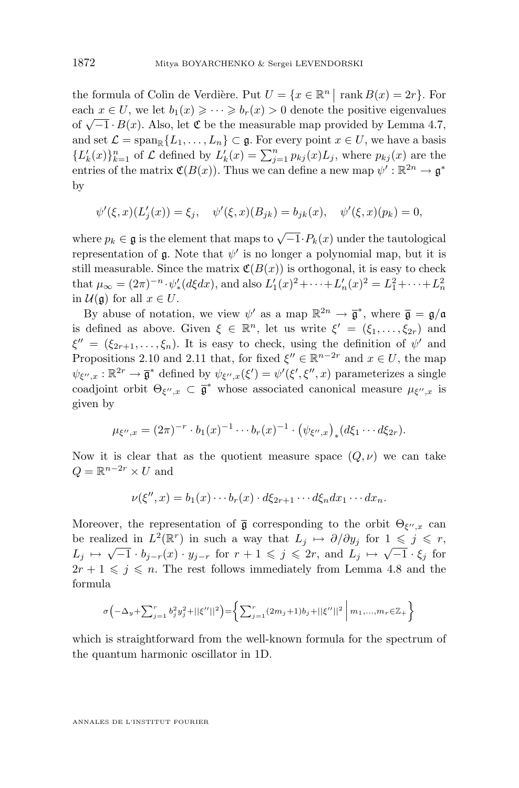the formula of Colin de Verdière. Put  $U = \{x \in \mathbb{R}^n \mid \text{rank } B(x) = 2r\}$ . For each  $x \in U$ , we let  $b_1(x) \geqslant \cdots \geqslant b_r(x) > 0$  denote the positive eigenvalues  $\det(\mathcal{N} - 1 \cdot B(x))$ . Also, let  $\mathfrak{C}$  be the measurable map provided by Lemma [4.7,](#page-45-0) and set  $\mathcal{L} = \text{span}_{\mathbb{R}} \{L_1, \ldots, L_n\} \subset \mathfrak{g}$ . For every point  $x \in U$ , we have a basis  ${L'_k(x)}_{k=1}^n$  of  $\mathcal L$  defined by  $L'_k(x) = \sum_{j=1}^n p_{kj}(x) L_j$ , where  $p_{kj}(x)$  are the entries of the matrix  $\mathfrak{C}(B(x))$ . Thus we can define a new map  $\psi': \mathbb{R}^{2n} \to \mathfrak{g}^*$ by

$$
\psi'(\xi, x)(L'_j(x)) = \xi_j, \quad \psi'(\xi, x)(B_{jk}) = b_{jk}(x), \quad \psi'(\xi, x)(p_k) = 0,
$$

where  $p_k \in \mathfrak{g}$  is the element that maps to  $\sqrt{-1} \cdot P_k(x)$  under the tautological representation of  $\mathfrak g$ . Note that  $\psi'$  is no longer a polynomial map, but it is still measurable. Since the matrix  $\mathfrak{C}(B(x))$  is orthogonal, it is easy to check that  $\mu_{\infty} = (2\pi)^{-n} \cdot \psi'_*(d\xi dx)$ , and also  $L'_1(x)^2 + \cdots + L'_n(x)^2 = L_1^2 + \cdots + L_n^2$ in  $\mathcal{U}(\mathfrak{g})$  for all  $x \in U$ .

By abuse of notation, we view  $\psi'$  as a map  $\mathbb{R}^{2n} \to \bar{\mathfrak{g}}^*$ , where  $\bar{\mathfrak{g}} = \mathfrak{g}/\mathfrak{a}$ is defined as above. Given  $\xi \in \mathbb{R}^n$ , let us write  $\xi' = (\xi_1, \ldots, \xi_{2r})$  and  $\xi'' = (\xi_{2r+1}, \ldots, \xi_n)$ . It is easy to check, using the definition of  $\psi'$  and Propositions [2.10](#page-21-0) and [2.11](#page-21-0) that, for fixed  $\xi'' \in \mathbb{R}^{n-2r}$  and  $x \in U$ , the map  $\psi_{\xi'',x} : \mathbb{R}^{2r} \to \overline{\mathfrak{g}}^*$  defined by  $\psi_{\xi'',x}(\xi') = \psi'(\xi', \xi'', x)$  parameterizes a single coadjoint orbit  $\Theta_{\xi'',x} \subset \overline{\mathfrak{g}}^*$  whose associated canonical measure  $\mu_{\xi'',x}$  is given by

$$
\mu_{\xi'',x} = (2\pi)^{-r} \cdot b_1(x)^{-1} \cdots b_r(x)^{-1} \cdot (\psi_{\xi'',x})_*(d\xi_1 \cdots d\xi_{2r}).
$$

Now it is clear that as the quotient measure space  $(Q, \nu)$  we can take  $Q = \mathbb{R}^{n-2r} \times U$  and

$$
\nu(\xi'',x) = b_1(x)\cdots b_r(x) \cdot d\xi_{2r+1}\cdots d\xi_n dx_1\cdots dx_n.
$$

Moreover, the representation of  $\bar{\mathfrak{g}}$  corresponding to the orbit  $\Theta_{\xi'',x}$  can be realized in  $L^2(\mathbb{R}^r)$  in such a way that  $L_j \mapsto \partial/\partial y_j$  for  $1 \leq j \leq r$ ,  $L_j \mapsto \sqrt{-1} \cdot b_{j-r}(x) \cdot y_{j-r}$  for  $r+1 \leqslant j \leqslant 2r$ , and  $L_j \mapsto \sqrt{-1} \cdot \xi_j$  for  $2r + 1 \leq j \leq n$ . The rest follows immediately from Lemma [4.8](#page-45-0) and the formula

$$
\sigma\left(-\Delta_y + \sum_{j=1}^r b_j^2 y_j^2 + ||\xi''||^2\right) = \left\{\sum_{j=1}^r (2m_j + 1)b_j + ||\xi''||^2 \mid m_1, ..., m_r \in \mathbb{Z}_+\right\}
$$

which is straightforward from the well-known formula for the spectrum of the quantum harmonic oscillator in 1D.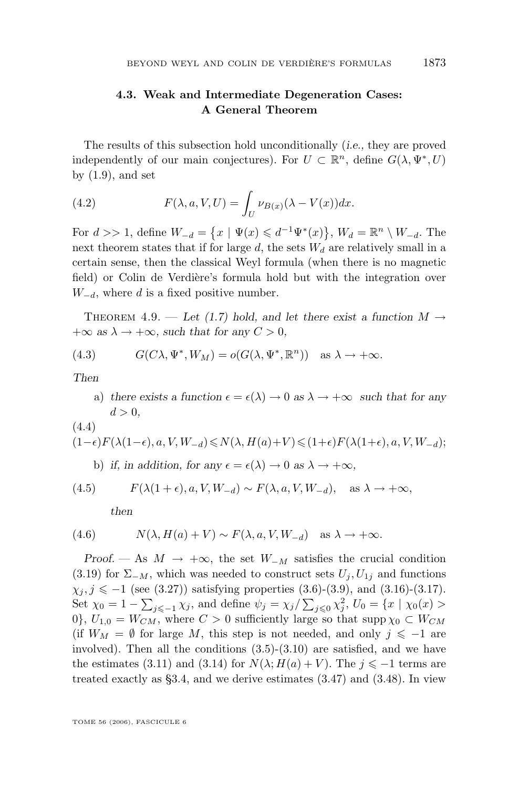# <span id="page-47-0"></span>**4.3. Weak and Intermediate Degeneration Cases: A General Theorem**

The results of this subsection hold unconditionally (*i.e.,* they are proved independently of our main conjectures). For  $U \subset \mathbb{R}^n$ , define  $G(\lambda, \Psi^*, U)$ by  $(1.9)$ , and set

(4.2) 
$$
F(\lambda, a, V, U) = \int_{U} \nu_{B(x)}(\lambda - V(x)) dx.
$$

For  $d >> 1$ , define  $W_{-d} = \{x \mid \Psi(x) \leq d^{-1}\Psi^*(x)\}, W_d = \mathbb{R}^n \setminus W_{-d}$ . The next theorem states that if for large  $d$ , the sets  $W_d$  are relatively small in a certain sense, then the classical Weyl formula (when there is no magnetic field) or Colin de Verdière's formula hold but with the integration over  $W_{-d}$ , where d is a fixed positive number.

THEOREM 4.9. — Let [\(1.7\)](#page-4-0) hold, and let there exist a function  $M \rightarrow$  $+\infty$  *as*  $\lambda \rightarrow +\infty$ *, such that for any*  $C > 0$ *,* 

(4.3) 
$$
G(C\lambda, \Psi^*, W_M) = o(G(\lambda, \Psi^*, \mathbb{R}^n)) \text{ as } \lambda \to +\infty.
$$

*Then*

- a) there exists a function  $\epsilon = \epsilon(\lambda) \to 0$  as  $\lambda \to +\infty$  *such that for any*  $d > 0$ ,
- (4.4)

$$
(1-\epsilon)F(\lambda(1-\epsilon), a, V, W_{-d}) \le N(\lambda, H(a)+V) \le (1+\epsilon)F(\lambda(1+\epsilon), a, V, W_{-d});
$$
  
b) if, in addition, for any  $\epsilon = \epsilon(\lambda) \to 0$  as  $\lambda \to +\infty$ ,

(4.5) 
$$
F(\lambda(1+\epsilon), a, V, W_{-d}) \sim F(\lambda, a, V, W_{-d}), \text{ as } \lambda \to +\infty,
$$

*then*

(4.6) 
$$
N(\lambda, H(a) + V) \sim F(\lambda, a, V, W_{-d}) \text{ as } \lambda \to +\infty.
$$

*Proof.* — As  $M \to +\infty$ , the set  $W_{-M}$  satisfies the crucial condition [\(3.19\)](#page-32-0) for  $\Sigma_{-M}$ , which was needed to construct sets  $U_j, U_{1j}$  and functions  $\chi_j, j \leq -1$  (see [\(3.27\)](#page-34-0)) satisfying properties [\(3.6\)](#page-29-0)-[\(3.9\)](#page-29-0), and [\(3.16\)](#page-31-0)-[\(3.17\)](#page-31-0). Set  $\chi_0 = 1 - \sum_{j \leq -1} \chi_j$ , and define  $\psi_j = \chi_j / \sum_{j \leq 0} \chi_j^2$ ,  $U_0 = \{x \mid \chi_0(x) >$ 0},  $U_{1,0} = W_{CM}$ , where  $C > 0$  sufficiently large so that supp  $\chi_0 \subset W_{CM}$ (if  $W_M = \emptyset$  for large M, this step is not needed, and only  $j \leq -1$  are involved). Then all the conditions  $(3.5)-(3.10)$  $(3.5)-(3.10)$  $(3.5)-(3.10)$  are satisfied, and we have the estimates [\(3.11\)](#page-29-0) and [\(3.14\)](#page-30-0) for  $N(\lambda; H(a) + V)$ . The  $j \le -1$  terms are treated exactly as [§3.4,](#page-35-0) and we derive estimates [\(3.47\)](#page-37-0) and [\(3.48\)](#page-37-0). In view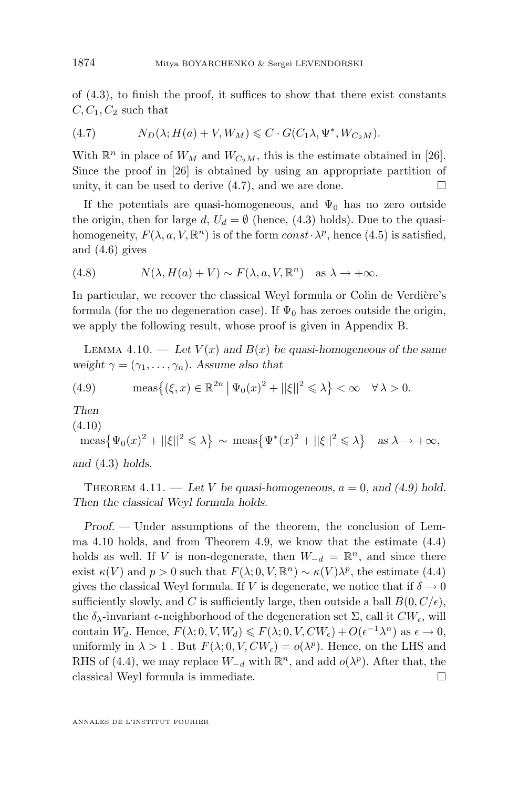<span id="page-48-0"></span>of [\(4.3\)](#page-47-0), to finish the proof, it suffices to show that there exist constants  $C, C_1, C_2$  such that

(4.7) 
$$
N_D(\lambda; H(a) + V, W_M) \leqslant C \cdot G(C_1 \lambda, \Psi^*, W_{C_2 M}).
$$

With  $\mathbb{R}^n$  in place of  $W_M$  and  $W_{C_2M}$ , this is the estimate obtained in [\[26\]](#page-74-0). Since the proof in [\[26\]](#page-74-0) is obtained by using an appropriate partition of unity, it can be used to derive  $(4.7)$ , and we are done.

If the potentials are quasi-homogeneous, and  $\Psi_0$  has no zero outside the origin, then for large d,  $U_d = \emptyset$  (hence, [\(4.3\)](#page-47-0) holds). Due to the quasihomogeneity,  $F(\lambda, a, V, \mathbb{R}^n)$  is of the form  $const \cdot \lambda^p$ , hence [\(4.5\)](#page-47-0) is satisfied, and [\(4.6\)](#page-47-0) gives

(4.8) 
$$
N(\lambda, H(a) + V) \sim F(\lambda, a, V, \mathbb{R}^n)
$$
 as  $\lambda \to +\infty$ .

In particular, we recover the classical Weyl formula or Colin de Verdière's formula (for the no degeneration case). If  $\Psi_0$  has zeroes outside the origin, we apply the following result, whose proof is given in Appendix B.

LEMMA 4.10. — Let  $V(x)$  and  $B(x)$  be quasi-homogeneous of the same *weight*  $\gamma = (\gamma_1, \dots, \gamma_n)$ *. Assume also that* 

(4.9) 
$$
\operatorname{meas}\left\{ (\xi, x) \in \mathbb{R}^{2n} \mid \Psi_0(x)^2 + ||\xi||^2 \leq \lambda \right\} < \infty \quad \forall \lambda > 0.
$$

*Then*

(4.10)

$$
\text{meas}\left\{\Psi_0(x)^2 + ||\xi||^2 \le \lambda\right\} \sim \text{meas}\left\{\Psi^*(x)^2 + ||\xi||^2 \le \lambda\right\} \quad \text{as } \lambda \to +\infty,
$$

*and* [\(4.3\)](#page-47-0) *holds.*

THEOREM  $4.11.$  — Let V be quasi-homogeneous,  $a = 0$ , and  $(4.9)$  hold. *Then the classical Weyl formula holds.*

*Proof. —* Under assumptions of the theorem, the conclusion of Lemma 4.10 holds, and from Theorem [4.9,](#page-47-0) we know that the estimate [\(4.4\)](#page-47-0) holds as well. If V is non-degenerate, then  $W_{-d} = \mathbb{R}^n$ , and since there exist  $\kappa(V)$  and  $p > 0$  such that  $F(\lambda; 0, V, \mathbb{R}^n) \sim \kappa(V) \lambda^p$ , the estimate [\(4.4\)](#page-47-0) gives the classical Weyl formula. If V is degenerate, we notice that if  $\delta \to 0$ sufficiently slowly, and C is sufficiently large, then outside a ball  $B(0, C/\epsilon)$ , the  $\delta_{\lambda}$ -invariant  $\epsilon$ -neighborhood of the degeneration set  $\Sigma$ , call it  $CW_{\epsilon}$ , will contain  $W_d$ . Hence,  $F(\lambda; 0, V, W_d) \leq F(\lambda; 0, V, CW_\epsilon) + O(\epsilon^{-1} \lambda^n)$  as  $\epsilon \to 0$ , uniformly in  $\lambda > 1$ . But  $F(\lambda; 0, V, CW_{\epsilon}) = o(\lambda^{p})$ . Hence, on the LHS and RHS of [\(4.4\)](#page-47-0), we may replace  $W_{-d}$  with  $\mathbb{R}^n$ , and add  $o(\lambda^p)$ . After that, the classical Weyl formula is immediate.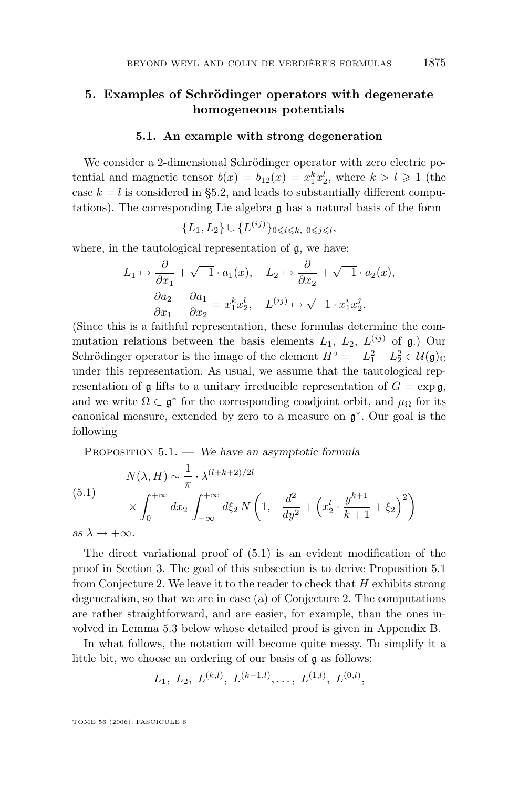# <span id="page-49-0"></span>**5. Examples of Schrödinger operators with degenerate homogeneous potentials**

#### **5.1. An example with strong degeneration**

We consider a 2-dimensional Schrödinger operator with zero electric potential and magnetic tensor  $b(x) = b_{12}(x) = x_1^k x_2^l$ , where  $k > l \ge 1$  (the case  $k = l$  is considered in [§5.2,](#page-52-0) and leads to substantially different computations). The corresponding Lie algebra g has a natural basis of the form

$$
\{L_1, L_2\} \cup \{L^{(ij)}\}_{0 \leq i \leq k, \ 0 \leq j \leq l},
$$

where, in the tautological representation of  $\mathfrak{g}$ , we have:

$$
L_1 \mapsto \frac{\partial}{\partial x_1} + \sqrt{-1} \cdot a_1(x), \quad L_2 \mapsto \frac{\partial}{\partial x_2} + \sqrt{-1} \cdot a_2(x),
$$

$$
\frac{\partial a_2}{\partial x_1} - \frac{\partial a_1}{\partial x_2} = x_1^k x_2^l, \quad L^{(ij)} \mapsto \sqrt{-1} \cdot x_1^i x_2^j.
$$

(Since this is a faithful representation, these formulas determine the commutation relations between the basis elements  $L_1$ ,  $L_2$ ,  $L^{(ij)}$  of  $\mathfrak{g}$ .) Our Schrödinger operator is the image of the element  $H^{\circ} = -L_1^2 - L_2^2 \in \mathcal{U}(\mathfrak{g})_{\mathbb{C}}$ under this representation. As usual, we assume that the tautological representation of g lifts to a unitary irreducible representation of  $G = \exp g$ , and we write  $\Omega \subset \mathfrak{g}^*$  for the corresponding coadjoint orbit, and  $\mu_{\Omega}$  for its canonical measure, extended by zero to a measure on g ∗ . Our goal is the following

Proposition 5.1. — *We have an asymptotic formula*

(5.1)  
\n
$$
N(\lambda, H) \sim \frac{1}{\pi} \cdot \lambda^{(l+k+2)/2l}
$$
\n
$$
\times \int_0^{+\infty} dx_2 \int_{-\infty}^{+\infty} d\xi_2 N\left(1, -\frac{d^2}{dy^2} + \left(x_2^l \cdot \frac{y^{k+1}}{k+1} + \xi_2\right)^2\right)
$$
\nas  $\lambda \to +\infty$ .

The direct variational proof of (5.1) is an evident modification of the proof in Section [3.](#page-25-0) The goal of this subsection is to derive Proposition 5.1 from Conjecture 2. We leave it to the reader to check that  $H$  exhibits strong degeneration, so that we are in case (a) of Conjecture 2. The computations are rather straightforward, and are easier, for example, than the ones in-

volved in Lemma [5.3](#page-52-0) below whose detailed proof is given in Appendix B.

In what follows, the notation will become quite messy. To simplify it a little bit, we choose an ordering of our basis of **q** as follows:

$$
L_1, L_2, L^{(k,l)}, L^{(k-1,l)}, \ldots, L^{(1,l)}, L^{(0,l)},
$$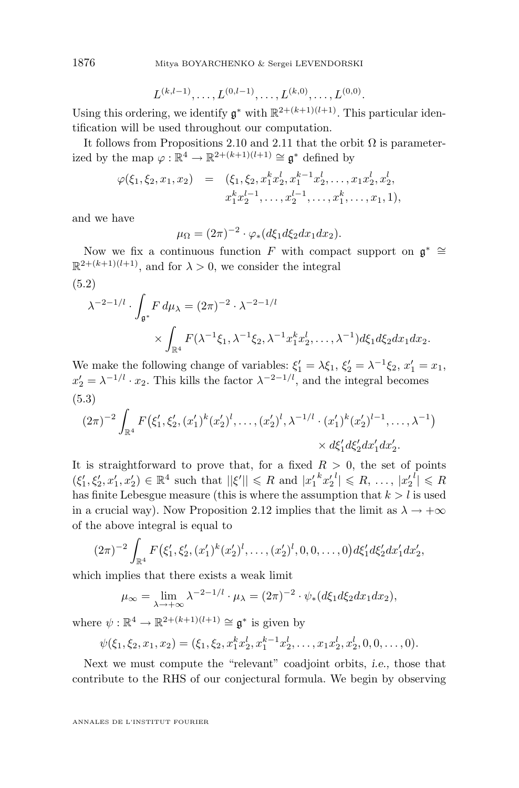$$
L^{(k,l-1)}, \ldots, L^{(0,l-1)}, \ldots, L^{(k,0)}, \ldots, L^{(0,0)}.
$$

Using this ordering, we identify  $\mathfrak{g}^*$  with  $\mathbb{R}^{2+(k+1)(l+1)}$ . This particular identification will be used throughout our computation.

It follows from Propositions [2.10](#page-21-0) and [2.11](#page-21-0) that the orbit  $\Omega$  is parameterized by the map  $\varphi : \mathbb{R}^4 \to \mathbb{R}^{2+(k+1)(l+1)} \cong \mathfrak{g}^*$  defined by

$$
\varphi(\xi_1, \xi_2, x_1, x_2) = (\xi_1, \xi_2, x_1^k x_2^l, x_1^{k-1} x_2^l, \dots, x_1 x_2^l, x_2^l, x_1^k x_2^{l-1}, \dots, x_2^{l-1}, \dots, x_1^k, \dots, x_1, 1),
$$

and we have

$$
\mu_{\Omega} = (2\pi)^{-2} \cdot \varphi_*(d\xi_1 d\xi_2 dx_1 dx_2).
$$

Now we fix a continuous function F with compact support on  $\mathfrak{g}^* \cong$  $\mathbb{R}^{2+(k+1)(l+1)}$ , and for  $\lambda > 0$ , we consider the integral

(5.2)  
\n
$$
\lambda^{-2-1/l} \cdot \int_{\mathfrak{g}^*} F d\mu_{\lambda} = (2\pi)^{-2} \cdot \lambda^{-2-1/l}
$$
\n
$$
\times \int_{\mathbb{R}^4} F(\lambda^{-1}\xi_1, \lambda^{-1}\xi_2, \lambda^{-1}x_1^k x_2^l, \dots, \lambda^{-1}) d\xi_1 d\xi_2 dx_1 dx_2.
$$

We make the following change of variables:  $\xi'_1 = \lambda \xi_1$ ,  $\xi'_2 = \lambda^{-1} \xi_2$ ,  $x'_1 = x_1$ ,  $x_2' = \lambda^{-1/l} \cdot x_2$ . This kills the factor  $\lambda^{-2-l/l}$ , and the integral becomes (5.3)

$$
(2\pi)^{-2} \int_{\mathbb{R}^4} F(\xi'_1, \xi'_2, (x'_1)^k (x'_2)^l, \dots, (x'_2)^l, \lambda^{-1/l} \cdot (x'_1)^k (x'_2)^{l-1}, \dots, \lambda^{-1}) \times d\xi'_1 d\xi'_2 dx'_1 dx'_2.
$$

It is straightforward to prove that, for a fixed  $R > 0$ , the set of points  $(\xi_1', \xi_2', x_1', x_2') \in \mathbb{R}^4$  such that  $||\xi'|| \le R$  and  $|x_1' {^k x_2'}^l| \le R, \ldots, |x_2' {^l}| \le R$ has finite Lebesgue measure (this is where the assumption that  $k > l$  is used in a crucial way). Now Proposition [2.12](#page-23-0) implies that the limit as  $\lambda \to +\infty$ of the above integral is equal to

$$
(2\pi)^{-2} \int_{\mathbb{R}^4} F(\xi'_1, \xi'_2, (x'_1)^k (x'_2)^l, \dots, (x'_2)^l, 0, 0, \dots, 0) d\xi'_1 d\xi'_2 dx'_1 dx'_2,
$$

which implies that there exists a weak limit

$$
\mu_{\infty} = \lim_{\lambda \to +\infty} \lambda^{-2-1/l} \cdot \mu_{\lambda} = (2\pi)^{-2} \cdot \psi_*(d\xi_1 d\xi_2 dx_1 dx_2),
$$

where  $\psi : \mathbb{R}^4 \to \mathbb{R}^{2+(k+1)(l+1)} \cong \mathfrak{g}^*$  is given by

$$
\psi(\xi_1,\xi_2,x_1,x_2)=(\xi_1,\xi_2,x_1^kx_2^l,x_1^{k-1}x_2^l,\ldots,x_1x_2^l,x_2^l,0,0,\ldots,0).
$$

Next we must compute the "relevant" coadjoint orbits, *i.e.,* those that contribute to the RHS of our conjectural formula. We begin by observing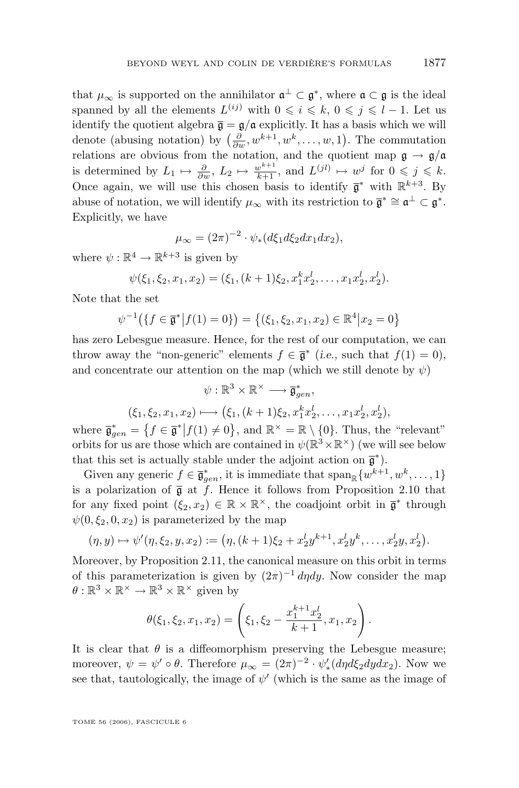that  $\mu_{\infty}$  is supported on the annihilator  $\mathfrak{a}^{\perp} \subset \mathfrak{g}^*$ , where  $\mathfrak{a} \subset \mathfrak{g}$  is the ideal spanned by all the elements  $L^{(ij)}$  with  $0 \leqslant i \leqslant k, 0 \leqslant j \leqslant l-1$ . Let us identify the quotient algebra  $\bar{\mathfrak{g}} = \mathfrak{g}/\mathfrak{a}$  explicitly. It has a basis which we will denote (abusing notation) by  $\left(\frac{\partial}{\partial w}, w^{k+1}, w^k, \ldots, w, 1\right)$ . The commutation relations are obvious from the notation, and the quotient map  $\mathfrak{g} \to \mathfrak{g}/\mathfrak{a}$ is determined by  $L_1 \mapsto \frac{\partial}{\partial w}$ ,  $L_2 \mapsto \frac{w^{k+1}}{k+1}$ , and  $L^{(jl)} \mapsto w^j$  for  $0 \leqslant j \leqslant k$ . Once again, we will use this chosen basis to identify  $\bar{\mathfrak{g}}^*$  with  $\mathbb{R}^{k+3}$ . By abuse of notation, we will identify  $\mu_{\infty}$  with its restriction to  $\overline{\mathfrak{g}}^* \cong \mathfrak{a}^{\perp} \subset \mathfrak{g}^*$ . Explicitly, we have

$$
\mu_{\infty} = (2\pi)^{-2} \cdot \psi_*(d\xi_1 d\xi_2 dx_1 dx_2),
$$

where  $\psi : \mathbb{R}^4 \to \mathbb{R}^{k+3}$  is given by

$$
\psi(\xi_1,\xi_2,x_1,x_2)=(\xi_1,(k+1)\xi_2,x_1^kx_2^l,\ldots,x_1x_2^l,x_2^l).
$$

Note that the set

$$
\psi^{-1}(\lbrace f \in \overline{\mathfrak{g}}^* | f(1) = 0 \rbrace) = \lbrace (\xi_1, \xi_2, x_1, x_2) \in \mathbb{R}^4 | x_2 = 0 \rbrace
$$

has zero Lebesgue measure. Hence, for the rest of our computation, we can throw away the "non-generic" elements  $f \in \overline{\mathfrak{g}}^*$  (*i.e.*, such that  $f(1) = 0$ ), and concentrate our attention on the map (which we still denote by  $\psi$ )

$$
\psi: \mathbb{R}^3 \times \mathbb{R}^\times \longrightarrow \overline{\mathfrak{g}}_{gen}^*,
$$
  

$$
(\xi_1, \xi_2, x_1, x_2) \longmapsto (\xi_1, (k+1)\xi_2, x_1^k x_2^l, \dots, x_1 x_2^l, x_2^l),
$$

where  $\bar{\mathfrak{g}}_{gen}^* = \{f \in \bar{\mathfrak{g}}^* | f(1) \neq 0\}$ , and  $\mathbb{R}^\times = \mathbb{R} \setminus \{0\}$ . Thus, the "relevant" orbits for us are those which are contained in  $\psi(\mathbb{R}^3 \times \mathbb{R}^\times)$  (we will see below that this set is actually stable under the adjoint action on  $\bar{\mathfrak{g}}^*$ ).

Given any generic  $f \in \overline{\mathfrak{g}}_{gen}^*$ , it is immediate that  $\text{span}_{\mathbb{R}} \{w^{k+1}, w^k, \ldots, 1\}$ is a polarization of  $\bar{g}$  at f. Hence it follows from Proposition [2.10](#page-21-0) that for any fixed point  $(\xi_2, x_2) \in \mathbb{R} \times \mathbb{R}^{\times}$ , the coadjoint orbit in  $\overline{\mathfrak{g}}^*$  through  $\psi(0,\xi_2,0,x_2)$  is parameterized by the map

$$
(\eta, y) \mapsto \psi'(\eta, \xi_2, y, x_2) := (\eta, (k+1)\xi_2 + x_2^l y^{k+1}, x_2^l y^k, \dots, x_2^l y, x_2^l).
$$

Moreover, by Proposition [2.11,](#page-21-0) the canonical measure on this orbit in terms of this parameterization is given by  $(2\pi)^{-1} d\eta dy$ . Now consider the map  $\theta: \mathbb{R}^3 \times \mathbb{R}^\times \to \mathbb{R}^3 \times \mathbb{R}^\times$  given by

$$
\theta(\xi_1, \xi_2, x_1, x_2) = \left(\xi_1, \xi_2 - \frac{x_1^{k+1} x_2^l}{k+1}, x_1, x_2\right).
$$

It is clear that  $\theta$  is a diffeomorphism preserving the Lebesgue measure; moreover,  $\psi = \psi' \circ \theta$ . Therefore  $\mu_{\infty} = (2\pi)^{-2} \cdot \psi'_*(d\eta d\xi_2 dy dx_2)$ . Now we see that, tautologically, the image of  $\psi'$  (which is the same as the image of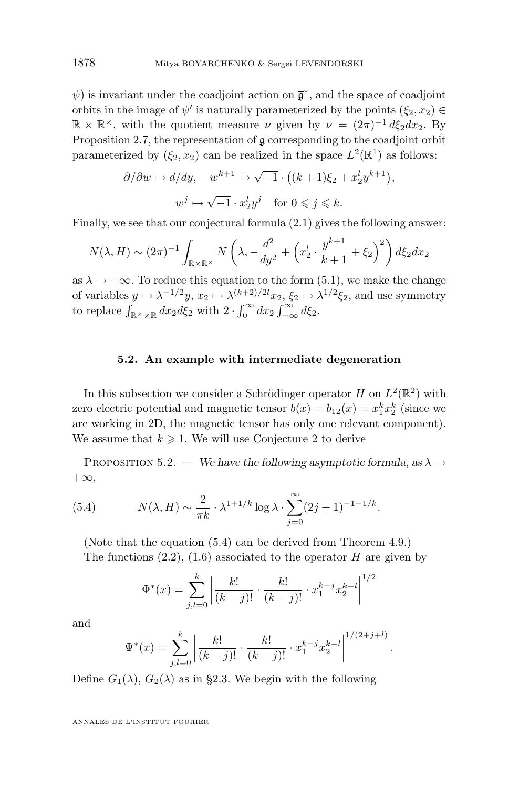<span id="page-52-0"></span> $\psi$ ) is invariant under the coadjoint action on  $\bar{\mathfrak{g}}^*$ , and the space of coadjoint orbits in the image of  $\psi'$  is naturally parameterized by the points  $(\xi_2, x_2) \in$  $\mathbb{R} \times \mathbb{R}^{\times}$ , with the quotient measure  $\nu$  given by  $\nu = (2\pi)^{-1} d\xi_2 dx_2$ . By Proposition [2.7,](#page-19-0) the representation of  $\overline{g}$  corresponding to the coadjoint orbit parameterized by  $(\xi_2, x_2)$  can be realized in the space  $L^2(\mathbb{R}^1)$  as follows:

$$
\partial/\partial w \mapsto d/dy, \quad w^{k+1} \mapsto \sqrt{-1} \cdot ((k+1)\xi_2 + x_2^ly^{k+1}),
$$
  

$$
w^j \mapsto \sqrt{-1} \cdot x_2^ly^j \quad \text{for } 0 \leqslant j \leqslant k.
$$

Finally, we see that our conjectural formula [\(2.1\)](#page-16-0) gives the following answer:

$$
N(\lambda, H) \sim (2\pi)^{-1} \int_{\mathbb{R} \times \mathbb{R}^\times} N\left(\lambda, -\frac{d^2}{dy^2} + \left(x_2^l \cdot \frac{y^{k+1}}{k+1} + \xi_2\right)^2\right) d\xi_2 dx_2
$$

as  $\lambda \to +\infty$ . To reduce this equation to the form [\(5.1\)](#page-49-0), we make the change of variables  $y \mapsto \lambda^{-1/2}y$ ,  $x_2 \mapsto \lambda^{(k+2)/2l}x_2$ ,  $\xi_2 \mapsto \lambda^{1/2}\xi_2$ , and use symmetry to replace  $\int_{\mathbb{R}^{\times}\times\mathbb{R}} dx_2 d\xi_2$  with  $2 \cdot \int_0^{\infty} dx_2 \int_{-\infty}^{\infty} d\xi_2$ .

#### **5.2. An example with intermediate degeneration**

In this subsection we consider a Schrödinger operator H on  $L^2(\mathbb{R}^2)$  with zero electric potential and magnetic tensor  $b(x) = b_{12}(x) = x_1^k x_2^k$  (since we are working in 2D, the magnetic tensor has only one relevant component). We assume that  $k \geq 1$ . We will use Conjecture 2 to derive

PROPOSITION 5.2. — *We have the following asymptotic formula, as*  $\lambda \rightarrow$ +∞*,*

(5.4) 
$$
N(\lambda, H) \sim \frac{2}{\pi k} \cdot \lambda^{1+1/k} \log \lambda \cdot \sum_{j=0}^{\infty} (2j+1)^{-1-1/k}.
$$

(Note that the equation (5.4) can be derived from Theorem [4.9.](#page-47-0)) The functions  $(2.2)$ ,  $(1.6)$  associated to the operator H are given by

$$
\Phi^*(x) = \sum_{j,l=0}^k \left| \frac{k!}{(k-j)!} \cdot \frac{k!}{(k-j)!} \cdot x_1^{k-j} x_2^{k-l} \right|^{1/2}
$$

and

$$
\Psi^*(x) = \sum_{j,l=0}^k \left| \frac{k!}{(k-j)!} \cdot \frac{k!}{(k-j)!} \cdot x_1^{k-j} x_2^{k-l} \right|^{1/(2+j+l)}
$$

.

Define  $G_1(\lambda)$ ,  $G_2(\lambda)$  as in [§2.3.](#page-17-0) We begin with the following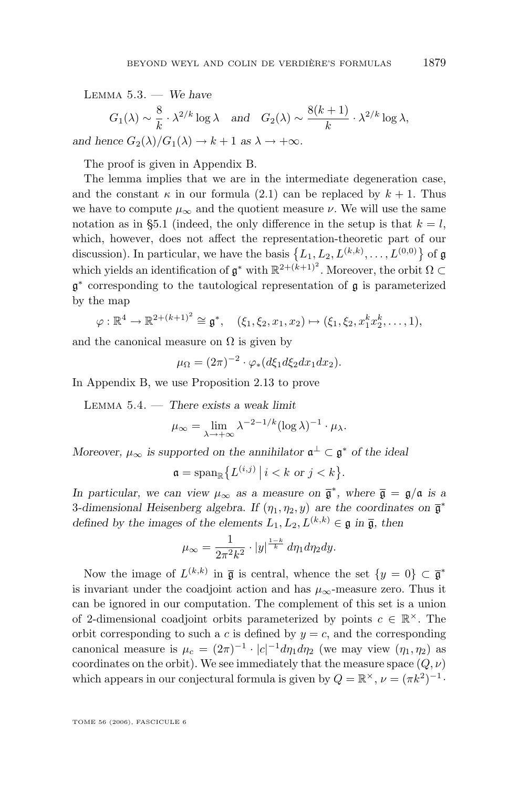<span id="page-53-0"></span>Lemma 5.3. — *We have*  $G_1(\lambda) \sim \frac{8}{l_2}$  $\frac{8}{k} \cdot \lambda^{2/k} \log \lambda$  and  $G_2(\lambda) \sim \frac{8(k+1)}{k}$  $\frac{1}{k} \cdot \lambda^{2/k} \log \lambda,$ *and hence*  $G_2(\lambda)/G_1(\lambda) \to k+1$  *as*  $\lambda \to +\infty$ *.* 

The proof is given in Appendix B.

The lemma implies that we are in the intermediate degeneration case, and the constant  $\kappa$  in our formula [\(2.1\)](#page-16-0) can be replaced by  $k + 1$ . Thus we have to compute  $\mu_{\infty}$  and the quotient measure  $\nu$ . We will use the same notation as in [§5.1](#page-49-0) (indeed, the only difference in the setup is that  $k = l$ , which, however, does not affect the representation-theoretic part of our discussion). In particular, we have the basis  $\{L_1, L_2, L^{(k,k)}, \ldots, L^{(0,0)}\}$  of  $\mathfrak{g}$ which yields an identification of  $\mathfrak{g}^*$  with  $\mathbb{R}^{2+(k+1)^2}$ . Moreover, the orbit  $\Omega \subset$ g ∗ corresponding to the tautological representation of g is parameterized by the map

$$
\varphi : \mathbb{R}^4 \to \mathbb{R}^{2+(k+1)^2} \cong \mathfrak{g}^*, \quad (\xi_1, \xi_2, x_1, x_2) \mapsto (\xi_1, \xi_2, x_1^k x_2^k, \dots, 1),
$$

and the canonical measure on  $\Omega$  is given by

$$
\mu_{\Omega} = (2\pi)^{-2} \cdot \varphi_*(d\xi_1 d\xi_2 dx_1 dx_2).
$$

In Appendix B, we use Proposition [2.13](#page-23-0) to prove

Lemma 5.4. — *There exists a weak limit*

$$
\mu_{\infty} = \lim_{\lambda \to +\infty} \lambda^{-2-1/k} (\log \lambda)^{-1} \cdot \mu_{\lambda}.
$$

*Moreover,*  $\mu_{\infty}$  *is supported on the annihilator*  $\mathfrak{a}^{\perp} \subset \mathfrak{g}^*$  *of the ideal* 

$$
\mathfrak{a} = \mathrm{span}_{\mathbb{R}} \big\{ L^{(i,j)} \, \big| \, i < k \text{ or } j < k \big\}.
$$

*In particular, we can view*  $\mu_{\infty}$  *as a measure on*  $\bar{\mathfrak{g}}^*$ *, where*  $\bar{\mathfrak{g}} = \mathfrak{g}/\mathfrak{a}$  *is a* 3-dimensional Heisenberg algebra. If  $(\eta_1, \eta_2, y)$  are the coordinates on  $\overline{\mathfrak{g}}^*$ *defined by the images of the elements*  $L_1, L_2, L^{(k,k)} \in \mathfrak{g}$  *in*  $\overline{\mathfrak{g}}$ *, then* 

$$
\mu_{\infty} = \frac{1}{2\pi^2 k^2} \cdot |y|^{\frac{1-k}{k}} d\eta_1 d\eta_2 dy.
$$

Now the image of  $L^{(k,k)}$  in  $\bar{\mathfrak{g}}$  is central, whence the set  $\{y=0\} \subset \bar{\mathfrak{g}}^*$ is invariant under the coadjoint action and has  $\mu_{\infty}$ -measure zero. Thus it can be ignored in our computation. The complement of this set is a union of 2-dimensional coadjoint orbits parameterized by points  $c \in \mathbb{R}^{\times}$ . The orbit corresponding to such a c is defined by  $y = c$ , and the corresponding canonical measure is  $\mu_c = (2\pi)^{-1} \cdot |c|^{-1} d\eta_1 d\eta_2$  (we may view  $(\eta_1, \eta_2)$ ) as coordinates on the orbit). We see immediately that the measure space  $(Q, \nu)$ which appears in our conjectural formula is given by  $Q = \mathbb{R}^{\times}$ ,  $\nu = (\pi k^2)^{-1}$ .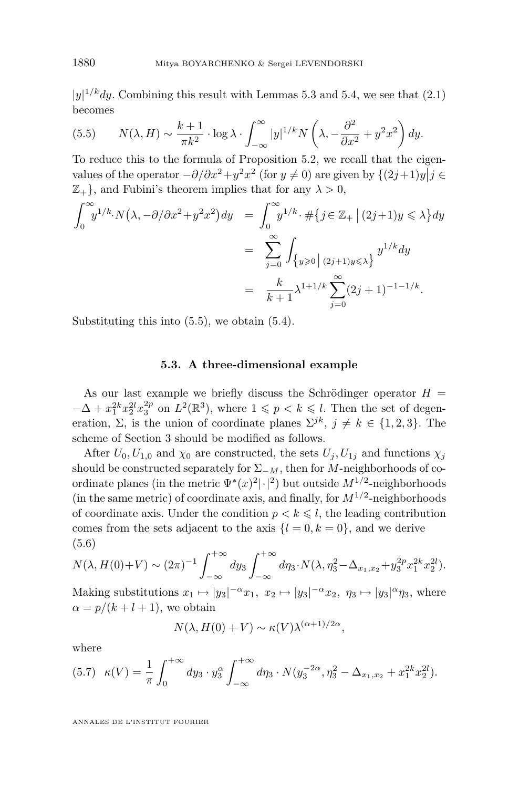<span id="page-54-0"></span> $|y|^{1/k}$ dy. Combining this result with Lemmas [5.3](#page-52-0) and [5.4,](#page-53-0) we see that [\(2.1\)](#page-16-0) becomes

(5.5) 
$$
N(\lambda, H) \sim \frac{k+1}{\pi k^2} \cdot \log \lambda \cdot \int_{-\infty}^{\infty} |y|^{1/k} N\left(\lambda, -\frac{\partial^2}{\partial x^2} + y^2 x^2\right) dy.
$$

To reduce this to the formula of Proposition [5.2,](#page-52-0) we recall that the eigenvalues of the operator  $-\partial/\partial x^2 + y^2 x^2$  (for  $y \neq 0$ ) are given by  $\{(2j+1)y | j \in \mathbb{Z}^n\}$  $\mathbb{Z}_+$ , and Fubini's theorem implies that for any  $\lambda > 0$ ,

$$
\int_0^{\infty} y^{1/k} \cdot N(\lambda, -\partial/\partial x^2 + y^2 x^2) dy = \int_0^{\infty} y^{1/k} \cdot \# \{ j \in \mathbb{Z}_+ \mid (2j+1)y \le \lambda \} dy
$$
  
= 
$$
\sum_{j=0}^{\infty} \int_{\{y \ge 0 \mid (2j+1)y \le \lambda \}} y^{1/k} dy
$$
  
= 
$$
\frac{k}{k+1} \lambda^{1+1/k} \sum_{j=0}^{\infty} (2j+1)^{-1-1/k}.
$$

Substituting this into (5.5), we obtain [\(5.4\)](#page-52-0).

#### **5.3. A three-dimensional example**

As our last example we briefly discuss the Schrödinger operator  $H =$  $-\Delta + x_1^{2k} x_2^{2l} x_3^{2p}$  on  $L^2(\mathbb{R}^3)$ , where  $1 \leqslant p < k \leqslant l$ . Then the set of degeneration,  $\Sigma$ , is the union of coordinate planes  $\Sigma^{jk}$ ,  $j \neq k \in \{1, 2, 3\}$ . The scheme of Section [3](#page-25-0) should be modified as follows.

After  $U_0, U_{1,0}$  and  $\chi_0$  are constructed, the sets  $U_i, U_{1i}$  and functions  $\chi_i$ should be constructed separately for  $\Sigma_{-M}$ , then for M-neighborhoods of coordinate planes (in the metric  $\Psi^*(x)^2|\cdot|^2$ ) but outside  $M^{1/2}$ -neighborhoods (in the same metric) of coordinate axis, and finally, for  $M^{1/2}$ -neighborhoods of coordinate axis. Under the condition  $p < k \leq l$ , the leading contribution comes from the sets adjacent to the axis  $\{l = 0, k = 0\}$ , and we derive (5.6)

$$
N(\lambda, H(0)+V) \sim (2\pi)^{-1} \int_{-\infty}^{+\infty} dy_3 \int_{-\infty}^{+\infty} d\eta_3 \cdot N(\lambda, \eta_3^2 - \Delta_{x_1, x_2} + y_3^{2p} x_1^{2k} x_2^{2l}).
$$

Making substitutions  $x_1 \mapsto |y_3|^{-\alpha} x_1, x_2 \mapsto |y_3|^{-\alpha} x_2, \eta_3 \mapsto |y_3|^{\alpha} \eta_3$ , where  $\alpha = p/(k+l+1)$ , we obtain

$$
N(\lambda, H(0) + V) \sim \kappa(V) \lambda^{(\alpha+1)/2\alpha},
$$

where

$$
(5.7) \kappa(V) = \frac{1}{\pi} \int_0^{+\infty} dy_3 \cdot y_3^{\alpha} \int_{-\infty}^{+\infty} d\eta_3 \cdot N(y_3^{-2\alpha}, \eta_3^2 - \Delta_{x_1, x_2} + x_1^{2k} x_2^{2l}).
$$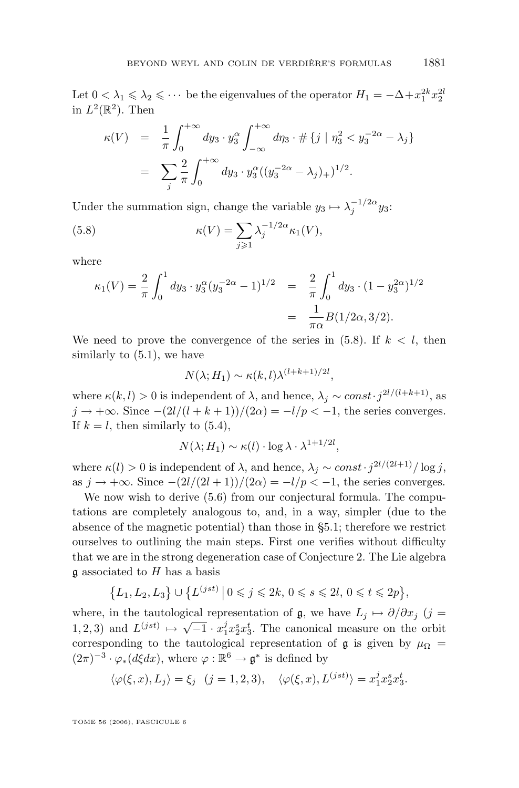Let  $0 < \lambda_1 \leq \lambda_2 \leq \cdots$  be the eigenvalues of the operator  $H_1 = -\Delta + x_1^{2k} x_2^{2k}$ in  $L^2(\mathbb{R}^2)$ . Then

$$
\kappa(V) = \frac{1}{\pi} \int_0^{+\infty} dy_3 \cdot y_3^{\alpha} \int_{-\infty}^{+\infty} d\eta_3 \cdot \# \{ j \mid \eta_3^2 < y_3^{-2\alpha} - \lambda_j \}
$$
  
= 
$$
\sum_j \frac{2}{\pi} \int_0^{+\infty} dy_3 \cdot y_3^{\alpha} ((y_3^{-2\alpha} - \lambda_j)_+)^{1/2}.
$$

Under the summation sign, change the variable  $y_3 \mapsto \lambda_j^{-1/2\alpha} y_3$ :

(5.8) 
$$
\kappa(V) = \sum_{j\geqslant 1} \lambda_j^{-1/2\alpha} \kappa_1(V),
$$

where

$$
\kappa_1(V) = \frac{2}{\pi} \int_0^1 dy_3 \cdot y_3^{\alpha} (y_3^{-2\alpha} - 1)^{1/2} = \frac{2}{\pi} \int_0^1 dy_3 \cdot (1 - y_3^{2\alpha})^{1/2}
$$

$$
= \frac{1}{\pi \alpha} B(1/2\alpha, 3/2).
$$

We need to prove the convergence of the series in  $(5.8)$ . If  $k < l$ , then similarly to [\(5.1\)](#page-49-0), we have

$$
N(\lambda; H_1) \sim \kappa(k, l) \lambda^{(l+k+1)/2l},
$$

where  $\kappa(k, l) > 0$  is independent of  $\lambda$ , and hence,  $\lambda_j \sim const \cdot j^{2l/(l+k+1)}$ , as  $j \rightarrow +\infty$ . Since  $-(2l/(l+k+1))/(2\alpha) = -l/p < -1$ , the series converges. If  $k = l$ , then similarly to  $(5.4)$ ,

$$
N(\lambda; H_1) \sim \kappa(l) \cdot \log \lambda \cdot \lambda^{1+1/2l},
$$

where  $\kappa(l) > 0$  is independent of  $\lambda$ , and hence,  $\lambda_j \sim const \cdot j^{2l/(2l+1)}/\log j$ , as  $j \to +\infty$ . Since  $-(2l/(2l+1))/(2\alpha) = -l/p < -1$ , the series converges.

We now wish to derive  $(5.6)$  from our conjectural formula. The computations are completely analogous to, and, in a way, simpler (due to the absence of the magnetic potential) than those in [§5.1;](#page-49-0) therefore we restrict ourselves to outlining the main steps. First one verifies without difficulty that we are in the strong degeneration case of Conjecture 2. The Lie algebra  $\mathfrak g$  associated to H has a basis

$$
\{L_1, L_2, L_3\} \cup \{L^{(jst)} | 0 \leq j \leq 2k, 0 \leq s \leq 2l, 0 \leq t \leq 2p\},\
$$

where, in the tautological representation of g, we have  $L_j \mapsto \partial/\partial x_j$  (j = 1, 2, 3) and  $L^{(jst)} \mapsto \sqrt{-1} \cdot x_1^j x_2^s x_3^t$ . The canonical measure on the orbit corresponding to the tautological representation of  $\mathfrak g$  is given by  $\mu_{\Omega}$  =  $(2\pi)^{-3} \cdot \varphi_*(d\xi dx)$ , where  $\varphi : \mathbb{R}^6 \to \mathfrak{g}^*$  is defined by

$$
\langle \varphi(\xi, x), L_j \rangle = \xi_j \quad (j = 1, 2, 3), \quad \langle \varphi(\xi, x), L^{(jst)} \rangle = x_1^j x_2^s x_3^t.
$$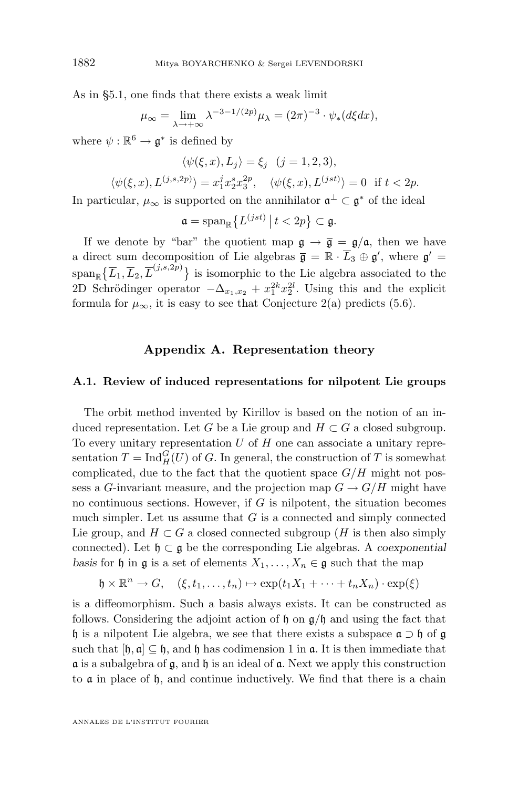As in [§5.1,](#page-49-0) one finds that there exists a weak limit

$$
\mu_{\infty} = \lim_{\lambda \to +\infty} \lambda^{-3-1/(2p)} \mu_{\lambda} = (2\pi)^{-3} \cdot \psi_*(d\xi dx),
$$

where  $\psi: \mathbb{R}^6 \to \mathfrak{g}^*$  is defined by

$$
\langle \psi(\xi, x), L_j \rangle = \xi_j \quad (j = 1, 2, 3),
$$
  

$$
\langle \psi(\xi, x), L^{(j,s,2p)} \rangle = x_1^j x_2^s x_3^{2p}, \quad \langle \psi(\xi, x), L^{(jst)} \rangle = 0 \quad \text{if } t < 2p.
$$

In particular,  $\mu_{\infty}$  is supported on the annihilator  $\mathfrak{a}^{\perp} \subset \mathfrak{g}^*$  of the ideal

$$
\mathfrak{a}=\mathrm{span}_{\mathbb{R}}\big\{L^{(jst)}\,\big|\,t<2p\big\}\subset\mathfrak{g}.
$$

If we denote by "bar" the quotient map  $\mathfrak{g} \to \bar{\mathfrak{g}} = \mathfrak{g}/\mathfrak{a}$ , then we have a direct sum decomposition of Lie algebras  $\bar{\mathfrak{g}} = \mathbb{R} \cdot \bar{L}_3 \oplus \mathfrak{g}'$ , where  $\mathfrak{g}' =$  $\text{span}_{\mathbb{R}}\{\overline{L}_1,\overline{L}_2,\overline{L}^{(j,s,2p)}\}$  is isomorphic to the Lie algebra associated to the 2D Schrödinger operator  $-\Delta_{x_1,x_2} + x_1^{2k}x_2^{2l}$ . Using this and the explicit formula for  $\mu_{\infty}$ , it is easy to see that Conjecture 2(a) predicts [\(5.6\)](#page-54-0).

## **Appendix A. Representation theory**

#### **A.1. Review of induced representations for nilpotent Lie groups**

The orbit method invented by Kirillov is based on the notion of an induced representation. Let G be a Lie group and  $H \subset G$  a closed subgroup. To every unitary representation  $U$  of  $H$  one can associate a unitary representation  $T = \text{Ind}_{H}^{G}(U)$  of G. In general, the construction of T is somewhat complicated, due to the fact that the quotient space  $G/H$  might not possess a G-invariant measure, and the projection map  $G \to G/H$  might have no continuous sections. However, if  $G$  is nilpotent, the situation becomes much simpler. Let us assume that  $G$  is a connected and simply connected Lie group, and  $H \subset G$  a closed connected subgroup (H is then also simply connected). Let h ⊂ g be the corresponding Lie algebras. A *coexponential basis* for h in g is a set of elements  $X_1, \ldots, X_n \in \mathfrak{g}$  such that the map

$$
\mathfrak{h} \times \mathbb{R}^n \to G, \quad (\xi, t_1, \dots, t_n) \mapsto \exp(t_1 X_1 + \dots + t_n X_n) \cdot \exp(\xi)
$$

is a diffeomorphism. Such a basis always exists. It can be constructed as follows. Considering the adjoint action of  $\mathfrak h$  on  $\mathfrak g/\mathfrak h$  and using the fact that h is a nilpotent Lie algebra, we see that there exists a subspace  $\mathfrak{a} \supset \mathfrak{h}$  of  $\mathfrak{g}$ such that  $[\mathfrak{h}, \mathfrak{a}] \subseteq \mathfrak{h}$ , and  $\mathfrak{h}$  has codimension 1 in  $\mathfrak{a}$ . It is then immediate that  $\alpha$  is a subalgebra of  $\beta$ , and  $\beta$  is an ideal of  $\alpha$ . Next we apply this construction to  $\alpha$  in place of  $\beta$ , and continue inductively. We find that there is a chain

<span id="page-56-0"></span>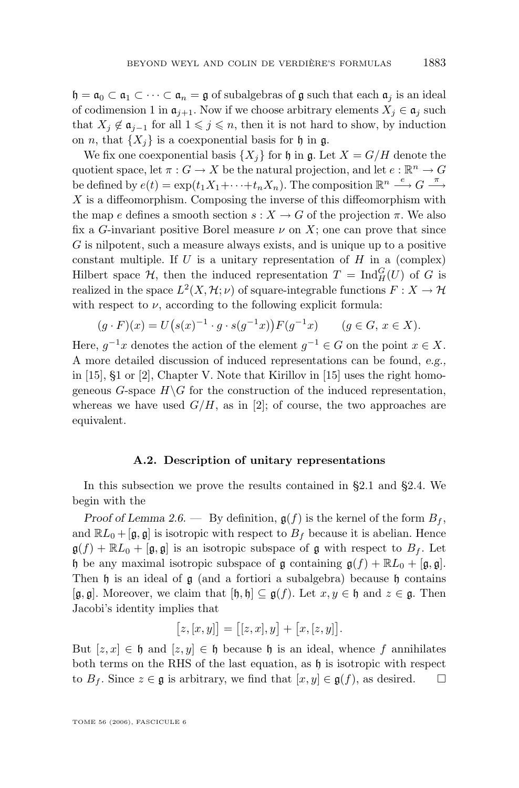<span id="page-57-0"></span> $\mathfrak{h} = \mathfrak{a}_0 \subset \mathfrak{a}_1 \subset \cdots \subset \mathfrak{a}_n = \mathfrak{g}$  of subalgebras of  $\mathfrak{g}$  such that each  $\mathfrak{a}_i$  is an ideal of codimension 1 in  $\mathfrak{a}_{i+1}$ . Now if we choose arbitrary elements  $X_i \in \mathfrak{a}_i$  such that  $X_j \notin \mathfrak{a}_{j-1}$  for all  $1 \leq j \leq n$ , then it is not hard to show, by induction on n, that  $\{X_i\}$  is a coexponential basis for h in g.

We fix one coexponential basis  $\{X_i\}$  for  $\mathfrak h$  in  $\mathfrak g$ . Let  $X = G/H$  denote the quotient space, let  $\pi: G \to X$  be the natural projection, and let  $e: \mathbb{R}^n \to G$ be defined by  $e(t) = \exp(t_1 X_1 + \cdots + t_n X_n)$ . The composition  $\mathbb{R}^n \stackrel{e}{\longrightarrow} G \stackrel{\pi}{\longrightarrow}$ X is a diffeomorphism. Composing the inverse of this diffeomorphism with the map e defines a smooth section  $s: X \to G$  of the projection  $\pi$ . We also fix a G-invariant positive Borel measure  $\nu$  on X; one can prove that since G is nilpotent, such a measure always exists, and is unique up to a positive constant multiple. If  $U$  is a unitary representation of  $H$  in a (complex) Hilbert space  $\mathcal{H}$ , then the induced representation  $T = \text{Ind}_{H}^{G}(U)$  of G is realized in the space  $L^2(X, \mathcal{H}; \nu)$  of square-integrable functions  $F: X \to \mathcal{H}$ with respect to  $\nu$ , according to the following explicit formula:

$$
(g \cdot F)(x) = U(s(x)^{-1} \cdot g \cdot s(g^{-1}x))F(g^{-1}x) \qquad (g \in G, x \in X).
$$

Here,  $g^{-1}x$  denotes the action of the element  $g^{-1} \in G$  on the point  $x \in X$ . A more detailed discussion of induced representations can be found, *e.g.,* in  $[15]$ ,  $\S1$  or  $[2]$ , Chapter V. Note that Kirillov in  $[15]$  uses the right homogeneous  $G$ -space  $H\backslash G$  for the construction of the induced representation, whereas we have used  $G/H$ , as in [\[2\]](#page-73-0); of course, the two approaches are equivalent.

### **A.2. Description of unitary representations**

In this subsection we prove the results contained in [§2.1](#page-13-0) and [§2.4.](#page-17-0) We begin with the

*Proof of Lemma [2.6.](#page-18-0)* — By definition,  $g(f)$  is the kernel of the form  $B_f$ , and  $\mathbb{R}L_0 + [\mathfrak{g}, \mathfrak{g}]$  is isotropic with respect to  $B_f$  because it is abelian. Hence  $\mathfrak{g}(f) + \mathbb{R}L_0 + [\mathfrak{g}, \mathfrak{g}]$  is an isotropic subspace of g with respect to  $B_f$ . Let h be any maximal isotropic subspace of g containing  $g(f) + \mathbb{R}L_0 + [g, g].$ Then  $\mathfrak h$  is an ideal of  $\mathfrak g$  (and a fortiori a subalgebra) because  $\mathfrak h$  contains  $[\mathfrak{g}, \mathfrak{g}]$ . Moreover, we claim that  $[\mathfrak{h}, \mathfrak{h}] \subseteq \mathfrak{g}(f)$ . Let  $x, y \in \mathfrak{h}$  and  $z \in \mathfrak{g}$ . Then Jacobi's identity implies that

$$
[z,[x,y]] = [[z,x],y] + [x,[z,y]].
$$

But  $[z, x] \in \mathfrak{h}$  and  $[z, y] \in \mathfrak{h}$  because  $\mathfrak{h}$  is an ideal, whence f annihilates both terms on the RHS of the last equation, as  $\mathfrak h$  is isotropic with respect to  $B_f$ . Since  $z \in \mathfrak{g}$  is arbitrary, we find that  $[x, y] \in \mathfrak{g}(f)$ , as desired.  $\square$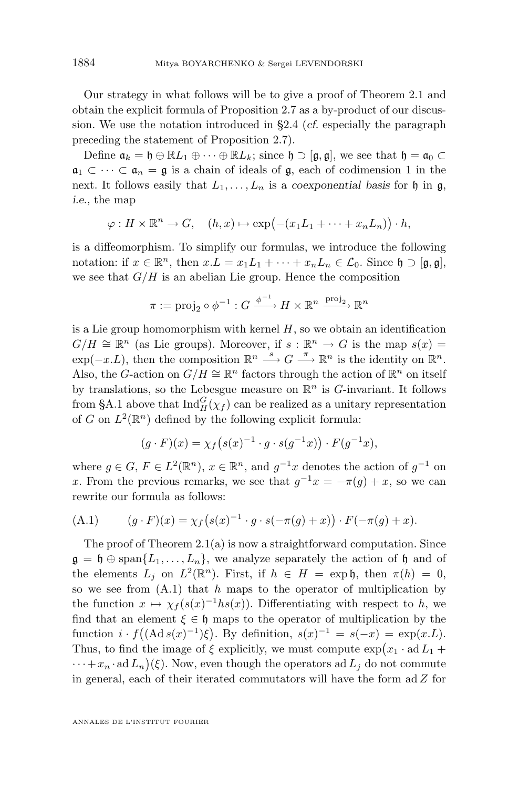<span id="page-58-0"></span>Our strategy in what follows will be to give a proof of Theorem [2.1](#page-14-0) and obtain the explicit formula of Proposition [2.7](#page-19-0) as a by-product of our discussion. We use the notation introduced in [§2.4](#page-17-0) (*cf.* especially the paragraph preceding the statement of Proposition [2.7\)](#page-19-0).

Define  $\mathfrak{a}_k = \mathfrak{h} \oplus \mathbb{R}L_1 \oplus \cdots \oplus \mathbb{R}L_k$ ; since  $\mathfrak{h} \supset [\mathfrak{g}, \mathfrak{g}]$ , we see that  $\mathfrak{h} = \mathfrak{a}_0 \subset$  $a_1 \subset \cdots \subset a_n = \mathfrak{g}$  is a chain of ideals of  $\mathfrak{g}$ , each of codimension 1 in the next. It follows easily that  $L_1, \ldots, L_n$  is a *coexponential basis* for h in g, *i.e.,* the map

$$
\varphi: H \times \mathbb{R}^n \to G, \quad (h,x) \mapsto \exp(-(x_1L_1 + \dots + x_nL_n)) \cdot h,
$$

is a diffeomorphism. To simplify our formulas, we introduce the following notation: if  $x \in \mathbb{R}^n$ , then  $x.L = x_1L_1 + \cdots + x_nL_n \in \mathcal{L}_0$ . Since  $\mathfrak{h} \supset [\mathfrak{g}, \mathfrak{g}],$ we see that  $G/H$  is an abelian Lie group. Hence the composition

$$
\pi := \text{proj}_2 \circ \phi^{-1} : G \xrightarrow{\phi^{-1}} H \times \mathbb{R}^n \xrightarrow{\text{proj}_2} \mathbb{R}^n
$$

is a Lie group homomorphism with kernel  $H$ , so we obtain an identification  $G/H \cong \mathbb{R}^n$  (as Lie groups). Moreover, if  $s : \mathbb{R}^n \to G$  is the map  $s(x) =$  $\exp(-x.L)$ , then the composition  $\mathbb{R}^n \longrightarrow G \longrightarrow \mathbb{R}^n$  is the identity on  $\mathbb{R}^n$ . Also, the G-action on  $G/H \cong \mathbb{R}^n$  factors through the action of  $\mathbb{R}^n$  on itself by translations, so the Lebesgue measure on  $\mathbb{R}^n$  is G-invariant. It follows from [§A.1](#page-56-0) above that  $\text{Ind}_{H}^{G}(\chi_{f})$  can be realized as a unitary representation of G on  $L^2(\mathbb{R}^n)$  defined by the following explicit formula:

$$
(g \cdot F)(x) = \chi_f\big(s(x)^{-1} \cdot g \cdot s(g^{-1}x)\big) \cdot F(g^{-1}x),
$$

where  $g \in G$ ,  $F \in L^2(\mathbb{R}^n)$ ,  $x \in \mathbb{R}^n$ , and  $g^{-1}x$  denotes the action of  $g^{-1}$  on x. From the previous remarks, we see that  $g^{-1}x = -\pi(g) + x$ , so we can rewrite our formula as follows:

(A.1) 
$$
(g \cdot F)(x) = \chi_f(s(x)^{-1} \cdot g \cdot s(-\pi(g) + x)) \cdot F(-\pi(g) + x).
$$

The proof of Theorem [2.1\(](#page-14-0)a) is now a straightforward computation. Since  $\mathfrak{g} = \mathfrak{h} \oplus \text{span}\{L_1, \ldots, L_n\}$ , we analyze separately the action of  $\mathfrak{h}$  and of the elements  $L_j$  on  $L^2(\mathbb{R}^n)$ . First, if  $h \in H = \exp \mathfrak{h}$ , then  $\pi(h) = 0$ , so we see from  $(A.1)$  that h maps to the operator of multiplication by the function  $x \mapsto \chi_f(s(x)^{-1}hs(x))$ . Differentiating with respect to h, we find that an element  $\xi \in \mathfrak{h}$  maps to the operator of multiplication by the function  $i \cdot f((\text{Ad} s(x)^{-1})\xi)$ . By definition,  $s(x)^{-1} = s(-x) = \exp(x.L)$ . Thus, to find the image of  $\xi$  explicitly, we must compute  $\exp(x_1 \cdot \mathrm{ad} L_1 +$  $\cdots + x_n \cdot \mathrm{ad}\, L_n$   $(\xi)$ . Now, even though the operators ad  $L_j$  do not commute in general, each of their iterated commutators will have the form  $ad\ Z$  for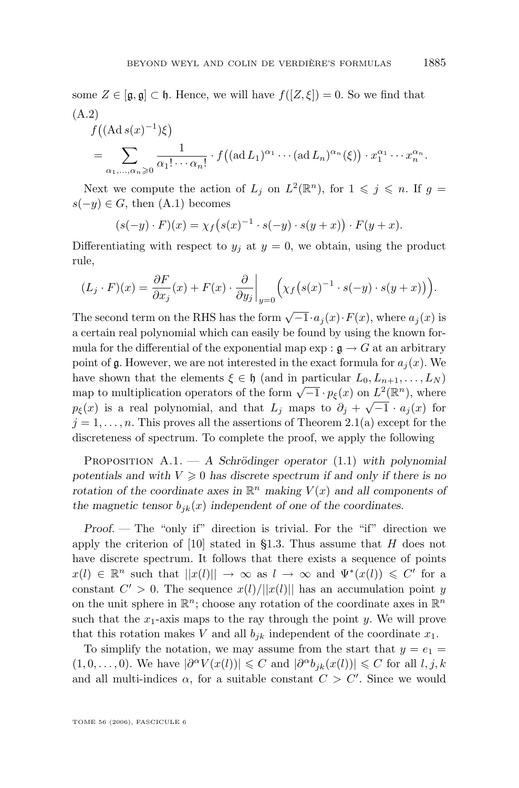<span id="page-59-0"></span>some  $Z \in [\mathfrak{g}, \mathfrak{g}] \subset \mathfrak{h}$ . Hence, we will have  $f([Z, \xi]) = 0$ . So we find that (A.2)

$$
f((\mathrm{Ad}\,s(x)^{-1})\xi)
$$
  
= 
$$
\sum_{\alpha_1,\dots,\alpha_n\geqslant 0} \frac{1}{\alpha_1! \cdots \alpha_n!} \cdot f((\mathrm{ad}\,L_1)^{\alpha_1} \cdots (\mathrm{ad}\,L_n)^{\alpha_n}(\xi)) \cdot x_1^{\alpha_1} \cdots x_n^{\alpha_n}.
$$

Next we compute the action of  $L_j$  on  $L^2(\mathbb{R}^n)$ , for  $1 \leqslant j \leqslant n$ . If  $g =$  $s(-y) \in G$ , then  $(A.1)$  becomes

$$
(s(-y) \cdot F)(x) = \chi_f(s(x)^{-1} \cdot s(-y) \cdot s(y+x)) \cdot F(y+x).
$$

Differentiating with respect to  $y_j$  at  $y = 0$ , we obtain, using the product rule,

$$
(L_j \cdot F)(x) = \frac{\partial F}{\partial x_j}(x) + F(x) \cdot \frac{\partial}{\partial y_j}\bigg|_{y=0} \Big(\chi_f(s(x)^{-1} \cdot s(-y) \cdot s(y+x))\Big).
$$

The second term on the RHS has the form  $\sqrt{-1} \cdot a_j(x) \cdot F(x)$ , where  $a_j(x)$  is a certain real polynomial which can easily be found by using the known formula for the differential of the exponential map  $\exp : \mathfrak{g} \to G$  at an arbitrary point of g. However, we are not interested in the exact formula for  $a_i(x)$ . We have shown that the elements  $\xi \in \mathfrak{h}$  (and in particular  $L_0, L_{n+1}, \ldots, L_N$ ) map to multiplication operators of the form  $\sqrt{-1} \cdot p_{\xi}(x)$  on  $L^2(\mathbb{R}^n)$ , where  $p_{\xi}(x)$  is a real polynomial, and that  $L_j$  maps to  $\partial_j + \sqrt{-1} \cdot a_j(x)$  for  $j = 1, \ldots, n$ . This proves all the assertions of Theorem [2.1\(](#page-14-0)a) except for the discreteness of spectrum. To complete the proof, we apply the following

Proposition A.1. — *A Schrödinger operator* [\(1.1\)](#page-2-0) *with polynomial* potentials and with  $V \geq 0$  has discrete spectrum if and only if there is no *rotation of the coordinate axes in*  $\mathbb{R}^n$  *making*  $V(x)$  *and all components of* the magnetic tensor  $b_{ik}(x)$  independent of one of the coordinates.

*Proof.* — The "only if" direction is trivial. For the "if" direction we apply the criterion of  $[10]$  stated in [§1.3.](#page-3-0) Thus assume that H does not have discrete spectrum. It follows that there exists a sequence of points  $x(l) \in \mathbb{R}^n$  such that  $||x(l)|| \to \infty$  as  $l \to \infty$  and  $\Psi^*(x(l)) \leq C'$  for a constant  $C' > 0$ . The sequence  $x(l)/||x(l)||$  has an accumulation point y on the unit sphere in  $\mathbb{R}^n$ ; choose any rotation of the coordinate axes in  $\mathbb{R}^n$ such that the  $x_1$ -axis maps to the ray through the point y. We will prove that this rotation makes V and all  $b_{ik}$  independent of the coordinate  $x_1$ .

To simplify the notation, we may assume from the start that  $y = e_1$  $(1,0,\ldots,0)$ . We have  $|\partial^{\alpha}V(x(l))| \leq C$  and  $|\partial^{\alpha}b_{jk}(x(l))| \leq C$  for all  $l, j, k$ and all multi-indices  $\alpha$ , for a suitable constant  $C > C'$ . Since we would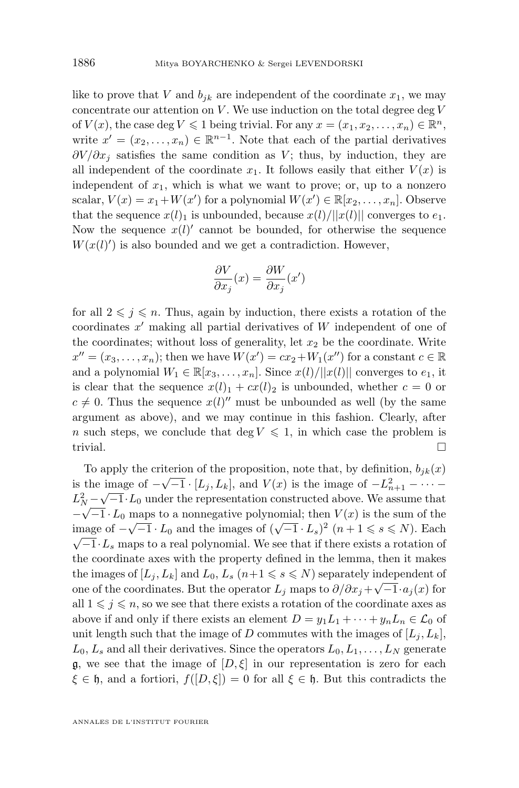like to prove that V and  $b_{ik}$  are independent of the coordinate  $x_1$ , we may concentrate our attention on  $V$ . We use induction on the total degree deg  $V$ of  $V(x)$ , the case deg  $V \leq 1$  being trivial. For any  $x = (x_1, x_2, \ldots, x_n) \in \mathbb{R}^n$ , write  $x' = (x_2, \ldots, x_n) \in \mathbb{R}^{n-1}$ . Note that each of the partial derivatives  $\partial V/\partial x_i$  satisfies the same condition as V; thus, by induction, they are all independent of the coordinate  $x_1$ . It follows easily that either  $V(x)$  is independent of  $x_1$ , which is what we want to prove; or, up to a nonzero scalar,  $V(x) = x_1 + W(x')$  for a polynomial  $W(x') \in \mathbb{R}[x_2, \ldots, x_n]$ . Observe that the sequence  $x(l)_1$  is unbounded, because  $x(l)/||x(l)||$  converges to  $e_1$ . Now the sequence  $x(l)$  cannot be bounded, for otherwise the sequence  $W(x(l)')$  is also bounded and we get a contradiction. However,

$$
\frac{\partial V}{\partial x_j}(x)=\frac{\partial W}{\partial x_j}(x')
$$

for all  $2 \leq j \leq n$ . Thus, again by induction, there exists a rotation of the coordinates  $x'$  making all partial derivatives of  $W$  independent of one of the coordinates; without loss of generality, let  $x_2$  be the coordinate. Write  $x'' = (x_3, \ldots, x_n)$ ; then we have  $W(x') = cx_2 + W_1(x'')$  for a constant  $c \in \mathbb{R}$ and a polynomial  $W_1 \in \mathbb{R}[x_3, \ldots, x_n]$ . Since  $x(l)/||x(l)||$  converges to  $e_1$ , it is clear that the sequence  $x(l)_1 + cx(l)_2$  is unbounded, whether  $c = 0$  or  $c \neq 0$ . Thus the sequence  $x(l)$ <sup>"</sup> must be unbounded as well (by the same argument as above), and we may continue in this fashion. Clearly, after n such steps, we conclude that deg  $V \leq 1$ , in which case the problem is trivial.  $\Box$ 

To apply the criterion of the proposition, note that, by definition,  $b_{jk}(x)$ is the image of  $-\sqrt{-1} \cdot [L_j, L_k]$ , and  $V(x)$  is the image of  $-L_{n+1}^2 - \cdots - L_n^2$  $L_N^2 - \sqrt{-1} \cdot L_0$  under the representation constructed above. We assume that  $-\sqrt{-1} \cdot L_0$  maps to a nonnegative polynomial; then  $V(x)$  is the sum of the image of  $-\sqrt{-1} \cdot L_0$  and the images of  $(\sqrt{-1} \cdot L_s)^2$   $(n+1 \leq s \leq N)$ . Each  $\sqrt{-1} \cdot L_s$  maps to a real polynomial. We see that if there exists a rotation of the coordinate axes with the property defined in the lemma, then it makes the images of  $[L_j, L_k]$  and  $L_0, L_s$   $(n+1 \leq s \leq N)$  separately independent of one of the coordinates. But the operator  $L_j$  maps to  $\partial/\partial x_j + \sqrt{-1} \cdot a_j(x)$  for all  $1 \leq j \leq n$ , so we see that there exists a rotation of the coordinate axes as above if and only if there exists an element  $D = y_1L_1 + \cdots + y_nL_n \in \mathcal{L}_0$  of unit length such that the image of D commutes with the images of  $[L_i, L_k]$ ,  $L_0, L_s$  and all their derivatives. Since the operators  $L_0, L_1, \ldots, L_N$  generate g, we see that the image of  $[D,\xi]$  in our representation is zero for each  $\xi \in \mathfrak{h}$ , and a fortiori,  $f([D, \xi]) = 0$  for all  $\xi \in \mathfrak{h}$ . But this contradicts the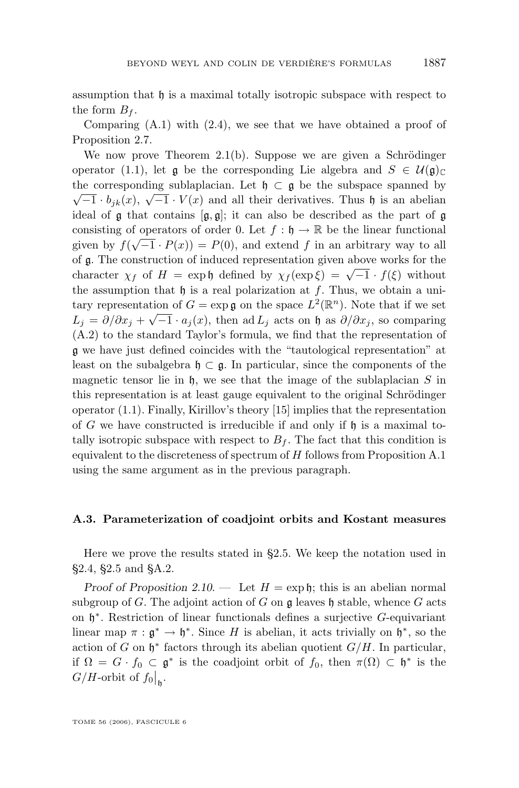assumption that  $\mathfrak h$  is a maximal totally isotropic subspace with respect to the form  $B_f$ .

Comparing [\(A.1\)](#page-58-0) with [\(2.4\)](#page-19-0), we see that we have obtained a proof of Proposition [2.7.](#page-19-0)

We now prove Theorem [2.1\(](#page-14-0)b). Suppose we are given a Schrödinger operator [\(1.1\)](#page-2-0), let g be the corresponding Lie algebra and  $S \in \mathcal{U}(\mathfrak{g})_{\mathbb{C}}$ the corresponding sublaplacian. Let  $\mathfrak{h} \subset \mathfrak{g}$  be the subspace spanned by  $\sqrt{-1} \cdot b_{jk}(x), \sqrt{-1} \cdot V(x)$  and all their derivatives. Thus h is an abelian ideal of  $\frak{g}$  that contains  $[\frak{g}, \frak{g}]$ ; it can also be described as the part of  $\frak{g}$ consisting of operators of order 0. Let  $f : \mathfrak{h} \to \mathbb{R}$  be the linear functional given by  $f(\sqrt{-1} \cdot P(x)) = P(0)$ , and extend f in an arbitrary way to all of g. The construction of induced representation given above works for the character  $\chi_f$  of  $H = \exp \phi$  defined by  $\chi_f(\exp \xi) = \sqrt{-1} \cdot f(\xi)$  without the assumption that  $\mathfrak h$  is a real polarization at f. Thus, we obtain a unitary representation of  $G = \exp \mathfrak{g}$  on the space  $L^2(\mathbb{R}^n)$ . Note that if we set  $L_j = \partial/\partial x_j + \sqrt{-1} \cdot a_j(x)$ , then ad  $L_j$  acts on h as  $\partial/\partial x_j$ , so comparing [\(A.2\)](#page-59-0) to the standard Taylor's formula, we find that the representation of g we have just defined coincides with the "tautological representation" at least on the subalgebra  $\mathfrak{h} \subset \mathfrak{g}$ . In particular, since the components of the magnetic tensor lie in  $\mathfrak h$ , we see that the image of the sublaplacian S in this representation is at least gauge equivalent to the original Schrödinger operator [\(1.1\)](#page-2-0). Finally, Kirillov's theory [\[15\]](#page-73-0) implies that the representation of G we have constructed is irreducible if and only if  $\mathfrak h$  is a maximal totally isotropic subspace with respect to  $B_f$ . The fact that this condition is equivalent to the discreteness of spectrum of H follows from Proposition [A.1](#page-59-0) using the same argument as in the previous paragraph.

# **A.3. Parameterization of coadjoint orbits and Kostant measures**

Here we prove the results stated in [§2.5.](#page-19-0) We keep the notation used in [§2.4,](#page-17-0) [§2.5](#page-19-0) and [§A.2.](#page-57-0)

*Proof of Proposition* [2.10.](#page-21-0) — Let  $H = \exp \mathfrak{h}$ ; this is an abelian normal subgroup of G. The adjoint action of G on  $\mathfrak g$  leaves  $\mathfrak h$  stable, whence G acts on  $\mathfrak{h}^*$ . Restriction of linear functionals defines a surjective G-equivariant linear map  $\pi : \mathfrak{g}^* \to \mathfrak{h}^*$ . Since H is abelian, it acts trivially on  $\mathfrak{h}^*$ , so the action of G on  $\mathfrak{h}^*$  factors through its abelian quotient  $G/H$ . In particular, if  $\Omega = G \cdot f_0 \subset \mathfrak{g}^*$  is the coadjoint orbit of  $f_0$ , then  $\pi(\Omega) \subset \mathfrak{h}^*$  is the  $G/H$ -orbit of  $f_0|_{\mathfrak{h}}$ .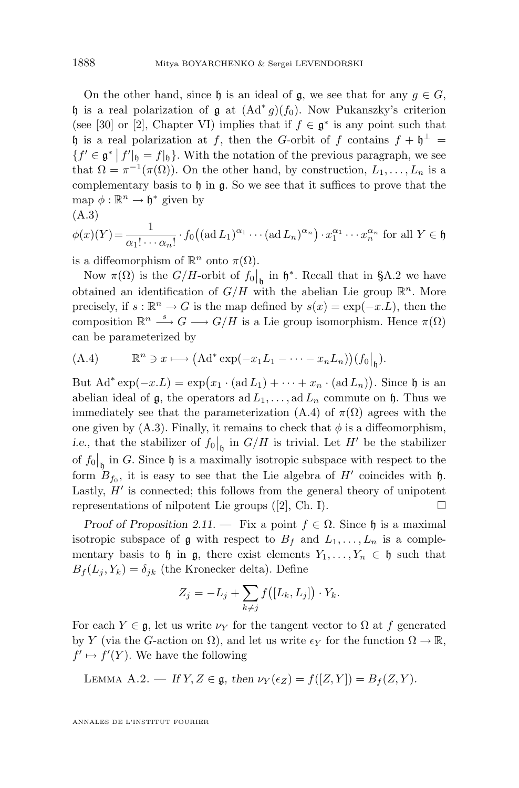On the other hand, since h is an ideal of  $\mathfrak{g}$ , we see that for any  $g \in G$ , h is a real polarization of  $\mathfrak g$  at  $(\mathrm{Ad}^* g)(f_0)$ . Now Pukanszky's criterion (see [\[30\]](#page-74-0) or [\[2\]](#page-73-0), Chapter VI) implies that if  $f \in \mathfrak{g}^*$  is any point such that h is a real polarization at f, then the G-orbit of f contains  $f + h^{\perp} =$  ${f' \in \mathfrak{g}^* \mid f'|_{\mathfrak{h}} = f|_{\mathfrak{h}}}$ . With the notation of the previous paragraph, we see that  $\Omega = \pi^{-1}(\pi(\Omega))$ . On the other hand, by construction,  $L_1, \ldots, L_n$  is a complementary basis to  $\mathfrak h$  in  $\mathfrak g$ . So we see that it suffices to prove that the map  $\phi : \mathbb{R}^n \to \mathfrak{h}^*$  given by

$$
(\mathrm{A.3})
$$

$$
\phi(x)(Y) = \frac{1}{\alpha_1! \cdots \alpha_n!} \cdot f_0((\text{ad } L_1)^{\alpha_1} \cdots (\text{ad } L_n)^{\alpha_n}) \cdot x_1^{\alpha_1} \cdots x_n^{\alpha_n} \text{ for all } Y \in \mathfrak{h}
$$

is a diffeomorphism of  $\mathbb{R}^n$  onto  $\pi(\Omega)$ .

Now  $\pi(\Omega)$  is the  $G/H$ -orbit of  $f_0|_p$  in  $\mathfrak{h}^*$ . Recall that in [§A.2](#page-57-0) we have obtained an identification of  $G/H$  with the abelian Lie group  $\mathbb{R}^n$ . More precisely, if  $s : \mathbb{R}^n \to G$  is the map defined by  $s(x) = \exp(-x.L)$ , then the composition  $\mathbb{R}^n \stackrel{s}{\longrightarrow} G \longrightarrow G/H$  is a Lie group isomorphism. Hence  $\pi(\Omega)$ can be parameterized by

(A.4) 
$$
\mathbb{R}^n \ni x \longmapsto (Ad^* \exp(-x_1 L_1 - \cdots - x_n L_n))(f_0|_{\mathfrak{h}}).
$$

But  $\text{Ad}^* \exp(-x.L) = \exp(x_1 \cdot (\text{ad } L_1) + \cdots + x_n \cdot (\text{ad } L_n)).$  Since h is an abelian ideal of  $\mathfrak{g}$ , the operators ad  $L_1, \ldots, \text{ad } L_n$  commute on  $\mathfrak{h}$ . Thus we immediately see that the parameterization (A.4) of  $\pi(\Omega)$  agrees with the one given by  $(A.3)$ . Finally, it remains to check that  $\phi$  is a diffeomorphism, *i.e.*, that the stabilizer of  $f_0|_{\mathfrak{h}}$  in  $G/H$  is trivial. Let  $H'$  be the stabilizer of  $f_0|_{\mathfrak{h}}$  in G. Since  $\mathfrak{h}$  is a maximally isotropic subspace with respect to the form  $B_{f_0}$ , it is easy to see that the Lie algebra of H' coincides with h. Lastly,  $H'$  is connected; this follows from the general theory of unipotent representations of nilpotent Lie groups  $([2], Ch. I)$  $([2], Ch. I)$  $([2], Ch. I)$ .

*Proof of Proposition* [2.11.](#page-21-0) — Fix a point  $f \in \Omega$ . Since h is a maximal isotropic subspace of g with respect to  $B_f$  and  $L_1, \ldots, L_n$  is a complementary basis to h in g, there exist elements  $Y_1, \ldots, Y_n \in \mathfrak{h}$  such that  $B_f(L_i, Y_k) = \delta_{ik}$  (the Kronecker delta). Define

$$
Z_j = -L_j + \sum_{k \neq j} f([L_k, L_j]) \cdot Y_k.
$$

For each  $Y \in \mathfrak{g}$ , let us write  $\nu_Y$  for the tangent vector to  $\Omega$  at f generated by Y (via the G-action on  $\Omega$ ), and let us write  $\epsilon_Y$  for the function  $\Omega \to \mathbb{R}$ ,  $f' \mapsto f'(Y)$ . We have the following

LEMMA A.2. — *If*  $Y, Z \in \mathfrak{g}$ , then  $\nu_Y(\epsilon_Z) = f([Z, Y]) = B_f(Z, Y)$ .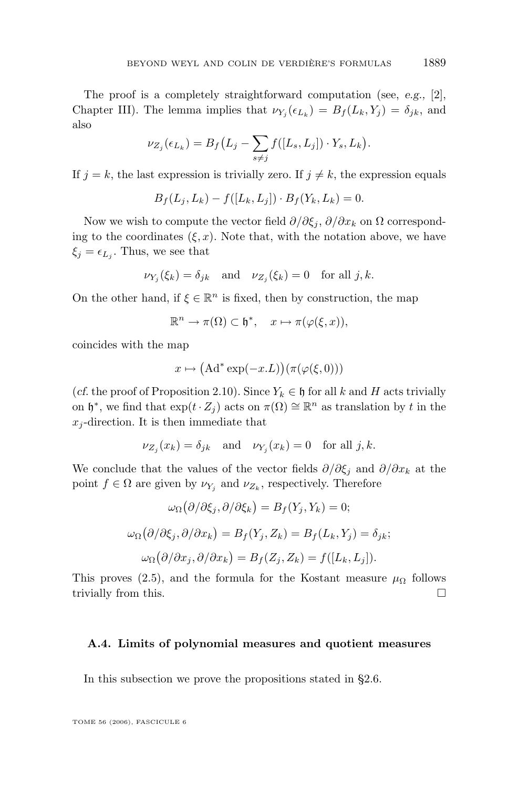The proof is a completely straightforward computation (see, *e.g.,* [\[2\]](#page-73-0), Chapter III). The lemma implies that  $\nu_{Y_j}(\epsilon_{L_k}) = B_f(L_k, Y_j) = \delta_{jk}$ , and also

$$
\nu_{Z_j}(\epsilon_{L_k}) = B_f(L_j - \sum_{s \neq j} f([L_s, L_j]) \cdot Y_s, L_k).
$$

If  $j = k$ , the last expression is trivially zero. If  $j \neq k$ , the expression equals

$$
B_f(L_j, L_k) - f([L_k, L_j]) \cdot B_f(Y_k, L_k) = 0.
$$

Now we wish to compute the vector field  $\partial/\partial \xi_i$ ,  $\partial/\partial x_k$  on  $\Omega$  corresponding to the coordinates  $(\xi, x)$ . Note that, with the notation above, we have  $\xi_j = \epsilon_{L_j}$ . Thus, we see that

$$
\nu_{Y_j}(\xi_k) = \delta_{jk}
$$
 and  $\nu_{Z_j}(\xi_k) = 0$  for all j, k.

On the other hand, if  $\xi \in \mathbb{R}^n$  is fixed, then by construction, the map

$$
\mathbb{R}^n \to \pi(\Omega) \subset \mathfrak{h}^*, \quad x \mapsto \pi(\varphi(\xi, x)),
$$

coincides with the map

$$
x \mapsto (\mathrm{Ad}^* \exp(-x.L))(\pi(\varphi(\xi, 0)))
$$

(*cf.* the proof of Proposition [2.10\)](#page-21-0). Since  $Y_k \in \mathfrak{h}$  for all k and H acts trivially on  $\mathfrak{h}^*$ , we find that  $\exp(t \cdot Z_j)$  acts on  $\pi(\Omega) \cong \mathbb{R}^n$  as translation by t in the  $x_i$ -direction. It is then immediate that

$$
\nu_{Z_j}(x_k) = \delta_{jk} \quad \text{and} \quad \nu_{Y_j}(x_k) = 0 \quad \text{for all } j, k.
$$

We conclude that the values of the vector fields  $\partial/\partial \xi_i$  and  $\partial/\partial x_k$  at the point  $f \in \Omega$  are given by  $\nu_{Y_j}$  and  $\nu_{Z_k}$ , respectively. Therefore

$$
\omega_{\Omega}(\partial/\partial \xi_j, \partial/\partial \xi_k) = B_f(Y_j, Y_k) = 0;
$$
  

$$
\omega_{\Omega}(\partial/\partial \xi_j, \partial/\partial x_k) = B_f(Y_j, Z_k) = B_f(L_k, Y_j) = \delta_{jk};
$$
  

$$
\omega_{\Omega}(\partial/\partial x_j, \partial/\partial x_k) = B_f(Z_j, Z_k) = f([L_k, L_j]).
$$

This proves [\(2.5\)](#page-22-0), and the formula for the Kostant measure  $\mu_{\Omega}$  follows trivially from this.

## **A.4. Limits of polynomial measures and quotient measures**

In this subsection we prove the propositions stated in [§2.6.](#page-22-0)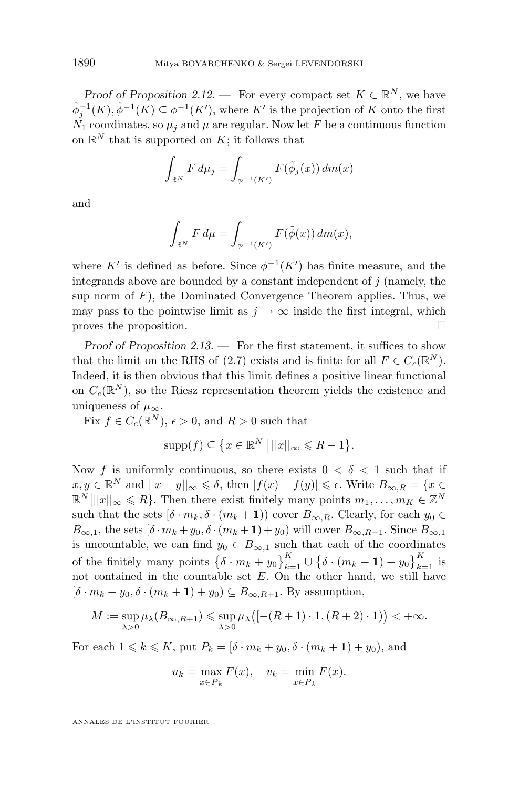*Proof of Proposition* [2.12.](#page-23-0) — For every compact set  $K \subset \mathbb{R}^N$ , we have  $\tilde{\phi}_j^{-1}(K), \tilde{\phi}^{-1}(K) \subseteq \phi^{-1}(K')$ , where K' is the projection of K onto the first  $N_1$  coordinates, so  $\mu_i$  and  $\mu$  are regular. Now let F be a continuous function on  $\mathbb{R}^N$  that is supported on K; it follows that

$$
\int_{\mathbb{R}^N} F d\mu_j = \int_{\phi^{-1}(K')} F(\tilde{\phi}_j(x)) dm(x)
$$

and

$$
\int_{\mathbb{R}^N} F d\mu = \int_{\phi^{-1}(K')} F(\tilde{\phi}(x)) dm(x),
$$

where K' is defined as before. Since  $\phi^{-1}(K')$  has finite measure, and the integrands above are bounded by a constant independent of  $j$  (namely, the sup norm of  $F$ ), the Dominated Convergence Theorem applies. Thus, we may pass to the pointwise limit as  $j \to \infty$  inside the first integral, which proves the proposition.

*Proof of Proposition [2.13.](#page-23-0) —* For the first statement, it suffices to show that the limit on the RHS of [\(2.7\)](#page-24-0) exists and is finite for all  $F \in C_c(\mathbb{R}^N)$ . Indeed, it is then obvious that this limit defines a positive linear functional on  $C_c(\mathbb{R}^N)$ , so the Riesz representation theorem yields the existence and uniqueness of  $\mu_{\infty}$ .

Fix  $f \in C_c(\mathbb{R}^N)$ ,  $\epsilon > 0$ , and  $R > 0$  such that

$$
\mathrm{supp}(f) \subseteq \left\{ x \in \mathbb{R}^N \, \middle| \, ||x||_{\infty} \leqslant R - 1 \right\}.
$$

Now f is uniformly continuous, so there exists  $0 < \delta < 1$  such that if  $x, y \in \mathbb{R}^N$  and  $||x - y||_{\infty} \leqslant \delta$ , then  $|f(x) - f(y)| \leqslant \epsilon$ . Write  $B_{\infty, R} = \{x \in \mathbb{R}^N : |f(x) - f(y)| \leqslant \epsilon\}$  $\mathbb{R}^N |||x||_{\infty} \leq R$ . Then there exist finitely many points  $m_1, \ldots, m_K \in \mathbb{Z}^N$ such that the sets  $[\delta \cdot m_k, \delta \cdot (m_k + 1)]$  cover  $B_{\infty,R}$ . Clearly, for each  $y_0 \in$  $B_{\infty,1}$ , the sets  $[\delta \cdot m_k + y_0, \delta \cdot (m_k + 1) + y_0]$  will cover  $B_{\infty,R-1}$ . Since  $B_{\infty,1}$ is uncountable, we can find  $y_0 \in B_{\infty,1}$  such that each of the coordinates of the finitely many points  $\left\{\delta \cdot m_k + y_0\right\}_{k=1}^K \cup \left\{\delta \cdot (m_k + 1) + y_0\right\}_{k=1}^K$  is not contained in the countable set  $E$ . On the other hand, we still have  $[\delta \cdot m_k + y_0, \delta \cdot (m_k + 1) + y_0] \subseteq B_{\infty, R+1}$ . By assumption,

$$
M:=\sup_{\lambda>0}\mu_\lambda(B_{\infty,R+1})\leqslant \sup_{\lambda>0}\mu_\lambda\big([-(R+1)\cdot{\bf 1},(R+2)\cdot{\bf 1})\big)<+\infty.
$$

For each  $1 \leq k \leq K$ , put  $P_k = [\delta \cdot m_k + y_0, \delta \cdot (m_k + 1) + y_0)$ , and

$$
u_k = \max_{x \in \overline{P}_k} F(x), \quad v_k = \min_{x \in \overline{P}_k} F(x).
$$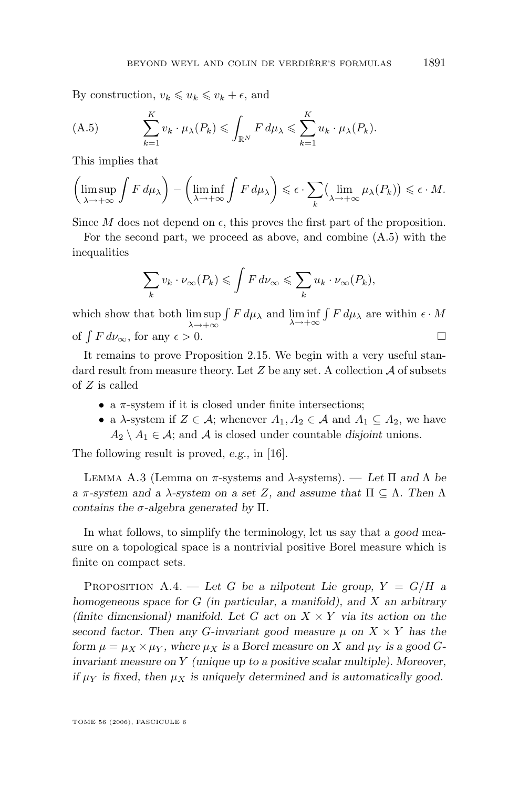<span id="page-65-0"></span>By construction,  $v_k \leq u_k \leq v_k + \epsilon$ , and

(A.5) 
$$
\sum_{k=1}^{K} v_k \cdot \mu_{\lambda}(P_k) \leqslant \int_{\mathbb{R}^N} F d\mu_{\lambda} \leqslant \sum_{k=1}^{K} u_k \cdot \mu_{\lambda}(P_k).
$$

This implies that

$$
\left(\limsup_{\lambda \to +\infty} \int F d\mu_{\lambda}\right) - \left(\liminf_{\lambda \to +\infty} \int F d\mu_{\lambda}\right) \leq \epsilon \cdot \sum_{k} \left(\lim_{\lambda \to +\infty} \mu_{\lambda}(P_k)\right) \leq \epsilon \cdot M.
$$

Since M does not depend on  $\epsilon$ , this proves the first part of the proposition.

For the second part, we proceed as above, and combine (A.5) with the inequalities

$$
\sum_{k} v_k \cdot \nu_{\infty}(P_k) \leqslant \int F d\nu_{\infty} \leqslant \sum_{k} u_k \cdot \nu_{\infty}(P_k),
$$

which show that both  $\limsup_{\lambda \to +\infty}$  $\int F d\mu_{\lambda}$  and  $\liminf_{\lambda \to +\infty} \int F d\mu_{\lambda}$  are within  $\epsilon \cdot M$ of  $\int F d\nu_{\infty}$ , for any  $\epsilon > 0$ .

It remains to prove Proposition [2.15.](#page-25-0) We begin with a very useful standard result from measure theory. Let  $Z$  be any set. A collection  $A$  of subsets of Z is called

- a  $\pi$ -system if it is closed under finite intersections;
- a  $\lambda$ -system if  $Z \in \mathcal{A}$ ; whenever  $A_1, A_2 \in \mathcal{A}$  and  $A_1 \subseteq A_2$ , we have  $A_2 \setminus A_1 \in \mathcal{A}$ ; and  $\mathcal{A}$  is closed under countable *disjoint* unions.

The following result is proved, *e.g.,* in [\[16\]](#page-74-0).

Lemma A.3 (Lemma on π-systems and λ-systems). — *Let* Π *and* Λ *be a* π*-system and a* λ*-system on a set* Z*, and assume that* Π ⊆ Λ*. Then* Λ *contains the* σ*-algebra generated by* Π*.*

In what follows, to simplify the terminology, let us say that a *good* measure on a topological space is a nontrivial positive Borel measure which is finite on compact sets.

PROPOSITION A.4. — Let G be a nilpotent Lie group,  $Y = G/H$  a *homogeneous space for* G *(in particular, a manifold), and* X *an arbitrary (finite dimensional) manifold. Let* G *act on* X × Y *via its action on the second factor. Then any G-invariant good measure*  $\mu$  on  $X \times Y$  has the *form*  $\mu = \mu_X \times \mu_Y$ *, where*  $\mu_X$  *is a Borel measure on* X and  $\mu_Y$  *is a good* G*invariant measure on* Y *(unique up to a positive scalar multiple). Moreover, if*  $\mu_Y$  *is fixed, then*  $\mu_X$  *is uniquely determined and is automatically good.*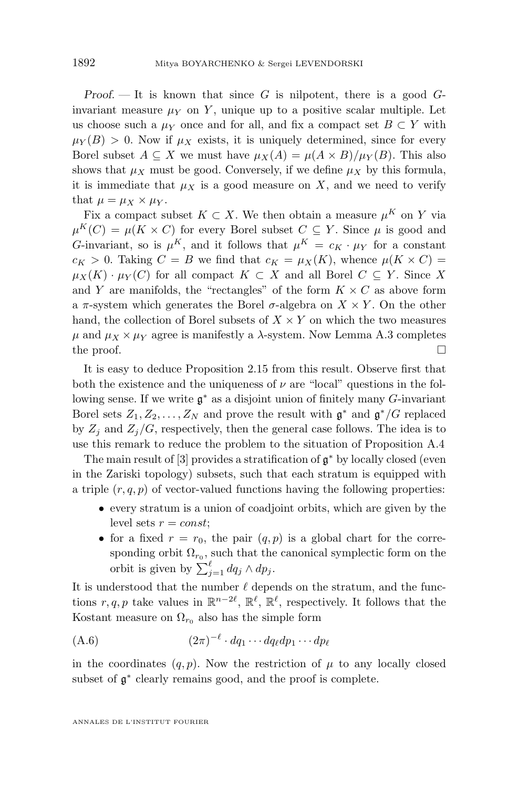*Proof.* — It is known that since G is nilpotent, there is a good Ginvariant measure  $\mu_Y$  on Y, unique up to a positive scalar multiple. Let us choose such a  $\mu_Y$  once and for all, and fix a compact set  $B \subset Y$  with  $\mu_Y(B) > 0$ . Now if  $\mu_X$  exists, it is uniquely determined, since for every Borel subset  $A \subseteq X$  we must have  $\mu_X(A) = \mu(A \times B)/\mu_Y(B)$ . This also shows that  $\mu_X$  must be good. Conversely, if we define  $\mu_X$  by this formula, it is immediate that  $\mu_X$  is a good measure on X, and we need to verify that  $\mu = \mu_X \times \mu_Y$ .

Fix a compact subset  $K \subset X$ . We then obtain a measure  $\mu^K$  on Y via  $\mu^{K}(C) = \mu(K \times C)$  for every Borel subset  $C \subseteq Y$ . Since  $\mu$  is good and G-invariant, so is  $\mu^K$ , and it follows that  $\mu^K = c_K \cdot \mu_Y$  for a constant  $c_K > 0$ . Taking  $C = B$  we find that  $c_K = \mu_X(K)$ , whence  $\mu(K \times C) =$  $\mu_X(K) \cdot \mu_Y(C)$  for all compact  $K \subset X$  and all Borel  $C \subseteq Y$ . Since X and Y are manifolds, the "rectangles" of the form  $K \times C$  as above form a  $\pi$ -system which generates the Borel  $\sigma$ -algebra on  $X \times Y$ . On the other hand, the collection of Borel subsets of  $X \times Y$  on which the two measures  $\mu$  and  $\mu_X \times \mu_Y$  agree is manifestly a  $\lambda$ -system. Now Lemma [A.3](#page-65-0) completes the proof.  $\Box$ 

It is easy to deduce Proposition [2.15](#page-25-0) from this result. Observe first that both the existence and the uniqueness of  $\nu$  are "local" questions in the following sense. If we write  $\mathfrak{g}^*$  as a disjoint union of finitely many G-invariant Borel sets  $Z_1, Z_2, \ldots, Z_N$  and prove the result with  $\mathfrak{g}^*$  and  $\mathfrak{g}^*/G$  replaced by  $Z_i$  and  $Z_i/G$ , respectively, then the general case follows. The idea is to use this remark to reduce the problem to the situation of Proposition [A.4](#page-65-0)

The main result of  $[3]$  provides a stratification of  $\mathfrak{g}^*$  by locally closed (even in the Zariski topology) subsets, such that each stratum is equipped with a triple  $(r, q, p)$  of vector-valued functions having the following properties:

- every stratum is a union of coadjoint orbits, which are given by the level sets  $r = const;$
- for a fixed  $r = r_0$ , the pair  $(q, p)$  is a global chart for the corresponding orbit  $\Omega_{r_0}$ , such that the canonical symplectic form on the orbit is given by  $\sum_{j=1}^{\ell} dq_j \wedge dp_j$ .

It is understood that the number  $\ell$  depends on the stratum, and the functions  $r, q, p$  take values in  $\mathbb{R}^{n-2\ell}$ ,  $\mathbb{R}^{\ell}$ ,  $\mathbb{R}^{\ell}$ , respectively. It follows that the Kostant measure on  $\Omega_{r_0}$  also has the simple form

$$
(A.6) \qquad (2\pi)^{-\ell} \cdot dq_1 \cdots dq_\ell dp_1 \cdots dp_\ell
$$

in the coordinates  $(q, p)$ . Now the restriction of  $\mu$  to any locally closed subset of  $\mathfrak{g}^*$  clearly remains good, and the proof is complete.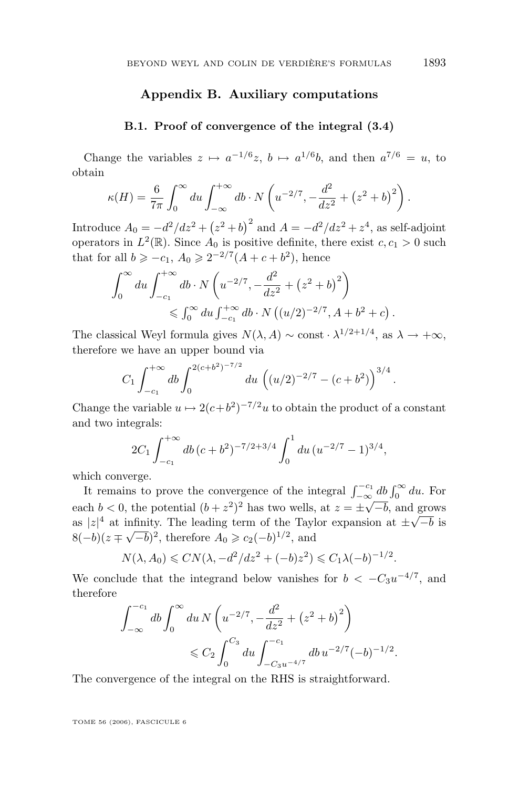# **Appendix B. Auxiliary computations**

### **B.1. Proof of convergence of the integral [\(3.4\)](#page-29-0)**

Change the variables  $z \mapsto a^{-1/6}z$ ,  $b \mapsto a^{1/6}b$ , and then  $a^{7/6} = u$ , to obtain

$$
\kappa(H) = \frac{6}{7\pi} \int_0^\infty du \int_{-\infty}^{+\infty} db \cdot N\left(u^{-2/7}, -\frac{d^2}{dz^2} + (z^2 + b)^2\right).
$$

Introduce  $A_0 = -d^2/dz^2 + (z^2 + b)^2$  and  $A = -d^2/dz^2 + z^4$ , as self-adjoint operators in  $L^2(\mathbb{R})$ . Since  $A_0$  is positive definite, there exist  $c, c_1 > 0$  such that for all  $b \geq -c_1$ ,  $A_0 \geq 2^{-2/7}(A + c + b^2)$ , hence

$$
\int_0^\infty du \int_{-c_1}^{+\infty} db \cdot N\left(u^{-2/7}, -\frac{d^2}{dz^2} + (z^2 + b)^2\right) \le \int_0^\infty du \int_{-c_1}^{+\infty} db \cdot N\left((u/2)^{-2/7}, A + b^2 + c\right).
$$

The classical Weyl formula gives  $N(\lambda, A) \sim \text{const} \cdot \lambda^{1/2+1/4}$ , as  $\lambda \to +\infty$ , therefore we have an upper bound via

$$
C_1 \int_{-c_1}^{+\infty} db \int_0^{2(c+b^2)^{-7/2}} du \left( (u/2)^{-2/7} - (c+b^2) \right)^{3/4}.
$$

Change the variable  $u \mapsto 2(c+b^2)^{-7/2}u$  to obtain the product of a constant and two integrals:

$$
2C_1 \int_{-c_1}^{+\infty} db \, (c+b^2)^{-7/2+3/4} \int_0^1 du \, (u^{-2/7} - 1)^{3/4},
$$

which converge.

It remains to prove the convergence of the integral  $\int_{-\infty}^{-c_1} db \int_0^{\infty} du$ . For to remains to prove the convergence of the meghan  $j_{-\infty}$ <br>each  $b < 0$ , the potential  $(b + z^2)^2$  has two wells, at  $z = \pm \sqrt{ }$  $-b$ , and grows each  $\theta \le 0$ , the potential  $(\theta + z)$  has two wells, at  $z = \pm \sqrt{-\theta}$ , and a as  $|z|^4$  at infinity. The leading term of the Taylor expansion at  $\pm \sqrt{\theta}$ infinity. The leading term of the Taylor expansion at  $\pm \sqrt{-b}$  is  $8(-b)(z \mp \sqrt{-b})^2$ , therefore  $A_0 \geq c_2(-b)^{1/2}$ , and

$$
N(\lambda, A_0) \leq CN(\lambda, -d^2/dz^2 + (-b)z^2) \leq C_1 \lambda (-b)^{-1/2}.
$$

We conclude that the integrand below vanishes for  $b < -C_3u^{-4/7}$ , and therefore

$$
\int_{-\infty}^{-c_1} db \int_0^{\infty} du \, N \left( u^{-2/7}, -\frac{d^2}{dz^2} + (z^2 + b)^2 \right)
$$
  
\$\leqslant C\_2 \int\_0^{C\_3} du \int\_{-C\_3 u^{-4/7}}^{-c\_1} db u^{-2/7} (-b)^{-1/2}\$.

The convergence of the integral on the RHS is straightforward.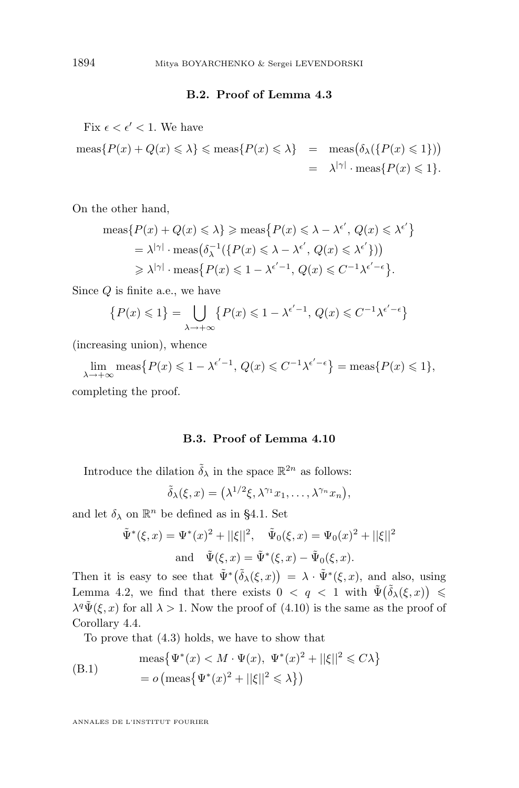# **B.2. Proof of Lemma [4.3](#page-41-0)**

<span id="page-68-0"></span>Fix  $\epsilon < \epsilon' < 1$ . We have

$$
\begin{array}{lcl} \mathrm{meas}\{P(x)+Q(x)\leqslant \lambda\}\leqslant \mathrm{meas}\{P(x)\leqslant \lambda\} & = & \mathrm{meas}\big(\delta_{\lambda}(\{P(x)\leqslant 1\})\big) \\ \\ & = & \lambda^{|\gamma|}\cdot \mathrm{meas}\{P(x)\leqslant 1\}. \end{array}
$$

On the other hand,

$$
\begin{aligned} \operatorname{meas}\{P(x) + Q(x) \le \lambda\} &\ge \operatorname{meas}\{P(x) \le \lambda - \lambda^{\epsilon'}, \, Q(x) \le \lambda^{\epsilon'}\} \\ &= \lambda^{|\gamma|} \cdot \operatorname{meas}\left(\delta_{\lambda}^{-1}\{\{P(x) \le \lambda - \lambda^{\epsilon'}, \, Q(x) \le \lambda^{\epsilon'}\}\}\right) \\ &\ge \lambda^{|\gamma|} \cdot \operatorname{meas}\{P(x) \le 1 - \lambda^{\epsilon'-1}, \, Q(x) \le C^{-1}\lambda^{\epsilon'-\epsilon}\} .\end{aligned}
$$

Since Q is finite a.e., we have

$$
\{P(x) \leq 1\} = \bigcup_{\lambda \to +\infty} \{P(x) \leq 1 - \lambda^{\epsilon'-1}, \, Q(x) \leq C^{-1} \lambda^{\epsilon'-\epsilon}\}
$$

(increasing union), whence

 $\lim_{\lambda \to +\infty} \text{meas}\big\{P(x) \leq 1 - \lambda^{\epsilon'-1}, Q(x) \leq C^{-1} \lambda^{\epsilon'-\epsilon}\big\} = \text{meas}\big\{P(x) \leq 1\big\},\$ completing the proof.

#### **B.3. Proof of Lemma [4.10](#page-48-0)**

Introduce the dilation  $\tilde{\delta}_{\lambda}$  in the space  $\mathbb{R}^{2n}$  as follows:

$$
\tilde{\delta}_{\lambda}(\xi, x) = \left(\lambda^{1/2}\xi, \lambda^{\gamma_1}x_1, \ldots, \lambda^{\gamma_n}x_n\right),
$$

and let  $\delta_{\lambda}$  on  $\mathbb{R}^n$  be defined as in [§4.1.](#page-40-0) Set

$$
\tilde{\Psi}^*(\xi, x) = \Psi^*(x)^2 + ||\xi||^2, \quad \tilde{\Psi}_0(\xi, x) = \Psi_0(x)^2 + ||\xi||^2
$$
  
and 
$$
\tilde{\Psi}(\xi, x) = \tilde{\Psi}^*(\xi, x) - \tilde{\Psi}_0(\xi, x).
$$

Then it is easy to see that  $\tilde{\Psi}^*(\tilde{\delta}_{\lambda}(\xi, x)) = \lambda \cdot \tilde{\Psi}^*(\xi, x)$ , and also, using Lemma [4.2,](#page-41-0) we find that there exists  $0 < q < 1$  with  $\tilde{\Psi}(\tilde{\delta}_{\lambda}(\xi, x)) \leq$  $\lambda^q \tilde{\Psi}(\xi, x)$  for all  $\lambda > 1$ . Now the proof of  $(4.10)$  is the same as the proof of Corollary [4.4.](#page-41-0)

To prove that [\(4.3\)](#page-47-0) holds, we have to show that

(B.1) 
$$
\begin{aligned} \text{meas}\big\{\Psi^*(x) < M \cdot \Psi(x), \ \Psi^*(x)^2 + ||\xi||^2 < C\lambda\big\} \\ &= o\left(\text{meas}\big\{\Psi^*(x)^2 + ||\xi||^2 < \lambda\big\}\right) \end{aligned}
$$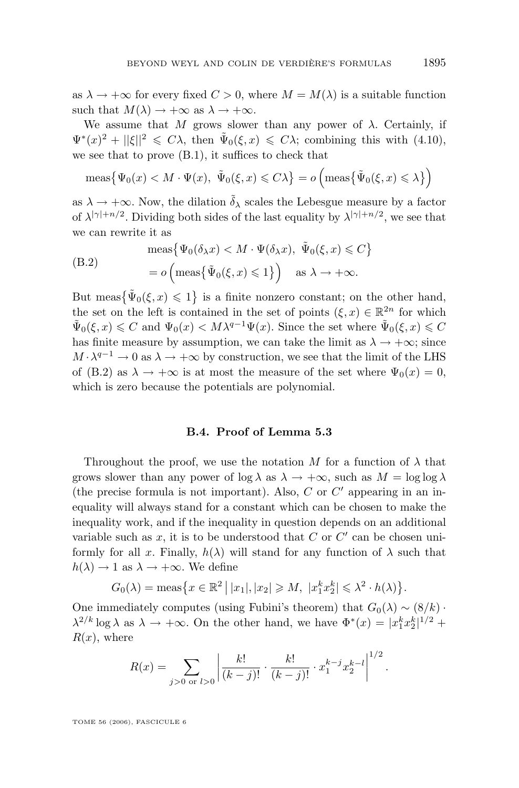as  $\lambda \to +\infty$  for every fixed  $C > 0$ , where  $M = M(\lambda)$  is a suitable function such that  $M(\lambda) \to +\infty$  as  $\lambda \to +\infty$ .

We assume that M grows slower than any power of  $\lambda$ . Certainly, if  $\Psi^*(x)^2 + ||\xi||^2 \leq C\lambda$ , then  $\tilde{\Psi}_0(\xi, x) \leq C\lambda$ ; combining this with [\(4.10\)](#page-48-0), we see that to prove [\(B.1\)](#page-68-0), it suffices to check that

$$
\operatorname{meas}\left\{\Psi_0(x) < M \cdot \Psi(x), \ \ \tilde{\Psi}_0(\xi, x) \leq C\lambda\right\} = o\left(\operatorname{meas}\left\{\tilde{\Psi}_0(\xi, x) \leq \lambda\right\}\right)
$$

as  $\lambda \to +\infty$ . Now, the dilation  $\tilde{\delta}_{\lambda}$  scales the Lebesgue measure by a factor of  $\lambda^{|\gamma|+n/2}$ . Dividing both sides of the last equality by  $\lambda^{|\gamma|+n/2}$ , we see that we can rewrite it as

(B.2) 
$$
\operatorname{meas}\left\{\Psi_0(\delta_\lambda x) < M \cdot \Psi(\delta_\lambda x), \ \tilde{\Psi}_0(\xi, x) \leq C\right\} = o\left(\operatorname{meas}\left\{\tilde{\Psi}_0(\xi, x) \leq 1\right\}\right) \quad \text{as } \lambda \to +\infty.
$$

But meas  $\{\tilde{\Psi}_0(\xi, x) \leq 1\}$  is a finite nonzero constant; on the other hand, the set on the left is contained in the set of points  $(\xi, x) \in \mathbb{R}^{2n}$  for which  $\tilde{\Psi}_0(\xi, x) \leq C$  and  $\Psi_0(x) < M\lambda^{q-1}\Psi(x)$ . Since the set where  $\tilde{\Psi}_0(\xi, x) \leq C$ has finite measure by assumption, we can take the limit as  $\lambda \to +\infty$ ; since  $M \cdot \lambda^{q-1} \to 0$  as  $\lambda \to +\infty$  by construction, we see that the limit of the LHS of (B.2) as  $\lambda \to +\infty$  is at most the measure of the set where  $\Psi_0(x) = 0$ , which is zero because the potentials are polynomial.

# **B.4. Proof of Lemma [5.3](#page-52-0)**

Throughout the proof, we use the notation M for a function of  $\lambda$  that grows slower than any power of  $\log \lambda$  as  $\lambda \to +\infty$ , such as  $M = \log \log \lambda$ (the precise formula is not important). Also,  $C$  or  $C'$  appearing in an inequality will always stand for a constant which can be chosen to make the inequality work, and if the inequality in question depends on an additional variable such as  $x$ , it is to be understood that  $C$  or  $C'$  can be chosen uniformly for all x. Finally,  $h(\lambda)$  will stand for any function of  $\lambda$  such that  $h(\lambda) \rightarrow 1$  as  $\lambda \rightarrow +\infty$ . We define

$$
G_0(\lambda) = \operatorname{meas}\left\{x \in \mathbb{R}^2 \mid |x_1|, |x_2| \ge M, \ |x_1^k x_2^k| \le \lambda^2 \cdot h(\lambda)\right\}.
$$

One immediately computes (using Fubini's theorem) that  $G_0(\lambda) \sim (8/k)$ .  $\lambda^{2/k} \log \lambda$  as  $\lambda \to +\infty$ . On the other hand, we have  $\Phi^*(x) = |x_1^k x_2^k|^{1/2}$  +  $R(x)$ , where

$$
R(x) = \sum_{j>0 \text{ or } l>0} \left| \frac{k!}{(k-j)!} \cdot \frac{k!}{(k-j)!} \cdot x_1^{k-j} x_2^{k-l} \right|^{1/2}.
$$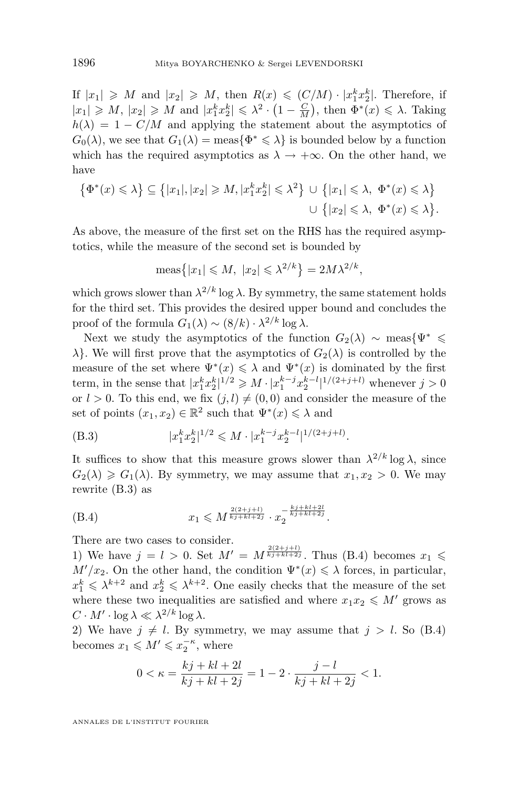If  $|x_1| \geqslant M$  and  $|x_2| \geqslant M$ , then  $R(x) \leqslant (C/M) \cdot |x_1^k x_2^k|$ . Therefore, if  $|x_1| \geq M$ ,  $|x_2| \geq M$  and  $|x_1^k x_2^k| \leq \lambda^2 \cdot (1 - \frac{C}{M})$ , then  $\Phi^*(x) \leq \lambda$ . Taking  $h(\lambda) = 1 - C/M$  and applying the statement about the asymptotics of  $G_0(\lambda)$ , we see that  $G_1(\lambda) = \text{meas}\{\Phi^* \leq \lambda\}$  is bounded below by a function which has the required asymptotics as  $\lambda \to +\infty$ . On the other hand, we have

$$
\{\Phi^*(x) \le \lambda\} \subseteq \{|x_1|, |x_2| \ge M, |x_1^k x_2^k| \le \lambda^2\} \cup \{|x_1| \le \lambda, \ \Phi^*(x) \le \lambda\}
$$
  

$$
\cup \{|x_2| \le \lambda, \ \Phi^*(x) \le \lambda\}.
$$

As above, the measure of the first set on the RHS has the required asymptotics, while the measure of the second set is bounded by

$$
\operatorname{meas}\left\{|x_1| \leqslant M, \ |x_2| \leqslant \lambda^{2/k}\right\} = 2M\lambda^{2/k},
$$

which grows slower than  $\lambda^{2/k}$  log  $\lambda$ . By symmetry, the same statement holds for the third set. This provides the desired upper bound and concludes the proof of the formula  $G_1(\lambda) \sim (8/k) \cdot \lambda^{2/k} \log \lambda$ .

Next we study the asymptotics of the function  $G_2(\lambda)$  ∼ meas{ $\Psi^*$  ≤  $\lambda$ . We will first prove that the asymptotics of  $G_2(\lambda)$  is controlled by the measure of the set where  $\Psi^*(x) \leq \lambda$  and  $\Psi^*(x)$  is dominated by the first term, in the sense that  $|x_1^k x_2^k|^{1/2} \geq M \cdot |x_1^{k-j} x_2^{k-l}|^{1/(2+j+l)}$  whenever  $j > 0$ or  $l > 0$ . To this end, we fix  $(j, l) \neq (0, 0)$  and consider the measure of the set of points  $(x_1, x_2) \in \mathbb{R}^2$  such that  $\Psi^*(x) \leq \lambda$  and

(B.3) 
$$
|x_1^k x_2^k|^{1/2} \leq M \cdot |x_1^{k-j} x_2^{k-l}|^{1/(2+j+l)}.
$$

It suffices to show that this measure grows slower than  $\lambda^{2/k} \log \lambda$ , since  $G_2(\lambda) \geq G_1(\lambda)$ . By symmetry, we may assume that  $x_1, x_2 > 0$ . We may rewrite (B.3) as

(B.4) 
$$
x_1 \leqslant M^{\frac{2(2+j+l)}{kj+kl+2j}} \cdot x_2^{-\frac{kj+kl+2l}{kj+kl+2j}}.
$$

There are two cases to consider.

1) We have  $j = l > 0$ . Set  $M' = M^{\frac{2(2+j+l)}{kj+kl+2j}}$ . Thus (B.4) becomes  $x_1 \leq$  $M'/x_2$ . On the other hand, the condition  $\Psi^*(x) \leq \lambda$  forces, in particular,  $x_1^k \leq \lambda^{k+2}$  and  $x_2^k \leq \lambda^{k+2}$ . One easily checks that the measure of the set where these two inequalities are satisfied and where  $x_1x_2 \leq M'$  grows as  $C \cdot M' \cdot \log \lambda \ll \lambda^{2/k} \log \lambda$ .

2) We have  $j \neq l$ . By symmetry, we may assume that  $j > l$ . So (B.4) becomes  $x_1 \leqslant M' \leqslant x_2^{-\kappa}$ , where

$$
0<\kappa=\frac{kj+kl+2l}{kj+kl+2j}=1-2\cdot\frac{j-l}{kj+kl+2j}<1.
$$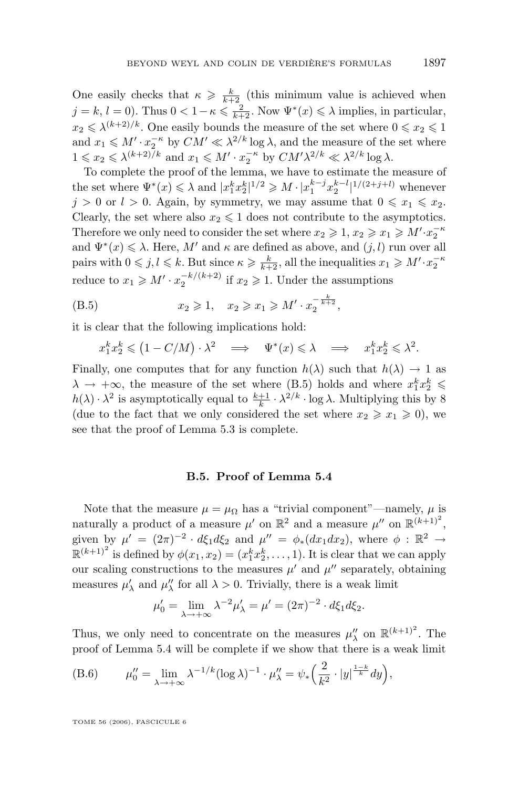One easily checks that  $\kappa \geq \frac{k}{k+2}$  (this minimum value is achieved when  $j = k, l = 0$ . Thus  $0 < 1 - \kappa \leq \frac{2}{k+2}$ . Now  $\Psi^*(x) \leq \lambda$  implies, in particular,  $x_2 \le \lambda^{(k+2)/k}$ . One easily bounds the measure of the set where  $0 \le x_2 \le 1$ and  $x_1 \leq M' \cdot x_2^{-\kappa}$  by  $CM' \ll \lambda^{2/k} \log \lambda$ , and the measure of the set where  $1 \leqslant x_2 \leqslant \lambda^{(k+2)/k}$  and  $x_1 \leqslant M' \cdot x_2^{-\kappa}$  by  $CM' \lambda^{2/k} \ll \lambda^{2/k} \log \lambda$ .

To complete the proof of the lemma, we have to estimate the measure of the set where  $\Psi^*(x) \leq \lambda$  and  $|x_1^k x_2^k|^{1/2} \geq M \cdot |x_1^{k-j} x_2^{k-l}|^{1/(2+j+l)}$  whenever  $j > 0$  or  $l > 0$ . Again, by symmetry, we may assume that  $0 \leq x_1 \leq x_2$ . Clearly, the set where also  $x_2 \leq 1$  does not contribute to the asymptotics. Therefore we only need to consider the set where  $x_2 \geqslant 1, x_2 \geqslant x_1 \geqslant M' \cdot x_2^{-\kappa}$ and  $\Psi^*(x) \leq \lambda$ . Here, M' and  $\kappa$  are defined as above, and  $(j, l)$  run over all pairs with  $0 \le j, l \le k$ . But since  $\kappa \ge \frac{k}{k+2}$ , all the inequalities  $x_1 \ge M' \cdot x_2^{-k}$ reduce to  $x_1 \geq M' \cdot x_2^{-k/(k+2)}$  if  $x_2 \geq 1$ . Under the assumptions

(B.5) 
$$
x_2 \ge 1, \quad x_2 \ge x_1 \ge M' \cdot x_2^{-\frac{k}{k+2}},
$$

it is clear that the following implications hold:

$$
x_1^k x_2^k \leq (1 - C/M) \cdot \lambda^2 \implies \Psi^*(x) \leq \lambda \implies x_1^k x_2^k \leq \lambda^2.
$$

Finally, one computes that for any function  $h(\lambda)$  such that  $h(\lambda) \to 1$  as  $\lambda \to +\infty$ , the measure of the set where (B.5) holds and where  $x_1^k x_2^k$   $\leq$  $h(\lambda) \cdot \lambda^2$  is asymptotically equal to  $\frac{k+1}{k} \cdot \lambda^{2/k} \cdot \log \lambda$ . Multiplying this by 8 (due to the fact that we only considered the set where  $x_2 \geq x_1 \geq 0$ ), we see that the proof of Lemma [5.3](#page-52-0) is complete.

### **B.5. Proof of Lemma [5.4](#page-53-0)**

Note that the measure  $\mu = \mu_{\Omega}$  has a "trivial component"—namely,  $\mu$  is naturally a product of a measure  $\mu'$  on  $\mathbb{R}^2$  and a measure  $\mu''$  on  $\mathbb{R}^{(k+1)^2}$ , given by  $\mu' = (2\pi)^{-2} \cdot d\xi_1 d\xi_2$  and  $\mu'' = \phi_*(dx_1 dx_2)$ , where  $\phi : \mathbb{R}^2 \to$  $\mathbb{R}^{(k+1)^2}$  is defined by  $\phi(x_1, x_2) = (x_1^k x_2^k, \dots, 1)$ . It is clear that we can apply our scaling constructions to the measures  $\mu'$  and  $\mu''$  separately, obtaining measures  $\mu'_{\lambda}$  and  $\mu''_{\lambda}$  for all  $\lambda > 0$ . Trivially, there is a weak limit

$$
\mu'_0 = \lim_{\lambda \to +\infty} \lambda^{-2} \mu'_\lambda = \mu' = (2\pi)^{-2} \cdot d\xi_1 d\xi_2.
$$

Thus, we only need to concentrate on the measures  $\mu''_{\lambda}$  on  $\mathbb{R}^{(k+1)^2}$ . The proof of Lemma [5.4](#page-53-0) will be complete if we show that there is a weak limit

(B.6) 
$$
\mu_0'' = \lim_{\lambda \to +\infty} \lambda^{-1/k} (\log \lambda)^{-1} \cdot \mu_\lambda'' = \psi_* \left( \frac{2}{k^2} \cdot |y|^{\frac{1-k}{k}} dy \right),
$$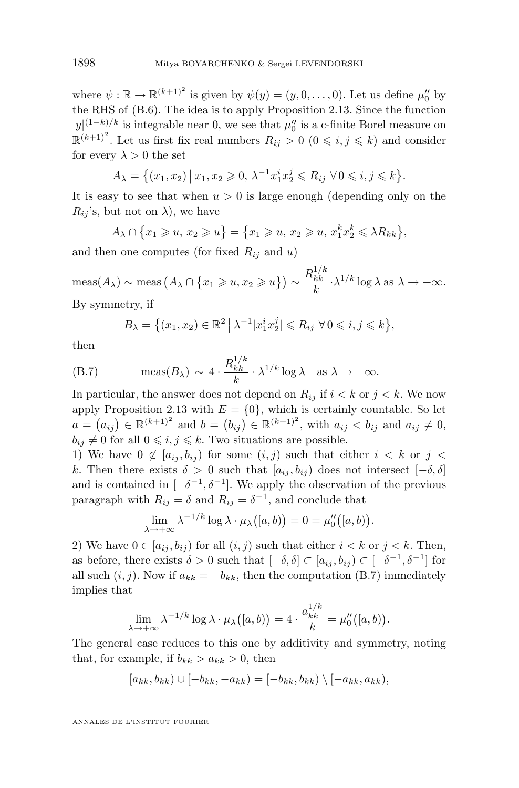where  $\psi : \mathbb{R} \to \mathbb{R}^{(k+1)^2}$  is given by  $\psi(y) = (y, 0, \dots, 0)$ . Let us define  $\mu_0''$  by the RHS of [\(B.6\)](#page-71-0). The idea is to apply Proposition [2.13.](#page-23-0) Since the function  $|y|^{(1-k)/k}$  is integrable near 0, we see that  $\mu_0$  is a c-finite Borel measure on  $\mathbb{R}^{(k+1)^2}$ . Let us first fix real numbers  $R_{ij} > 0$   $(0 \leq i, j \leq k)$  and consider for every  $\lambda > 0$  the set

$$
A_{\lambda} = \{(x_1, x_2) \, \big| \, x_1, x_2 \geq 0, \, \lambda^{-1} x_1^i x_2^j \leq R_{ij} \, \forall \, 0 \leq i, j \leq k \}.
$$

It is easy to see that when  $u > 0$  is large enough (depending only on the  $R_{ij}$ 's, but not on  $\lambda$ ), we have

 $A_{\lambda} \cap \{x_1 \geqslant u, x_2 \geqslant u\} = \{x_1 \geqslant u, x_2 \geqslant u, x_1^k x_2^k \leqslant \lambda R_{kk}\},\$ 

and then one computes (for fixed  $R_{ij}$  and u)

 $\text{meas}(A_{\lambda}) \sim \text{meas} (A_{\lambda} \cap \{x_1 \geqslant u, x_2 \geqslant u\}) \sim \frac{R_{kk}^{1/k}}{k}$  $k$  $\frac{k k}{k} \cdot \lambda^{1/k} \log \lambda \text{ as } \lambda \to +\infty.$ By symmetry, if

$$
B_{\lambda} = \{(x_1, x_2) \in \mathbb{R}^2 \mid \lambda^{-1} | x_1^i x_2^j | \le R_{ij} \ \forall \, 0 \le i, j \le k \},\
$$

then

(B.7) 
$$
\text{meas}(B_{\lambda}) \sim 4 \cdot \frac{R_{kk}^{1/k}}{k} \cdot \lambda^{1/k} \log \lambda \quad \text{as } \lambda \to +\infty.
$$

In particular, the answer does not depend on  $R_{ij}$  if  $i < k$  or  $j < k$ . We now apply Proposition [2.13](#page-23-0) with  $E = \{0\}$ , which is certainly countable. So let  $a = (a_{ij}) \in \mathbb{R}^{(k+1)^2}$  and  $b = (b_{ij}) \in \mathbb{R}^{(k+1)^2}$ , with  $a_{ij} < b_{ij}$  and  $a_{ij} \neq 0$ ,  $b_{ij} \neq 0$  for all  $0 \leq i, j \leq k$ . Two situations are possible.

1) We have  $0 \notin [a_{ij}, b_{ij}]$  for some  $(i, j)$  such that either  $i < k$  or  $j <$ k. Then there exists  $\delta > 0$  such that  $[a_{ij}, b_{ij}]$  does not intersect  $[-\delta, \delta]$ and is contained in  $[-\delta^{-1}, \delta^{-1}]$ . We apply the observation of the previous paragraph with  $R_{ij} = \delta$  and  $R_{ij} = \delta^{-1}$ , and conclude that

$$
\lim_{\lambda \to +\infty} \lambda^{-1/k} \log \lambda \cdot \mu_{\lambda}([a, b)) = 0 = \mu_0''([a, b)).
$$

2) We have  $0 \in [a_{ij}, b_{ij})$  for all  $(i, j)$  such that either  $i < k$  or  $j < k$ . Then, as before, there exists  $\delta > 0$  such that  $[-\delta, \delta] \subset [a_{ij}, b_{ij}) \subset [-\delta^{-1}, \delta^{-1}]$  for all such  $(i, j)$ . Now if  $a_{kk} = -b_{kk}$ , then the computation (B.7) immediately implies that

$$
\lim_{\lambda \to +\infty} \lambda^{-1/k} \log \lambda \cdot \mu_{\lambda}\big( [a, b) \big) = 4 \cdot \frac{a_{kk}^{1/k}}{k} = \mu_0''([a, b]).
$$

The general case reduces to this one by additivity and symmetry, noting that, for example, if  $b_{kk} > a_{kk} > 0$ , then

$$
[a_{kk}, b_{kk}) \cup [-b_{kk}, -a_{kk}) = [-b_{kk}, b_{kk}) \setminus [-a_{kk}, a_{kk}),
$$

ANNALES DE L'INSTITUT FOURIER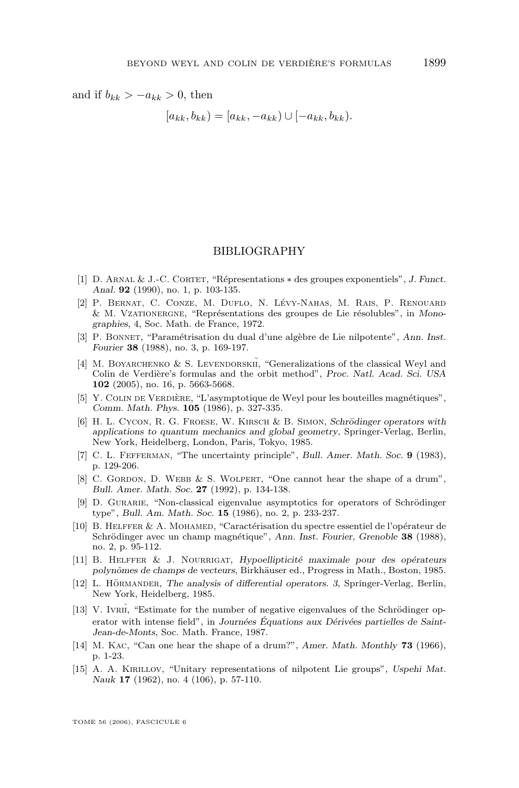and if  $b_{kk} > -a_{kk} > 0$ , then

 $[a_{kk}, b_{kk}) = [a_{kk}, -a_{kk}) \cup [-a_{kk}, b_{kk})$ .

## BIBLIOGRAPHY

- [1] D. Arnal & J.-C. Cortet, "Répresentations ∗ des groupes exponentiels", *J. Funct. Anal.* **92** (1990), no. 1, p. 103-135.
- [2] P. Bernat, C. Conze, M. Duflo, N. Lévy-Nahas, M. Rais, P. Renouard & M. Vzationergne, "Représentations des groupes de Lie résolubles", in *Monographies*, 4, Soc. Math. de France, 1972.
- [3] P. Bonnet, "Paramétrisation du dual d'une algèbre de Lie nilpotente", *Ann. Inst. Fourier* **38** (1988), no. 3, p. 169-197.
- [4] M. BOYARCHENKO & S. LEVENDORSKII, "Generalizations of the classical Weyl and Colin de Verdière's formulas and the orbit method", *Proc. Natl. Acad. Sci. USA* **102** (2005), no. 16, p. 5663-5668.
- [5] Y. Colin de Verdière, "L'asymptotique de Weyl pour les bouteilles magnétiques", *Comm. Math. Phys.* **105** (1986), p. 327-335.
- [6] H. L. Cycon, R. G. Froese, W. Kirsch & B. Simon, *Schrödinger operators with applications to quantum mechanics and global geometry*, Springer-Verlag, Berlin, New York, Heidelberg, London, Paris, Tokyo, 1985.
- [7] C. L. Fefferman, "The uncertainty principle", *Bull. Amer. Math. Soc.* **9** (1983), p. 129-206.
- [8] C. GORDON, D. WEBB & S. WOLPERT, "One cannot hear the shape of a drum", *Bull. Amer. Math. Soc.* **27** (1992), p. 134-138.
- [9] D. Gurarie, "Non-classical eigenvalue asymptotics for operators of Schrödinger type", *Bull. Am. Math. Soc.* **15** (1986), no. 2, p. 233-237.
- [10] B. Helffer & A. Mohamed, "Caractérisation du spectre essentiel de l'opérateur de Schrödinger avec un champ magnétique", *Ann. Inst. Fourier, Grenoble* **38** (1988), no. 2, p. 95-112.
- [11] B. Helffer & J. Nourrigat, *Hypoellipticité maximale pour des opérateurs polynômes de champs de vecteurs*, Birkhäuser ed., Progress in Math., Boston, 1985.
- [12] L. Hörmander, *The analysis of differential operators. 3*, Springer-Verlag, Berlin, New York, Heidelberg, 1985.
- [13] V. IVRII, "Estimate for the number of negative eigenvalues of the Schrödinger operator with intense field", in *Journées Équations aux Dérivées partielles de Saint-Jean-de-Monts*, Soc. Math. France, 1987.
- [14] M. Kac, "Can one hear the shape of a drum?", *Amer. Math. Monthly* **73** (1966), p. 1-23.
- [15] A. A. Kirillov, "Unitary representations of nilpotent Lie groups", *Uspehi Mat. Nauk* **17** (1962), no. 4 (106), p. 57-110.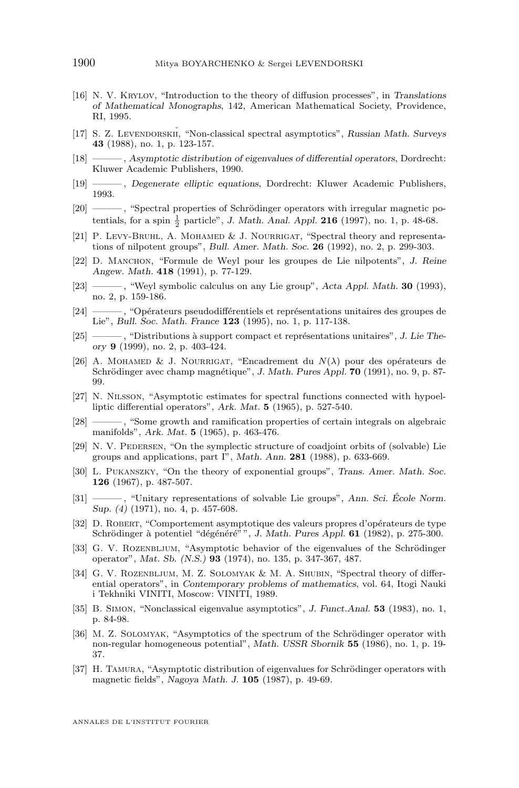- [16] N. V. Krylov, "Introduction to the theory of diffusion processes", in *Translations of Mathematical Monographs*, 142, American Mathematical Society, Providence, RI, 1995.
- [17] S. Z. LEVENDORSKII, "Non-classical spectral asymptotics", *Russian Math. Surveys* **43** (1988), no. 1, p. 123-157.
- [18] ——— , *Asymptotic distribution of eigenvalues of differential operators*, Dordrecht: Kluwer Academic Publishers, 1990.
- [19] ——— , *Degenerate elliptic equations*, Dordrecht: Kluwer Academic Publishers, 1993.
- [20] ——— , "Spectral properties of Schrödinger operators with irregular magnetic potentials, for a spin  $\frac{1}{2}$  particle", *J. Math. Anal. Appl.* **216** (1997), no. 1, p. 48-68.
- [21] P. Levy-Bruhl, A. Mohamed & J. Nourrigat, "Spectral theory and representations of nilpotent groups", *Bull. Amer. Math. Soc.* **26** (1992), no. 2, p. 299-303.
- [22] D. Manchon, "Formule de Weyl pour les groupes de Lie nilpotents", *J. Reine Angew. Math.* **418** (1991), p. 77-129.
- [23] ——— , "Weyl symbolic calculus on any Lie group", *Acta Appl. Math.* **30** (1993), no. 2, p. 159-186.
- [24] ——— , "Opérateurs pseudodifférentiels et représentations unitaires des groupes de Lie", *Bull. Soc. Math. France* **123** (1995), no. 1, p. 117-138.
- [25] ——— , "Distributions à support compact et représentations unitaires", *J. Lie Theory* **9** (1999), no. 2, p. 403-424.
- [26] A. MOHAMED & J. NOURRIGAT, "Encadrement du  $N(\lambda)$  pour des opérateurs de Schrödinger avec champ magnétique", *J. Math. Pures Appl.* **70** (1991), no. 9, p. 87- 99.
- [27] N. Nilsson, "Asymptotic estimates for spectral functions connected with hypoelliptic differential operators", *Ark. Mat.* **5** (1965), p. 527-540.
- [28] ——— , "Some growth and ramification properties of certain integrals on algebraic manifolds", *Ark. Mat.* **5** (1965), p. 463-476.
- [29] N. V. PEDERSEN, "On the symplectic structure of coadjoint orbits of (solvable) Lie groups and applications, part I", *Math. Ann.* **281** (1988), p. 633-669.
- [30] L. Pukanszky, "On the theory of exponential groups", *Trans. Amer. Math. Soc.* **126** (1967), p. 487-507.
- [31] ——— , "Unitary representations of solvable Lie groups", *Ann. Sci. École Norm. Sup. (4)* (1971), no. 4, p. 457-608.
- [32] D. Robert, "Comportement asymptotique des valeurs propres d'opérateurs de type Schrödinger à potentiel "dégénéré" ", *J. Math. Pures Appl.* **61** (1982), p. 275-300.
- [33] G. V. ROZENBLJUM, "Asymptotic behavior of the eigenvalues of the Schrödinger operator", *Mat. Sb. (N.S.)* **93** (1974), no. 135, p. 347-367, 487.
- [34] G. V. ROZENBLJUM, M. Z. SOLOMYAK & M. A. SHUBIN, "Spectral theory of differential operators", in *Contemporary problems of mathematics*, vol. 64, Itogi Nauki i Tekhniki VINITI, Moscow: VINITI, 1989.
- [35] B. Simon, "Nonclassical eigenvalue asymptotics", *J. Funct.Anal.* **53** (1983), no. 1, p. 84-98.
- [36] M. Z. Solomyak, "Asymptotics of the spectrum of the Schrödinger operator with non-regular homogeneous potential", *Math. USSR Sbornik* **55** (1986), no. 1, p. 19- 37.
- [37] H. Tamura, "Asymptotic distribution of eigenvalues for Schrödinger operators with magnetic fields", *Nagoya Math. J.* **105** (1987), p. 49-69.